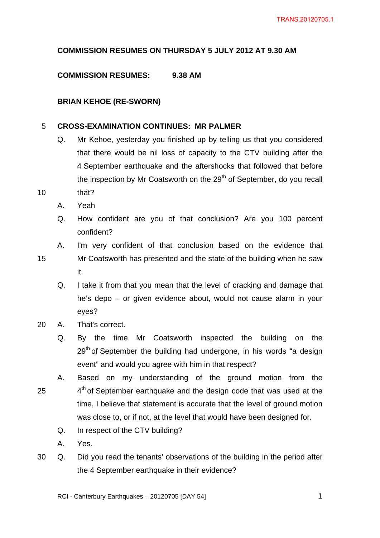# **COMMISSION RESUMES ON THURSDAY 5 JULY 2012 AT 9.30 AM**

## **COMMISSION RESUMES: 9.38 AM**

### **BRIAN KEHOE (RE-SWORN)**

#### 5 **CROSS-EXAMINATION CONTINUES: MR PALMER**

- Q. Mr Kehoe, yesterday you finished up by telling us that you considered that there would be nil loss of capacity to the CTV building after the 4 September earthquake and the aftershocks that followed that before the inspection by Mr Coatsworth on the  $29<sup>th</sup>$  of September, do you recall
- 10 that?
	- A. Yeah
	- Q. How confident are you of that conclusion? Are you 100 percent confident?
	- A. I'm very confident of that conclusion based on the evidence that
- 15 Mr Coatsworth has presented and the state of the building when he saw it.
	- Q. I take it from that you mean that the level of cracking and damage that he's depo – or given evidence about, would not cause alarm in your eyes?
- 20 A. That's correct.
	- Q. By the time Mr Coatsworth inspected the building on the  $29<sup>th</sup>$  of September the building had undergone, in his words "a design event" and would you agree with him in that respect?
- 25 A. Based on my understanding of the ground motion from the  $4<sup>th</sup>$  of September earthquake and the design code that was used at the time, I believe that statement is accurate that the level of ground motion was close to, or if not, at the level that would have been designed for.
	- Q. In respect of the CTV building?
	- A. Yes.
- 30 Q. Did you read the tenants' observations of the building in the period after the 4 September earthquake in their evidence?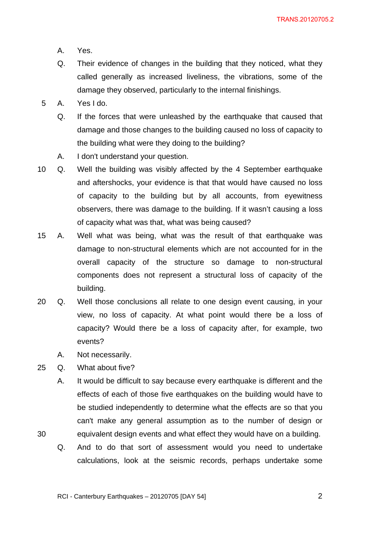- A. Yes.
- Q. Their evidence of changes in the building that they noticed, what they called generally as increased liveliness, the vibrations, some of the damage they observed, particularly to the internal finishings.
- 5 A. Yes I do.
	- Q. If the forces that were unleashed by the earthquake that caused that damage and those changes to the building caused no loss of capacity to the building what were they doing to the building?
	- A. I don't understand your question.
- 10 Q. Well the building was visibly affected by the 4 September earthquake and aftershocks, your evidence is that that would have caused no loss of capacity to the building but by all accounts, from eyewitness observers, there was damage to the building. If it wasn't causing a loss of capacity what was that, what was being caused?
- 15 A. Well what was being, what was the result of that earthquake was damage to non-structural elements which are not accounted for in the overall capacity of the structure so damage to non-structural components does not represent a structural loss of capacity of the building.
- 20 Q. Well those conclusions all relate to one design event causing, in your view, no loss of capacity. At what point would there be a loss of capacity? Would there be a loss of capacity after, for example, two events?
	- A. Not necessarily.
- 25 Q. What about five?
	- A. It would be difficult to say because every earthquake is different and the effects of each of those five earthquakes on the building would have to be studied independently to determine what the effects are so that you can't make any general assumption as to the number of design or equivalent design events and what effect they would have on a building.
- 30
- Q. And to do that sort of assessment would you need to undertake calculations, look at the seismic records, perhaps undertake some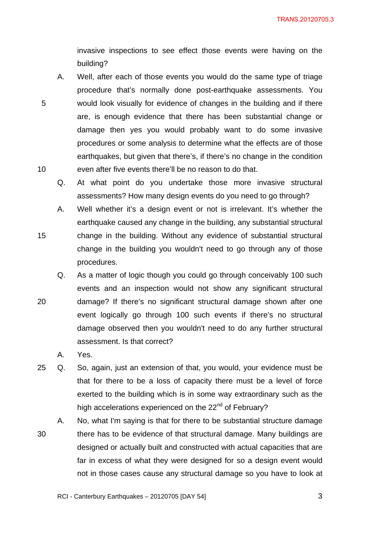invasive inspections to see effect those events were having on the building?

- A. Well, after each of those events you would do the same type of triage procedure that's normally done post-earthquake assessments. You would look visually for evidence of changes in the building and if there are, is enough evidence that there has been substantial change or damage then yes you would probably want to do some invasive procedures or some analysis to determine what the effects are of those earthquakes, but given that there's, if there's no change in the condition even after five events there'll be no reason to do that.
	- Q. At what point do you undertake those more invasive structural assessments? How many design events do you need to go through?
- A. Well whether it's a design event or not is irrelevant. It's whether the earthquake caused any change in the building, any substantial structural change in the building. Without any evidence of substantial structural change in the building you wouldn't need to go through any of those procedures.
- 20 Q. As a matter of logic though you could go through conceivably 100 such events and an inspection would not show any significant structural damage? If there's no significant structural damage shown after one event logically go through 100 such events if there's no structural damage observed then you wouldn't need to do any further structural assessment. Is that correct?
	- A. Yes.

5

10

15

- 25 Q. So, again, just an extension of that, you would, your evidence must be that for there to be a loss of capacity there must be a level of force exerted to the building which is in some way extraordinary such as the high accelerations experienced on the 22<sup>nd</sup> of February?
- 30 A. No, what I'm saying is that for there to be substantial structure damage there has to be evidence of that structural damage. Many buildings are designed or actually built and constructed with actual capacities that are far in excess of what they were designed for so a design event would not in those cases cause any structural damage so you have to look at

 $\sim$  3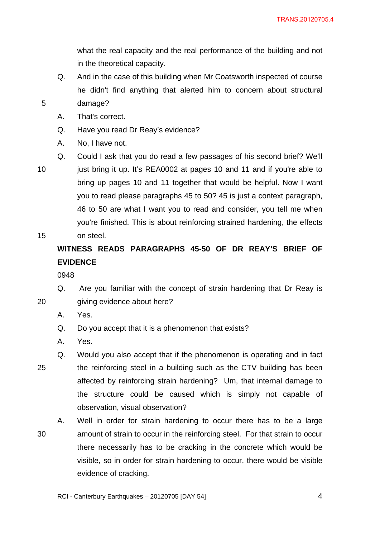what the real capacity and the real performance of the building and not in the theoretical capacity.

- Q. And in the case of this building when Mr Coatsworth inspected of course he didn't find anything that alerted him to concern about structural damage?
- A. That's correct.
- Q. Have you read Dr Reay's evidence?
- A. No, I have not.
- Q. Could I ask that you do read a few passages of his second brief? We'll
- 10

15

20

5

just bring it up. It's REA0002 at pages 10 and 11 and if you're able to bring up pages 10 and 11 together that would be helpful. Now I want you to read please paragraphs 45 to 50? 45 is just a context paragraph, 46 to 50 are what I want you to read and consider, you tell me when you're finished. This is about reinforcing strained hardening, the effects on steel.

# **WITNESS READS PARAGRAPHS 45-50 OF DR REAY'S BRIEF OF EVIDENCE**

- Q. Are you familiar with the concept of strain hardening that Dr Reay is giving evidence about here?
	- A. Yes.
	- Q. Do you accept that it is a phenomenon that exists?
	- A. Yes.
- 25 Q. Would you also accept that if the phenomenon is operating and in fact the reinforcing steel in a building such as the CTV building has been affected by reinforcing strain hardening? Um, that internal damage to the structure could be caused which is simply not capable of observation, visual observation?
- 30 A. Well in order for strain hardening to occur there has to be a large amount of strain to occur in the reinforcing steel. For that strain to occur there necessarily has to be cracking in the concrete which would be visible, so in order for strain hardening to occur, there would be visible evidence of cracking.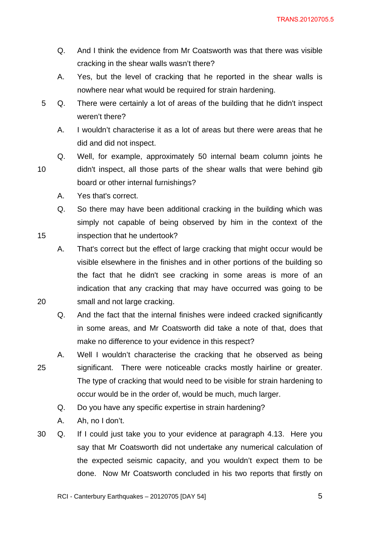- Q. And I think the evidence from Mr Coatsworth was that there was visible cracking in the shear walls wasn't there?
- A. Yes, but the level of cracking that he reported in the shear walls is nowhere near what would be required for strain hardening.
- 5 Q. There were certainly a lot of areas of the building that he didn't inspect weren't there?
	- A. I wouldn't characterise it as a lot of areas but there were areas that he did and did not inspect.
- 10 Q. Well, for example, approximately 50 internal beam column joints he didn't inspect, all those parts of the shear walls that were behind gib board or other internal furnishings?
	- A. Yes that's correct.

20

Q. So there may have been additional cracking in the building which was simply not capable of being observed by him in the context of the inspection that he undertook?

A. That's correct but the effect of large cracking that might occur would be visible elsewhere in the finishes and in other portions of the building so the fact that he didn't see cracking in some areas is more of an indication that any cracking that may have occurred was going to be small and not large cracking.

Q. And the fact that the internal finishes were indeed cracked significantly in some areas, and Mr Coatsworth did take a note of that, does that make no difference to your evidence in this respect?

25 A. Well I wouldn't characterise the cracking that he observed as being significant. There were noticeable cracks mostly hairline or greater. The type of cracking that would need to be visible for strain hardening to occur would be in the order of, would be much, much larger.

- Q. Do you have any specific expertise in strain hardening?
- A. Ah, no I don't.
- 30 Q. If I could just take you to your evidence at paragraph 4.13. Here you say that Mr Coatsworth did not undertake any numerical calculation of the expected seismic capacity, and you wouldn't expect them to be done. Now Mr Coatsworth concluded in his two reports that firstly on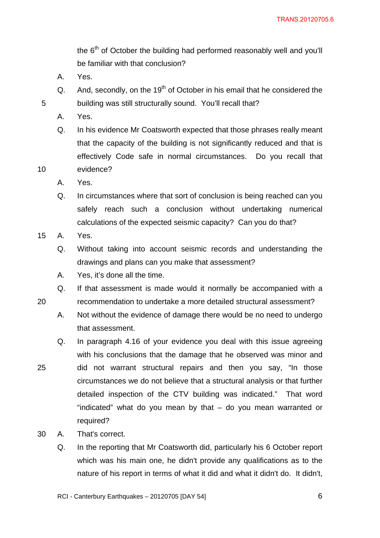the 6<sup>th</sup> of October the building had performed reasonably well and you'll be familiar with that conclusion?

- A. Yes.
- Q. And, secondly, on the  $19<sup>th</sup>$  of October in his email that he considered the building was still structurally sound. You'll recall that?
- A. Yes.

5

10

20

25

Q. In his evidence Mr Coatsworth expected that those phrases really meant that the capacity of the building is not significantly reduced and that is effectively Code safe in normal circumstances. Do you recall that evidence?

- A. Yes.
- Q. In circumstances where that sort of conclusion is being reached can you safely reach such a conclusion without undertaking numerical calculations of the expected seismic capacity? Can you do that?
- 15 A. Yes.
	- Q. Without taking into account seismic records and understanding the drawings and plans can you make that assessment?
	- A. Yes, it's done all the time.
	- Q. If that assessment is made would it normally be accompanied with a recommendation to undertake a more detailed structural assessment?
	- A. Not without the evidence of damage there would be no need to undergo that assessment.
	- Q. In paragraph 4.16 of your evidence you deal with this issue agreeing with his conclusions that the damage that he observed was minor and did not warrant structural repairs and then you say, "In those circumstances we do not believe that a structural analysis or that further detailed inspection of the CTV building was indicated." That word "indicated" what do you mean by that – do you mean warranted or required?
- 30 A. That's correct.
	- Q. In the reporting that Mr Coatsworth did, particularly his 6 October report which was his main one, he didn't provide any qualifications as to the nature of his report in terms of what it did and what it didn't do. It didn't,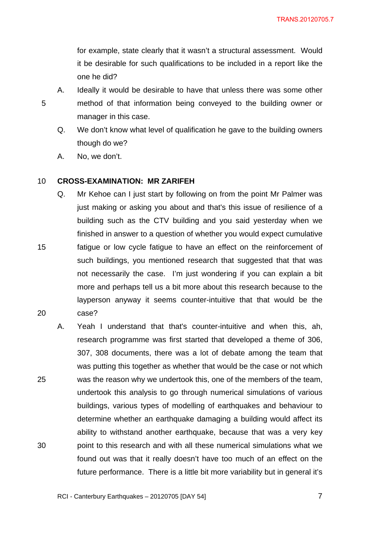for example, state clearly that it wasn't a structural assessment. Would it be desirable for such qualifications to be included in a report like the one he did?

5

15

20

- A. Ideally it would be desirable to have that unless there was some other method of that information being conveyed to the building owner or manager in this case.
- Q. We don't know what level of qualification he gave to the building owners though do we?
- A. No, we don't.

#### 10 **CROSS-EXAMINATION: MR ZARIFEH**

- Q. Mr Kehoe can I just start by following on from the point Mr Palmer was just making or asking you about and that's this issue of resilience of a building such as the CTV building and you said yesterday when we finished in answer to a question of whether you would expect cumulative fatigue or low cycle fatigue to have an effect on the reinforcement of such buildings, you mentioned research that suggested that that was not necessarily the case. I'm just wondering if you can explain a bit more and perhaps tell us a bit more about this research because to the layperson anyway it seems counter-intuitive that that would be the case?
- 25 30 A. Yeah I understand that that's counter-intuitive and when this, ah, research programme was first started that developed a theme of 306, 307, 308 documents, there was a lot of debate among the team that was putting this together as whether that would be the case or not which was the reason why we undertook this, one of the members of the team, undertook this analysis to go through numerical simulations of various buildings, various types of modelling of earthquakes and behaviour to determine whether an earthquake damaging a building would affect its ability to withstand another earthquake, because that was a very key point to this research and with all these numerical simulations what we found out was that it really doesn't have too much of an effect on the future performance. There is a little bit more variability but in general it's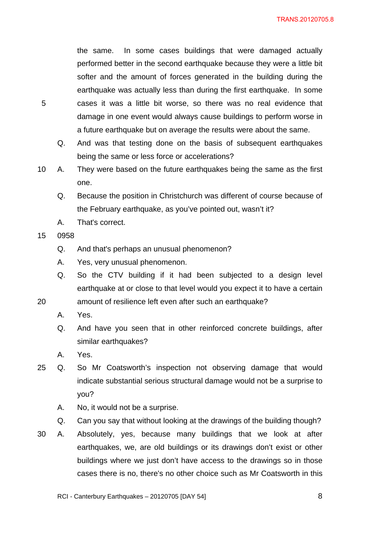TRANS.20120705.8

the same. In some cases buildings that were damaged actually performed better in the second earthquake because they were a little bit softer and the amount of forces generated in the building during the earthquake was actually less than during the first earthquake. In some cases it was a little bit worse, so there was no real evidence that damage in one event would always cause buildings to perform worse in a future earthquake but on average the results were about the same.

- Q. And was that testing done on the basis of subsequent earthquakes being the same or less force or accelerations?
- 10 A. They were based on the future earthquakes being the same as the first one.
	- Q. Because the position in Christchurch was different of course because of the February earthquake, as you've pointed out, wasn't it?
	- A. That's correct.
- 15 0958

- Q. And that's perhaps an unusual phenomenon?
- A. Yes, very unusual phenomenon.
- Q. So the CTV building if it had been subjected to a design level earthquake at or close to that level would you expect it to have a certain
- 20 amount of resilience left even after such an earthquake?
	- A. Yes.
	- Q. And have you seen that in other reinforced concrete buildings, after similar earthquakes?
	- A. Yes.
- 25 Q. So Mr Coatsworth's inspection not observing damage that would indicate substantial serious structural damage would not be a surprise to you?
	- A. No, it would not be a surprise.
	- Q. Can you say that without looking at the drawings of the building though?
- 30 A. Absolutely, yes, because many buildings that we look at after earthquakes, we, are old buildings or its drawings don't exist or other buildings where we just don't have access to the drawings so in those cases there is no, there's no other choice such as Mr Coatsworth in this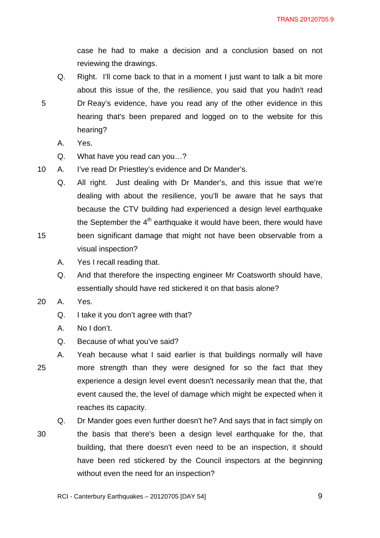case he had to make a decision and a conclusion based on not reviewing the drawings.

- Q. Right. I'll come back to that in a moment I just want to talk a bit more about this issue of the, the resilience, you said that you hadn't read Dr Reay's evidence, have you read any of the other evidence in this hearing that's been prepared and logged on to the website for this hearing?
	- A. Yes.

5

15

- Q. What have you read can you…?
- 10 A. I've read Dr Priestley's evidence and Dr Mander's.
	- Q. All right. Just dealing with Dr Mander's, and this issue that we're dealing with about the resilience, you'll be aware that he says that because the CTV building had experienced a design level earthquake the September the  $4<sup>th</sup>$  earthquake it would have been, there would have been significant damage that might not have been observable from a
	- A. Yes I recall reading that.

visual inspection?

- Q. And that therefore the inspecting engineer Mr Coatsworth should have, essentially should have red stickered it on that basis alone?
- 20 A. Yes.
	- Q. I take it you don't agree with that?
	- A. No I don't.
	- Q. Because of what you've said?
- 25 A. Yeah because what I said earlier is that buildings normally will have more strength than they were designed for so the fact that they experience a design level event doesn't necessarily mean that the, that event caused the, the level of damage which might be expected when it reaches its capacity.
- 30 Q. Dr Mander goes even further doesn't he? And says that in fact simply on the basis that there's been a design level earthquake for the, that building, that there doesn't even need to be an inspection, it should have been red stickered by the Council inspectors at the beginning without even the need for an inspection?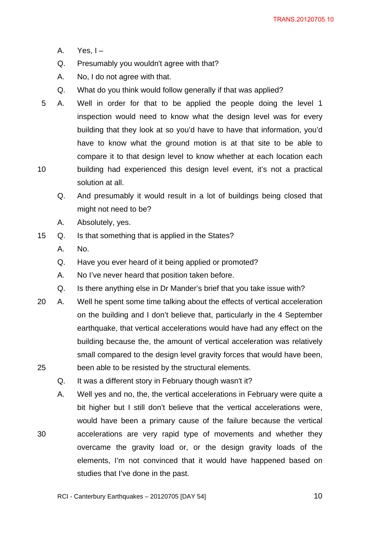- A. Yes,  $I -$
- Q. Presumably you wouldn't agree with that?
- A. No, I do not agree with that.
- Q. What do you think would follow generally if that was applied?
- 10 5 A. Well in order for that to be applied the people doing the level 1 inspection would need to know what the design level was for every building that they look at so you'd have to have that information, you'd have to know what the ground motion is at that site to be able to compare it to that design level to know whether at each location each building had experienced this design level event, it's not a practical
	- solution at all.
	- Q. And presumably it would result in a lot of buildings being closed that might not need to be?
	- A. Absolutely, yes.
- 15 Q. Is that something that is applied in the States?
	- A. No.

- Q. Have you ever heard of it being applied or promoted?
- A. No I've never heard that position taken before.
- Q. Is there anything else in Dr Mander's brief that you take issue with?
- 25 20 A. Well he spent some time talking about the effects of vertical acceleration on the building and I don't believe that, particularly in the 4 September earthquake, that vertical accelerations would have had any effect on the building because the, the amount of vertical acceleration was relatively small compared to the design level gravity forces that would have been, been able to be resisted by the structural elements.
	- Q. It was a different story in February though wasn't it?
	- A. Well yes and no, the, the vertical accelerations in February were quite a bit higher but I still don't believe that the vertical accelerations were, would have been a primary cause of the failure because the vertical accelerations are very rapid type of movements and whether they overcame the gravity load or, or the design gravity loads of the elements, I'm not convinced that it would have happened based on studies that I've done in the past.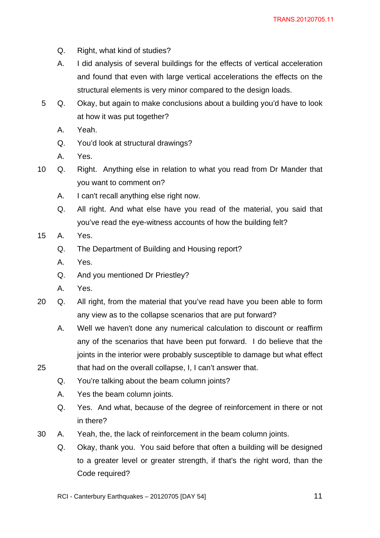- Q. Right, what kind of studies?
- A. I did analysis of several buildings for the effects of vertical acceleration and found that even with large vertical accelerations the effects on the structural elements is very minor compared to the design loads.
- 5 Q. Okay, but again to make conclusions about a building you'd have to look at how it was put together?
	- A. Yeah.
	- Q. You'd look at structural drawings?
	- A. Yes.
- 10 Q. Right. Anything else in relation to what you read from Dr Mander that you want to comment on?
	- A. I can't recall anything else right now.
	- Q. All right. And what else have you read of the material, you said that you've read the eye-witness accounts of how the building felt?
- 15 A. Yes.
	- Q. The Department of Building and Housing report?
	- A. Yes.
	- Q. And you mentioned Dr Priestley?
	- A. Yes.

- 20 Q. All right, from the material that you've read have you been able to form any view as to the collapse scenarios that are put forward?
	- A. Well we haven't done any numerical calculation to discount or reaffirm any of the scenarios that have been put forward. I do believe that the joints in the interior were probably susceptible to damage but what effect that had on the overall collapse, I, I can't answer that.
	- Q. You're talking about the beam column joints?
	- A. Yes the beam column joints.
	- Q. Yes. And what, because of the degree of reinforcement in there or not in there?
- 30 A. Yeah, the, the lack of reinforcement in the beam column joints.
	- Q. Okay, thank you. You said before that often a building will be designed to a greater level or greater strength, if that's the right word, than the Code required?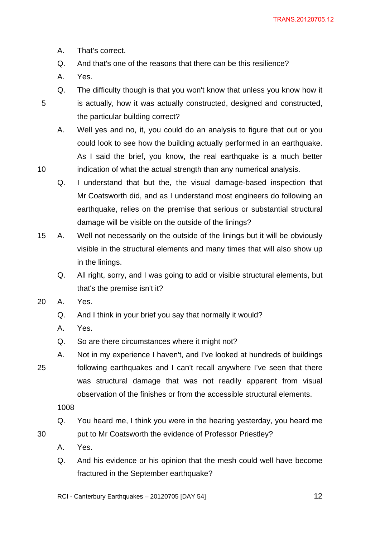- A. That's correct.
- Q. And that's one of the reasons that there can be this resilience?
- A. Yes.

10

Q. The difficulty though is that you won't know that unless you know how it is actually, how it was actually constructed, designed and constructed, the particular building correct?

A. Well yes and no, it, you could do an analysis to figure that out or you could look to see how the building actually performed in an earthquake. As I said the brief, you know, the real earthquake is a much better indication of what the actual strength than any numerical analysis.

Q. I understand that but the, the visual damage-based inspection that Mr Coatsworth did, and as I understand most engineers do following an earthquake, relies on the premise that serious or substantial structural damage will be visible on the outside of the linings?

15 A. Well not necessarily on the outside of the linings but it will be obviously visible in the structural elements and many times that will also show up in the linings.

Q. All right, sorry, and I was going to add or visible structural elements, but that's the premise isn't it?

- 20 A. Yes.
	- Q. And I think in your brief you say that normally it would?
	- A. Yes.
	- Q. So are there circumstances where it might not?
- 25 A. Not in my experience I haven't, and I've looked at hundreds of buildings following earthquakes and I can't recall anywhere I've seen that there was structural damage that was not readily apparent from visual observation of the finishes or from the accessible structural elements.

1008

- Q. You heard me, I think you were in the hearing yesterday, you heard me put to Mr Coatsworth the evidence of Professor Priestley?
- A. Yes.
- Q. And his evidence or his opinion that the mesh could well have become fractured in the September earthquake?
- RCI Canterbury Earthquakes 20120705 [DAY 54]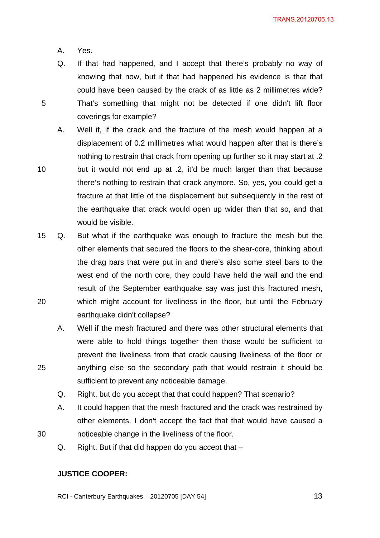- A. Yes.
- 5

25

30

knowing that now, but if that had happened his evidence is that that could have been caused by the crack of as little as 2 millimetres wide? That's something that might not be detected if one didn't lift floor coverings for example?

Q. If that had happened, and I accept that there's probably no way of

A. Well if, if the crack and the fracture of the mesh would happen at a displacement of 0.2 millimetres what would happen after that is there's nothing to restrain that crack from opening up further so it may start at .2 but it would not end up at .2, it'd be much larger than that because there's nothing to restrain that crack anymore. So, yes, you could get a fracture at that little of the displacement but subsequently in the rest of the earthquake that crack would open up wider than that so, and that

20 15 Q. But what if the earthquake was enough to fracture the mesh but the other elements that secured the floors to the shear-core, thinking about the drag bars that were put in and there's also some steel bars to the west end of the north core, they could have held the wall and the end result of the September earthquake say was just this fractured mesh, which might account for liveliness in the floor, but until the February earthquake didn't collapse?

A. Well if the mesh fractured and there was other structural elements that were able to hold things together then those would be sufficient to prevent the liveliness from that crack causing liveliness of the floor or anything else so the secondary path that would restrain it should be sufficient to prevent any noticeable damage.

Q. Right, but do you accept that that could happen? That scenario?

A. It could happen that the mesh fractured and the crack was restrained by other elements. I don't accept the fact that that would have caused a noticeable change in the liveliness of the floor.

Q. Right. But if that did happen do you accept that –

### **JUSTICE COOPER:**

would be visible.

RCI - Canterbury Earthquakes – 20120705 [DAY 54]

 $\sim$  13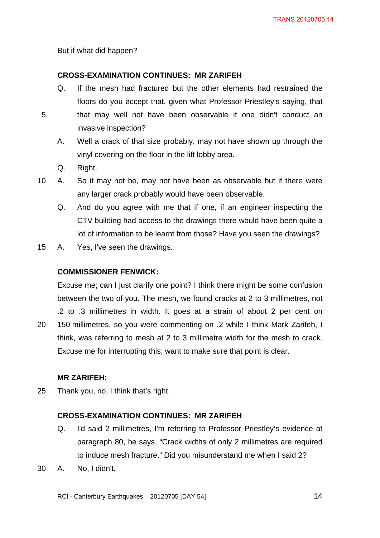But if what did happen?

### **CROSS-EXAMINATION CONTINUES: MR ZARIFEH**

- Q. If the mesh had fractured but the other elements had restrained the floors do you accept that, given what Professor Priestley's saying, that
- 5
- that may well not have been observable if one didn't conduct an invasive inspection?
- A. Well a crack of that size probably, may not have shown up through the vinyl covering on the floor in the lift lobby area.
- Q. Right.
- 10 A. So it may not be, may not have been as observable but if there were any larger crack probably would have been observable.
	- Q. And do you agree with me that if one, if an engineer inspecting the CTV building had access to the drawings there would have been quite a lot of information to be learnt from those? Have you seen the drawings?
- 15 A. Yes, I've seen the drawings.

# **COMMISSIONER FENWICK:**

20 Excuse me; can I just clarify one point? I think there might be some confusion between the two of you. The mesh, we found cracks at 2 to 3 millimetres, not .2 to .3 millimetres in width. It goes at a strain of about 2 per cent on 150 millimetres, so you were commenting on .2 while I think Mark Zarifeh, I think, was referring to mesh at 2 to 3 millimetre width for the mesh to crack. Excuse me for interrupting this; want to make sure that point is clear.

### **MR ZARIFEH:**

25 Thank you, no, I think that's right.

# **CROSS-EXAMINATION CONTINUES: MR ZARIFEH**

- Q. I'd said 2 millimetres, I'm referring to Professor Priestley's evidence at paragraph 80, he says, "Crack widths of only 2 millimetres are required to induce mesh fracture." Did you misunderstand me when I said 2?
- 30 A. No, I didn't.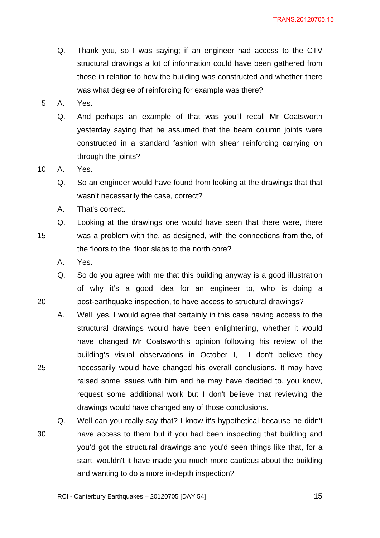- Q. Thank you, so I was saying; if an engineer had access to the CTV structural drawings a lot of information could have been gathered from those in relation to how the building was constructed and whether there was what degree of reinforcing for example was there?
- 5 A. Yes.
	- Q. And perhaps an example of that was you'll recall Mr Coatsworth yesterday saying that he assumed that the beam column joints were constructed in a standard fashion with shear reinforcing carrying on through the joints?

10 A. Yes.

- Q. So an engineer would have found from looking at the drawings that that wasn't necessarily the case, correct?
- A. That's correct.
- 15 Q. Looking at the drawings one would have seen that there were, there was a problem with the, as designed, with the connections from the, of the floors to the, floor slabs to the north core?
	- A. Yes.

20

- Q. So do you agree with me that this building anyway is a good illustration of why it's a good idea for an engineer to, who is doing a post-earthquake inspection, to have access to structural drawings?
- A. Well, yes, I would agree that certainly in this case having access to the structural drawings would have been enlightening, whether it would have changed Mr Coatsworth's opinion following his review of the building's visual observations in October I, I don't believe they necessarily would have changed his overall conclusions. It may have raised some issues with him and he may have decided to, you know, request some additional work but I don't believe that reviewing the drawings would have changed any of those conclusions.
- 30 Q. Well can you really say that? I know it's hypothetical because he didn't have access to them but if you had been inspecting that building and you'd got the structural drawings and you'd seen things like that, for a start, wouldn't it have made you much more cautious about the building and wanting to do a more in-depth inspection?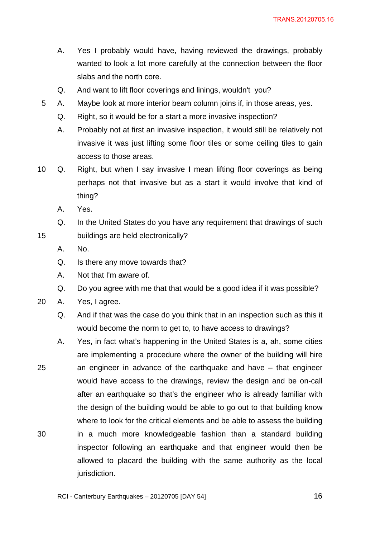- A. Yes I probably would have, having reviewed the drawings, probably wanted to look a lot more carefully at the connection between the floor slabs and the north core.
- Q. And want to lift floor coverings and linings, wouldn't you?
- 5 A. Maybe look at more interior beam column joins if, in those areas, yes.
	- Q. Right, so it would be for a start a more invasive inspection?
	- A. Probably not at first an invasive inspection, it would still be relatively not invasive it was just lifting some floor tiles or some ceiling tiles to gain access to those areas.
- 10 Q. Right, but when I say invasive I mean lifting floor coverings as being perhaps not that invasive but as a start it would involve that kind of thing?
	- A. Yes.
	- Q. In the United States do you have any requirement that drawings of such buildings are held electronically?
	- A. No.

- Q. Is there any move towards that?
- A. Not that I'm aware of.
- Q. Do you agree with me that that would be a good idea if it was possible?
- 20 A. Yes, I agree.
	- Q. And if that was the case do you think that in an inspection such as this it would become the norm to get to, to have access to drawings?
- 25 30 A. Yes, in fact what's happening in the United States is a, ah, some cities are implementing a procedure where the owner of the building will hire an engineer in advance of the earthquake and have – that engineer would have access to the drawings, review the design and be on-call after an earthquake so that's the engineer who is already familiar with the design of the building would be able to go out to that building know where to look for the critical elements and be able to assess the building in a much more knowledgeable fashion than a standard building inspector following an earthquake and that engineer would then be allowed to placard the building with the same authority as the local jurisdiction.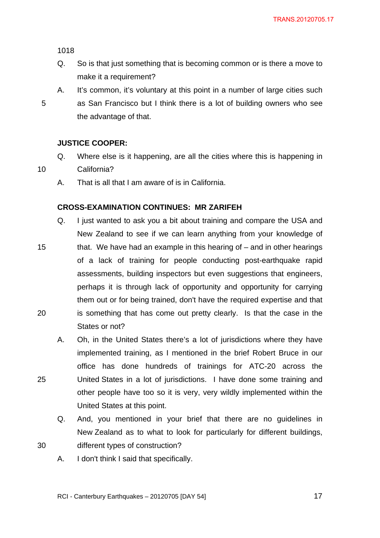Q. So is that just something that is becoming common or is there a move to make it a requirement?

5

10

25

30

A. It's common, it's voluntary at this point in a number of large cities such as San Francisco but I think there is a lot of building owners who see the advantage of that.

#### **JUSTICE COOPER:**

- Q. Where else is it happening, are all the cities where this is happening in California?
- A. That is all that I am aware of is in California.

### **CROSS-EXAMINATION CONTINUES: MR ZARIFEH**

- 15 20 Q. I just wanted to ask you a bit about training and compare the USA and New Zealand to see if we can learn anything from your knowledge of that. We have had an example in this hearing of – and in other hearings of a lack of training for people conducting post-earthquake rapid assessments, building inspectors but even suggestions that engineers, perhaps it is through lack of opportunity and opportunity for carrying them out or for being trained, don't have the required expertise and that is something that has come out pretty clearly. Is that the case in the States or not?
	- A. Oh, in the United States there's a lot of jurisdictions where they have implemented training, as I mentioned in the brief Robert Bruce in our office has done hundreds of trainings for ATC-20 across the United States in a lot of jurisdictions. I have done some training and other people have too so it is very, very wildly implemented within the United States at this point.
	- Q. And, you mentioned in your brief that there are no guidelines in New Zealand as to what to look for particularly for different buildings, different types of construction?
	- A. I don't think I said that specifically.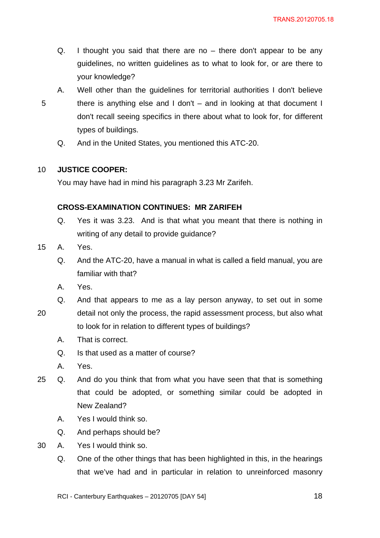- Q. I thought you said that there are no  $-$  there don't appear to be any guidelines, no written guidelines as to what to look for, or are there to your knowledge?
- 5
- A. Well other than the guidelines for territorial authorities I don't believe there is anything else and I don't – and in looking at that document I don't recall seeing specifics in there about what to look for, for different types of buildings.
- Q. And in the United States, you mentioned this ATC-20.

#### 10 **JUSTICE COOPER:**

You may have had in mind his paragraph 3.23 Mr Zarifeh.

### **CROSS-EXAMINATION CONTINUES: MR ZARIFEH**

- Q. Yes it was 3.23. And is that what you meant that there is nothing in writing of any detail to provide guidance?
- 15 A. Yes.
	- Q. And the ATC-20, have a manual in what is called a field manual, you are familiar with that?
	- A. Yes.
	- Q. And that appears to me as a lay person anyway, to set out in some
- 20 detail not only the process, the rapid assessment process, but also what to look for in relation to different types of buildings?
	- A. That is correct.
	- Q. Is that used as a matter of course?
	- A. Yes.
- 25 Q. And do you think that from what you have seen that that is something that could be adopted, or something similar could be adopted in New Zealand?
	- A. Yes I would think so.
	- Q. And perhaps should be?
- 30 A. Yes I would think so.
	- Q. One of the other things that has been highlighted in this, in the hearings that we've had and in particular in relation to unreinforced masonry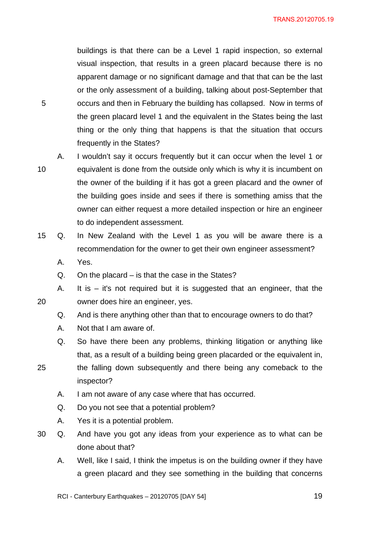buildings is that there can be a Level 1 rapid inspection, so external visual inspection, that results in a green placard because there is no apparent damage or no significant damage and that that can be the last or the only assessment of a building, talking about post-September that occurs and then in February the building has collapsed. Now in terms of the green placard level 1 and the equivalent in the States being the last thing or the only thing that happens is that the situation that occurs frequently in the States?

10 A. I wouldn't say it occurs frequently but it can occur when the level 1 or

20

5

- equivalent is done from the outside only which is why it is incumbent on the owner of the building if it has got a green placard and the owner of the building goes inside and sees if there is something amiss that the owner can either request a more detailed inspection or hire an engineer to do independent assessment.
- 15 Q. In New Zealand with the Level 1 as you will be aware there is a recommendation for the owner to get their own engineer assessment?
	- A. Yes.
	- Q. On the placard is that the case in the States?
	- A. It is it's not required but it is suggested that an engineer, that the owner does hire an engineer, yes.
		- Q. And is there anything other than that to encourage owners to do that?
		- A. Not that I am aware of.
		- Q. So have there been any problems, thinking litigation or anything like that, as a result of a building being green placarded or the equivalent in,
- 25 the falling down subsequently and there being any comeback to the inspector?
	- A. I am not aware of any case where that has occurred.
	- Q. Do you not see that a potential problem?
	- A. Yes it is a potential problem.
- 30 Q. And have you got any ideas from your experience as to what can be done about that?
	- A. Well, like I said, I think the impetus is on the building owner if they have a green placard and they see something in the building that concerns

RCI - Canterbury Earthquakes – 20120705 [DAY 54]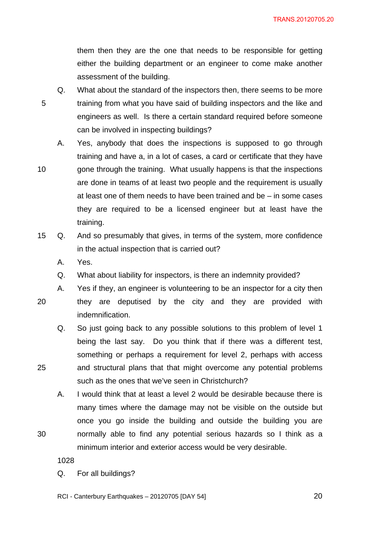them then they are the one that needs to be responsible for getting either the building department or an engineer to come make another assessment of the building.

- 5 Q. What about the standard of the inspectors then, there seems to be more training from what you have said of building inspectors and the like and engineers as well. Is there a certain standard required before someone can be involved in inspecting buildings?
	- A. Yes, anybody that does the inspections is supposed to go through training and have a, in a lot of cases, a card or certificate that they have gone through the training. What usually happens is that the inspections
- 10 are done in teams of at least two people and the requirement is usually at least one of them needs to have been trained and be – in some cases they are required to be a licensed engineer but at least have the training.
- 15 Q. And so presumably that gives, in terms of the system, more confidence in the actual inspection that is carried out?
	- A. Yes.

indemnification.

- Q. What about liability for inspectors, is there an indemnity provided?
- 20

25

30

A. Yes if they, an engineer is volunteering to be an inspector for a city then they are deputised by the city and they are provided with

Q. So just going back to any possible solutions to this problem of level 1 being the last say. Do you think that if there was a different test, something or perhaps a requirement for level 2, perhaps with access and structural plans that that might overcome any potential problems such as the ones that we've seen in Christchurch?

A. I would think that at least a level 2 would be desirable because there is many times where the damage may not be visible on the outside but once you go inside the building and outside the building you are normally able to find any potential serious hazards so I think as a minimum interior and exterior access would be very desirable.

1028

Q. For all buildings?

RCI - Canterbury Earthquakes – 20120705 [DAY 54]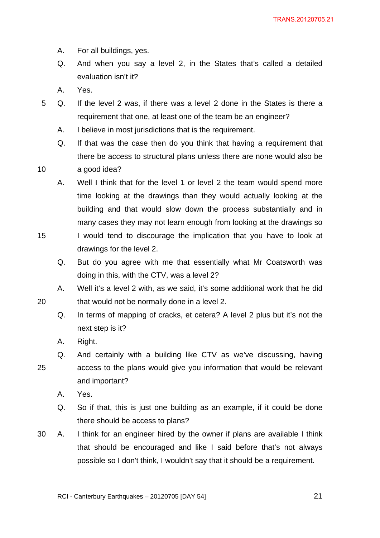- A. For all buildings, yes.
- Q. And when you say a level 2, in the States that's called a detailed evaluation isn't it?
- A. Yes.
- 5 Q. If the level 2 was, if there was a level 2 done in the States is there a requirement that one, at least one of the team be an engineer?
	- A. I believe in most jurisdictions that is the requirement.
	- Q. If that was the case then do you think that having a requirement that there be access to structural plans unless there are none would also be

10 a good idea?

> A. Well I think that for the level 1 or level 2 the team would spend more time looking at the drawings than they would actually looking at the building and that would slow down the process substantially and in many cases they may not learn enough from looking at the drawings so

- 15 I would tend to discourage the implication that you have to look at drawings for the level 2.
	- Q. But do you agree with me that essentially what Mr Coatsworth was doing in this, with the CTV, was a level 2?
	- A. Well it's a level 2 with, as we said, it's some additional work that he did that would not be normally done in a level 2.
		- Q. In terms of mapping of cracks, et cetera? A level 2 plus but it's not the next step is it?
		- A. Right.

- 25 Q. And certainly with a building like CTV as we've discussing, having access to the plans would give you information that would be relevant and important?
	- A. Yes.
	- Q. So if that, this is just one building as an example, if it could be done there should be access to plans?
- 30 A. I think for an engineer hired by the owner if plans are available I think that should be encouraged and like I said before that's not always possible so I don't think, I wouldn't say that it should be a requirement.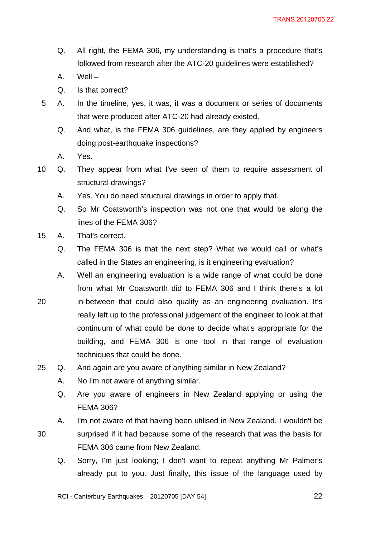- Q. All right, the FEMA 306, my understanding is that's a procedure that's followed from research after the ATC-20 guidelines were established?
- A. Well –
- Q. Is that correct?
- 5 A. In the timeline, yes, it was, it was a document or series of documents that were produced after ATC-20 had already existed.
	- Q. And what, is the FEMA 306 guidelines, are they applied by engineers doing post-earthquake inspections?
	- A. Yes.
- 10 Q. They appear from what I've seen of them to require assessment of structural drawings?
	- A. Yes. You do need structural drawings in order to apply that.
	- Q. So Mr Coatsworth's inspection was not one that would be along the lines of the FEMA 306?
- 15 A. That's correct.
	- Q. The FEMA 306 is that the next step? What we would call or what's called in the States an engineering, is it engineering evaluation?
	- A. Well an engineering evaluation is a wide range of what could be done from what Mr Coatsworth did to FEMA 306 and I think there's a lot
- 20 in-between that could also qualify as an engineering evaluation. It's really left up to the professional judgement of the engineer to look at that continuum of what could be done to decide what's appropriate for the building, and FEMA 306 is one tool in that range of evaluation techniques that could be done.
- 25 Q. And again are you aware of anything similar in New Zealand?
	- A. No I'm not aware of anything similar.
	- Q. Are you aware of engineers in New Zealand applying or using the FEMA 306?
	- A. I'm not aware of that having been utilised in New Zealand. I wouldn't be
	-

- surprised if it had because some of the research that was the basis for FEMA 306 came from New Zealand.
- Q. Sorry, I'm just looking; I don't want to repeat anything Mr Palmer's already put to you. Just finally, this issue of the language used by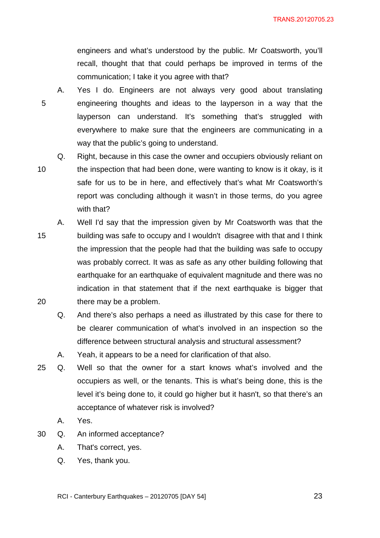TRANS.20120705.23

engineers and what's understood by the public. Mr Coatsworth, you'll recall, thought that that could perhaps be improved in terms of the communication; I take it you agree with that?

5 A. Yes I do. Engineers are not always very good about translating engineering thoughts and ideas to the layperson in a way that the layperson can understand. It's something that's struggled with everywhere to make sure that the engineers are communicating in a way that the public's going to understand.

- Q. Right, because in this case the owner and occupiers obviously reliant on the inspection that had been done, were wanting to know is it okay, is it safe for us to be in here, and effectively that's what Mr Coatsworth's report was concluding although it wasn't in those terms, do you agree with that?
- 15 20 A. Well I'd say that the impression given by Mr Coatsworth was that the building was safe to occupy and I wouldn't disagree with that and I think the impression that the people had that the building was safe to occupy was probably correct. It was as safe as any other building following that earthquake for an earthquake of equivalent magnitude and there was no indication in that statement that if the next earthquake is bigger that there may be a problem.
	- Q. And there's also perhaps a need as illustrated by this case for there to be clearer communication of what's involved in an inspection so the difference between structural analysis and structural assessment?
	- A. Yeah, it appears to be a need for clarification of that also.
- 25 Q. Well so that the owner for a start knows what's involved and the occupiers as well, or the tenants. This is what's being done, this is the level it's being done to, it could go higher but it hasn't, so that there's an acceptance of whatever risk is involved?
	- A. Yes.
- 30 Q. An informed acceptance?
	- A. That's correct, yes.
	- Q. Yes, thank you.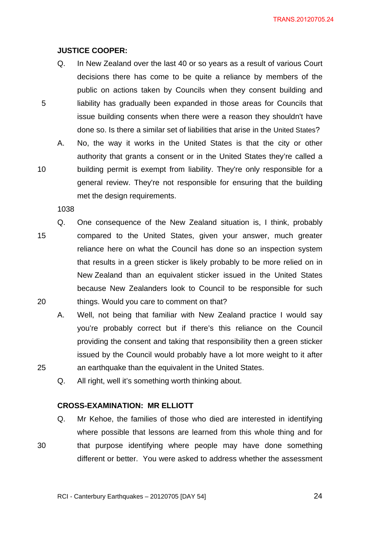TRANS.20120705.24

#### **JUSTICE COOPER:**

- Q. In New Zealand over the last 40 or so years as a result of various Court decisions there has come to be quite a reliance by members of the public on actions taken by Councils when they consent building and liability has gradually been expanded in those areas for Councils that issue building consents when there were a reason they shouldn't have done so. Is there a similar set of liabilities that arise in the United States?
- A. No, the way it works in the United States is that the city or other authority that grants a consent or in the United States they're called a building permit is exempt from liability. They're only responsible for a general review. They're not responsible for ensuring that the building met the design requirements.

1038

5

10

25

30

- 15 20 Q. One consequence of the New Zealand situation is, I think, probably compared to the United States, given your answer, much greater reliance here on what the Council has done so an inspection system that results in a green sticker is likely probably to be more relied on in New Zealand than an equivalent sticker issued in the United States because New Zealanders look to Council to be responsible for such things. Would you care to comment on that?
	- A. Well, not being that familiar with New Zealand practice I would say you're probably correct but if there's this reliance on the Council providing the consent and taking that responsibility then a green sticker issued by the Council would probably have a lot more weight to it after an earthquake than the equivalent in the United States.
	- Q. All right, well it's something worth thinking about.

#### **CROSS-EXAMINATION: MR ELLIOTT**

Q. Mr Kehoe, the families of those who died are interested in identifying where possible that lessons are learned from this whole thing and for that purpose identifying where people may have done something

different or better. You were asked to address whether the assessment

RCI - Canterbury Earthquakes – 20120705 [DAY 54]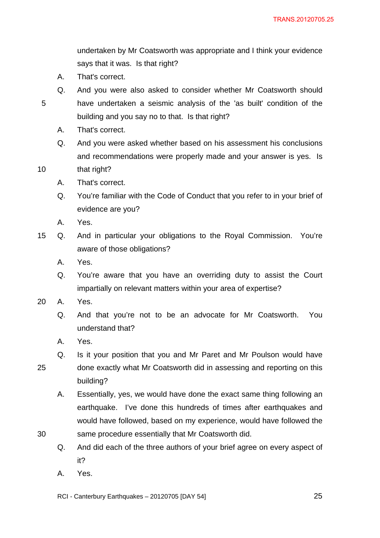undertaken by Mr Coatsworth was appropriate and I think your evidence says that it was. Is that right?

- A. That's correct.
- Q. And you were also asked to consider whether Mr Coatsworth should have undertaken a seismic analysis of the 'as built' condition of the
- 5
- building and you say no to that. Is that right?
- A. That's correct.
- Q. And you were asked whether based on his assessment his conclusions and recommendations were properly made and your answer is yes. Is
- 10 that right?
	- A. That's correct.
	- Q. You're familiar with the Code of Conduct that you refer to in your brief of evidence are you?
	- A. Yes.
- 15 Q. And in particular your obligations to the Royal Commission. You're aware of those obligations?
	- A. Yes.
	- Q. You're aware that you have an overriding duty to assist the Court impartially on relevant matters within your area of expertise?
- 20 A. Yes.
	- Q. And that you're not to be an advocate for Mr Coatsworth. You understand that?
	- A. Yes.
- 25 Q. Is it your position that you and Mr Paret and Mr Poulson would have done exactly what Mr Coatsworth did in assessing and reporting on this building?
	- A. Essentially, yes, we would have done the exact same thing following an earthquake. I've done this hundreds of times after earthquakes and would have followed, based on my experience, would have followed the same procedure essentially that Mr Coatsworth did.
	- Q. And did each of the three authors of your brief agree on every aspect of it?
	- A. Yes.

30

RCI - Canterbury Earthquakes – 20120705 [DAY 54]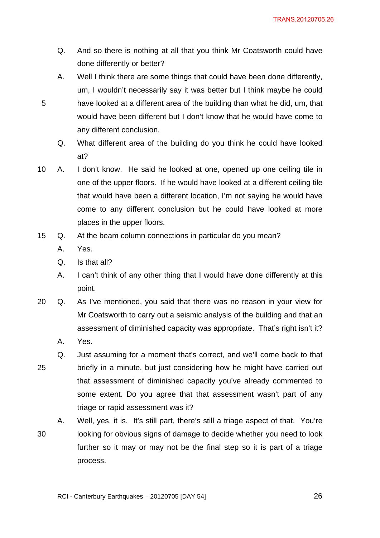- Q. And so there is nothing at all that you think Mr Coatsworth could have done differently or better?
- A. Well I think there are some things that could have been done differently, um, I wouldn't necessarily say it was better but I think maybe he could have looked at a different area of the building than what he did, um, that would have been different but I don't know that he would have come to
- Q. What different area of the building do you think he could have looked at?
- 10 A. I don't know. He said he looked at one, opened up one ceiling tile in one of the upper floors. If he would have looked at a different ceiling tile that would have been a different location, I'm not saying he would have come to any different conclusion but he could have looked at more places in the upper floors.
- 15 Q. At the beam column connections in particular do you mean?
	- A. Yes.

Q. Is that all?

any different conclusion.

- A. I can't think of any other thing that I would have done differently at this point.
- 20 Q. As I've mentioned, you said that there was no reason in your view for Mr Coatsworth to carry out a seismic analysis of the building and that an assessment of diminished capacity was appropriate. That's right isn't it?
	- A. Yes.
- 25 Q. Just assuming for a moment that's correct, and we'll come back to that briefly in a minute, but just considering how he might have carried out that assessment of diminished capacity you've already commented to some extent. Do you agree that that assessment wasn't part of any triage or rapid assessment was it?
- 30 A. Well, yes, it is. It's still part, there's still a triage aspect of that. You're looking for obvious signs of damage to decide whether you need to look further so it may or may not be the final step so it is part of a triage process.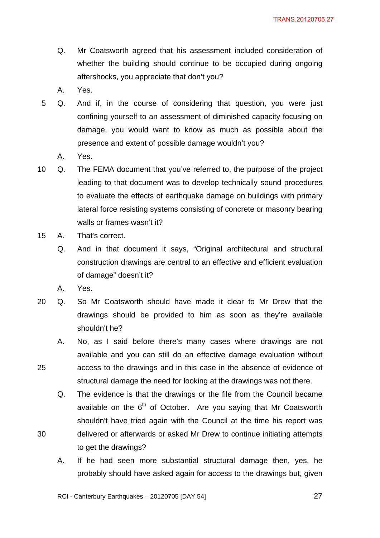- Q. Mr Coatsworth agreed that his assessment included consideration of whether the building should continue to be occupied during ongoing aftershocks, you appreciate that don't you?
- A. Yes.
- 5 Q. And if, in the course of considering that question, you were just confining yourself to an assessment of diminished capacity focusing on damage, you would want to know as much as possible about the presence and extent of possible damage wouldn't you?
	- A. Yes.
- 10 Q. The FEMA document that you've referred to, the purpose of the project leading to that document was to develop technically sound procedures to evaluate the effects of earthquake damage on buildings with primary lateral force resisting systems consisting of concrete or masonry bearing walls or frames wasn't it?
- 15 A. That's correct.
	- Q. And in that document it says, "Original architectural and structural construction drawings are central to an effective and efficient evaluation of damage" doesn't it?
	- A. Yes.

30

- 20 Q. So Mr Coatsworth should have made it clear to Mr Drew that the drawings should be provided to him as soon as they're available shouldn't he?
	- A. No, as I said before there's many cases where drawings are not available and you can still do an effective damage evaluation without access to the drawings and in this case in the absence of evidence of structural damage the need for looking at the drawings was not there.
	- Q. The evidence is that the drawings or the file from the Council became available on the  $6<sup>th</sup>$  of October. Are you saying that Mr Coatsworth shouldn't have tried again with the Council at the time his report was delivered or afterwards or asked Mr Drew to continue initiating attempts to get the drawings?
	- A. If he had seen more substantial structural damage then, yes, he probably should have asked again for access to the drawings but, given

RCI - Canterbury Earthquakes – 20120705 [DAY 54]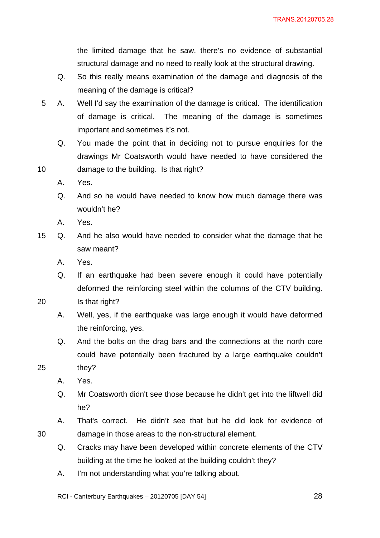the limited damage that he saw, there's no evidence of substantial structural damage and no need to really look at the structural drawing.

- Q. So this really means examination of the damage and diagnosis of the meaning of the damage is critical?
- 5 A. Well I'd say the examination of the damage is critical. The identification of damage is critical. The meaning of the damage is sometimes important and sometimes it's not.
	- Q. You made the point that in deciding not to pursue enquiries for the drawings Mr Coatsworth would have needed to have considered the damage to the building. Is that right?
	- A. Yes.

10

- Q. And so he would have needed to know how much damage there was wouldn't he?
- A. Yes.
- 15 Q. And he also would have needed to consider what the damage that he saw meant?
	- A. Yes.
	- Q. If an earthquake had been severe enough it could have potentially deformed the reinforcing steel within the columns of the CTV building.
- 20 Is that right?
	- A. Well, yes, if the earthquake was large enough it would have deformed the reinforcing, yes.
	- Q. And the bolts on the drag bars and the connections at the north core could have potentially been fractured by a large earthquake couldn't
- 25 they?

30

- A. Yes.
- Q. Mr Coatsworth didn't see those because he didn't get into the liftwell did he?
- A. That's correct. He didn't see that but he did look for evidence of damage in those areas to the non-structural element.
- Q. Cracks may have been developed within concrete elements of the CTV building at the time he looked at the building couldn't they?
- A. I'm not understanding what you're talking about.

RCI - Canterbury Earthquakes – 20120705 [DAY 54]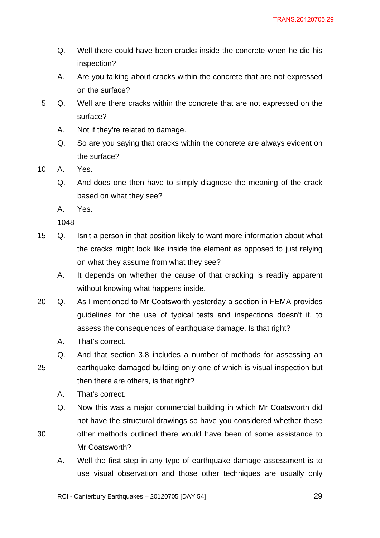- Q. Well there could have been cracks inside the concrete when he did his inspection?
- A. Are you talking about cracks within the concrete that are not expressed on the surface?
- 5 Q. Well are there cracks within the concrete that are not expressed on the surface?
	- A. Not if they're related to damage.
	- Q. So are you saying that cracks within the concrete are always evident on the surface?

10 A. Yes.

- Q. And does one then have to simply diagnose the meaning of the crack based on what they see?
- A. Yes.

1048

- 15 Q. Isn't a person in that position likely to want more information about what the cracks might look like inside the element as opposed to just relying on what they assume from what they see?
	- A. It depends on whether the cause of that cracking is readily apparent without knowing what happens inside.
- 20 Q. As I mentioned to Mr Coatsworth yesterday a section in FEMA provides guidelines for the use of typical tests and inspections doesn't it, to assess the consequences of earthquake damage. Is that right?
	- A. That's correct.
	- Q. And that section 3.8 includes a number of methods for assessing an earthquake damaged building only one of which is visual inspection but
	- then there are others, is that right?
		- A. That's correct.
		- Q. Now this was a major commercial building in which Mr Coatsworth did not have the structural drawings so have you considered whether these
- 30 other methods outlined there would have been of some assistance to Mr Coatsworth?
	- A. Well the first step in any type of earthquake damage assessment is to use visual observation and those other techniques are usually only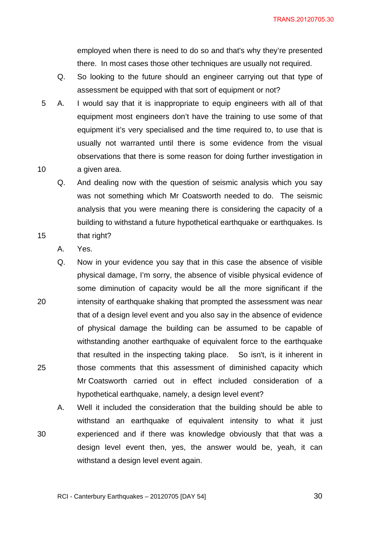employed when there is need to do so and that's why they're presented there. In most cases those other techniques are usually not required.

- Q. So looking to the future should an engineer carrying out that type of assessment be equipped with that sort of equipment or not?
- 10 5 A. I would say that it is inappropriate to equip engineers with all of that equipment most engineers don't have the training to use some of that equipment it's very specialised and the time required to, to use that is usually not warranted until there is some evidence from the visual observations that there is some reason for doing further investigation in a given area.
	- Q. And dealing now with the question of seismic analysis which you say was not something which Mr Coatsworth needed to do. The seismic analysis that you were meaning there is considering the capacity of a building to withstand a future hypothetical earthquake or earthquakes. Is that right?
	- A. Yes.

15

20 25 Q. Now in your evidence you say that in this case the absence of visible physical damage, I'm sorry, the absence of visible physical evidence of some diminution of capacity would be all the more significant if the intensity of earthquake shaking that prompted the assessment was near that of a design level event and you also say in the absence of evidence of physical damage the building can be assumed to be capable of withstanding another earthquake of equivalent force to the earthquake that resulted in the inspecting taking place. So isn't, is it inherent in those comments that this assessment of diminished capacity which Mr Coatsworth carried out in effect included consideration of a hypothetical earthquake, namely, a design level event?

30 A. Well it included the consideration that the building should be able to withstand an earthquake of equivalent intensity to what it just experienced and if there was knowledge obviously that that was a design level event then, yes, the answer would be, yeah, it can withstand a design level event again.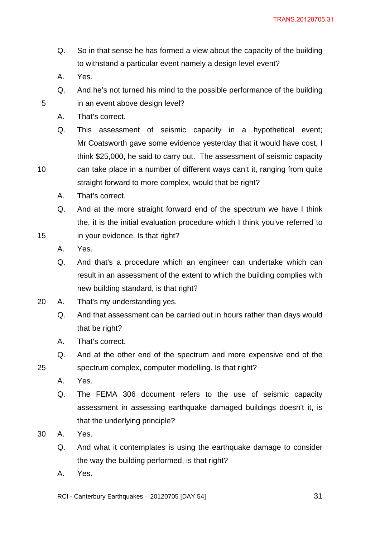- Q. So in that sense he has formed a view about the capacity of the building to withstand a particular event namely a design level event?
- A. Yes.

10

- Q. And he's not turned his mind to the possible performance of the building in an event above design level?
- A. That's correct.
- Q. This assessment of seismic capacity in a hypothetical event; Mr Coatsworth gave some evidence yesterday that it would have cost, I think \$25,000, he said to carry out. The assessment of seismic capacity can take place in a number of different ways can't it, ranging from quite
- straight forward to more complex, would that be right?
	- A. That's correct.
	- Q. And at the more straight forward end of the spectrum we have I think the, it is the initial evaluation procedure which I think you've referred to
- 15 in your evidence. Is that right?
	- A. Yes.
	- Q. And that's a procedure which an engineer can undertake which can result in an assessment of the extent to which the building complies with new building standard, is that right?
- 20 A. That's my understanding yes.
	- Q. And that assessment can be carried out in hours rather than days would that be right?
	- A. That's correct.
	- Q. And at the other end of the spectrum and more expensive end of the spectrum complex, computer modelling. Is that right?
	- A. Yes.

25

- Q. The FEMA 306 document refers to the use of seismic capacity assessment in assessing earthquake damaged buildings doesn't it, is that the underlying principle?
- 30 A. Yes.
	- Q. And what it contemplates is using the earthquake damage to consider the way the building performed, is that right?
	- A. Yes.

RCI - Canterbury Earthquakes – 20120705 [DAY 54]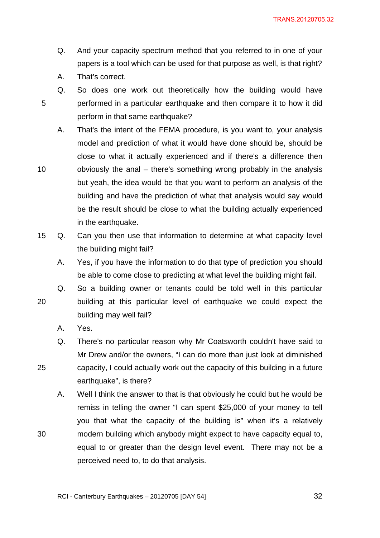- Q. And your capacity spectrum method that you referred to in one of your papers is a tool which can be used for that purpose as well, is that right?
- A. That's correct.

10

25

- Q. So does one work out theoretically how the building would have performed in a particular earthquake and then compare it to how it did perform in that same earthquake?
- A. That's the intent of the FEMA procedure, is you want to, your analysis model and prediction of what it would have done should be, should be close to what it actually experienced and if there's a difference then obviously the anal – there's something wrong probably in the analysis but yeah, the idea would be that you want to perform an analysis of the building and have the prediction of what that analysis would say would be the result should be close to what the building actually experienced in the earthquake.
- 15 Q. Can you then use that information to determine at what capacity level the building might fail?
	- A. Yes, if you have the information to do that type of prediction you should be able to come close to predicting at what level the building might fail.
- 20 Q. So a building owner or tenants could be told well in this particular building at this particular level of earthquake we could expect the building may well fail?
	- A. Yes.
	- Q. There's no particular reason why Mr Coatsworth couldn't have said to Mr Drew and/or the owners, "I can do more than just look at diminished capacity, I could actually work out the capacity of this building in a future earthquake", is there?
	- A. Well I think the answer to that is that obviously he could but he would be remiss in telling the owner "I can spent \$25,000 of your money to tell you that what the capacity of the building is" when it's a relatively modern building which anybody might expect to have capacity equal to, equal to or greater than the design level event. There may not be a perceived need to, to do that analysis.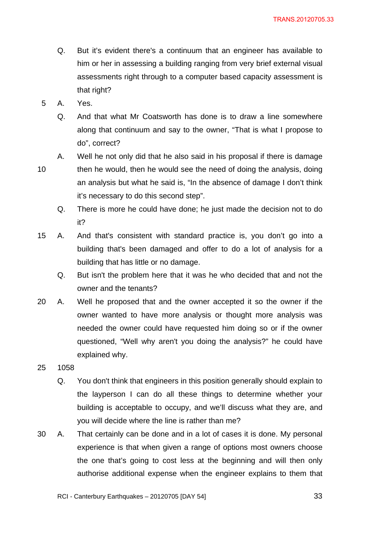- Q. But it's evident there's a continuum that an engineer has available to him or her in assessing a building ranging from very brief external visual assessments right through to a computer based capacity assessment is that right?
- 5 A. Yes.
	- Q. And that what Mr Coatsworth has done is to draw a line somewhere along that continuum and say to the owner, "That is what I propose to do", correct?
- 10

A. Well he not only did that he also said in his proposal if there is damage then he would, then he would see the need of doing the analysis, doing an analysis but what he said is, "In the absence of damage I don't think it's necessary to do this second step".

- Q. There is more he could have done; he just made the decision not to do it?
- 15 A. And that's consistent with standard practice is, you don't go into a building that's been damaged and offer to do a lot of analysis for a building that has little or no damage.
	- Q. But isn't the problem here that it was he who decided that and not the owner and the tenants?
- 20 A. Well he proposed that and the owner accepted it so the owner if the owner wanted to have more analysis or thought more analysis was needed the owner could have requested him doing so or if the owner questioned, "Well why aren't you doing the analysis?" he could have explained why.
- 25 1058
	- Q. You don't think that engineers in this position generally should explain to the layperson I can do all these things to determine whether your building is acceptable to occupy, and we'll discuss what they are, and you will decide where the line is rather than me?
- 30 A. That certainly can be done and in a lot of cases it is done. My personal experience is that when given a range of options most owners choose the one that's going to cost less at the beginning and will then only authorise additional expense when the engineer explains to them that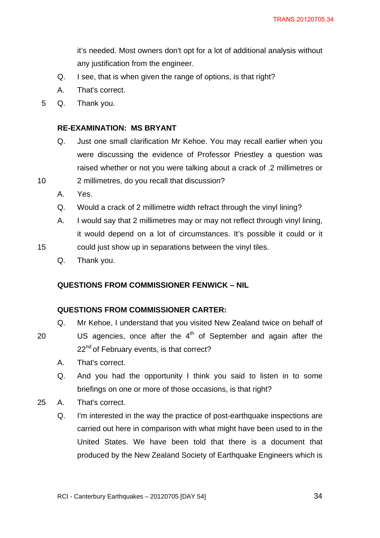it's needed. Most owners don't opt for a lot of additional analysis without any justification from the engineer.

- Q. I see, that is when given the range of options, is that right?
- A. That's correct.
- 5 Q. Thank you.

#### **RE-EXAMINATION: MS BRYANT**

- Q. Just one small clarification Mr Kehoe. You may recall earlier when you were discussing the evidence of Professor Priestley a question was raised whether or not you were talking about a crack of .2 millimetres or 2 millimetres, do you recall that discussion?
- A. Yes.

10

20

- Q. Would a crack of 2 millimetre width refract through the vinyl lining?
- A. I would say that 2 millimetres may or may not reflect through vinyl lining, it would depend on a lot of circumstances. It's possible it could or it
- 15 could just show up in separations between the vinyl tiles.
	- Q. Thank you.

#### **QUESTIONS FROM COMMISSIONER FENWICK – NIL**

#### **QUESTIONS FROM COMMISSIONER CARTER:**

- Q. Mr Kehoe, I understand that you visited New Zealand twice on behalf of US agencies, once after the  $4<sup>th</sup>$  of September and again after the 22<sup>nd</sup> of February events, is that correct?
	- A. That's correct.
- Q. And you had the opportunity I think you said to listen in to some briefings on one or more of those occasions, is that right?
- 25 A. That's correct.
	- Q. I'm interested in the way the practice of post-earthquake inspections are carried out here in comparison with what might have been used to in the United States. We have been told that there is a document that produced by the New Zealand Society of Earthquake Engineers which is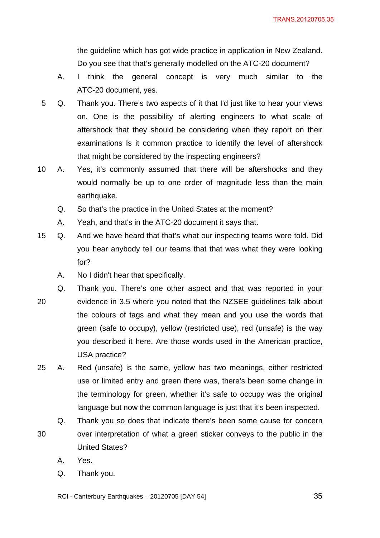the guideline which has got wide practice in application in New Zealand. Do you see that that's generally modelled on the ATC-20 document?

- A. I think the general concept is very much similar to the ATC-20 document, yes.
- 5 Q. Thank you. There's two aspects of it that I'd just like to hear your views on. One is the possibility of alerting engineers to what scale of aftershock that they should be considering when they report on their examinations Is it common practice to identify the level of aftershock that might be considered by the inspecting engineers?
- 10 A. Yes, it's commonly assumed that there will be aftershocks and they would normally be up to one order of magnitude less than the main earthquake.
	- Q. So that's the practice in the United States at the moment?
	- A. Yeah, and that's in the ATC-20 document it says that.
- 15 Q. And we have heard that that's what our inspecting teams were told. Did you hear anybody tell our teams that that was what they were looking for?
	- A. No I didn't hear that specifically.
- 20 Q. Thank you. There's one other aspect and that was reported in your evidence in 3.5 where you noted that the NZSEE guidelines talk about the colours of tags and what they mean and you use the words that green (safe to occupy), yellow (restricted use), red (unsafe) is the way you described it here. Are those words used in the American practice, USA practice?
- 25 A. Red (unsafe) is the same, yellow has two meanings, either restricted use or limited entry and green there was, there's been some change in the terminology for green, whether it's safe to occupy was the original language but now the common language is just that it's been inspected.
- 30 Q. Thank you so does that indicate there's been some cause for concern over interpretation of what a green sticker conveys to the public in the United States?
	- A. Yes.
	- Q. Thank you.
	- RCI Canterbury Earthquakes 20120705 [DAY 54]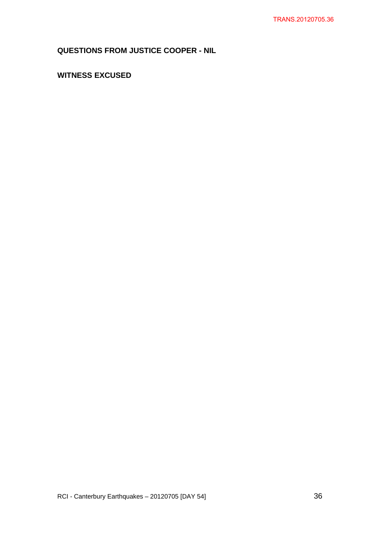# **QUESTIONS FROM JUSTICE COOPER - NIL**

# **WITNESS EXCUSED**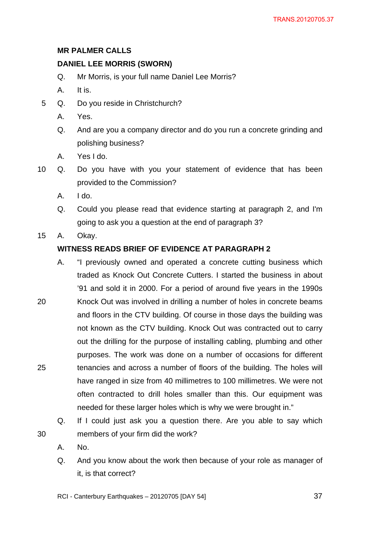# **MR PALMER CALLS**

# **DANIEL LEE MORRIS (SWORN)**

- Q. Mr Morris, is your full name Daniel Lee Morris?
- A. It is.
- 5 Q. Do you reside in Christchurch?
	- A. Yes.
	- Q. And are you a company director and do you run a concrete grinding and polishing business?
	- A. Yes I do.
- 10 Q. Do you have with you your statement of evidence that has been provided to the Commission?
	- A. I do.
	- Q. Could you please read that evidence starting at paragraph 2, and I'm going to ask you a question at the end of paragraph 3?
- 15 A. Okay.

# **WITNESS READS BRIEF OF EVIDENCE AT PARAGRAPH 2**

- 20 25 A. "I previously owned and operated a concrete cutting business which traded as Knock Out Concrete Cutters. I started the business in about '91 and sold it in 2000. For a period of around five years in the 1990s Knock Out was involved in drilling a number of holes in concrete beams and floors in the CTV building. Of course in those days the building was not known as the CTV building. Knock Out was contracted out to carry out the drilling for the purpose of installing cabling, plumbing and other purposes. The work was done on a number of occasions for different tenancies and across a number of floors of the building. The holes will have ranged in size from 40 millimetres to 100 millimetres. We were not often contracted to drill holes smaller than this. Our equipment was needed for these larger holes which is why we were brought in."
	- Q. If I could just ask you a question there. Are you able to say which members of your firm did the work?
	- A. No.

30

Q. And you know about the work then because of your role as manager of it, is that correct?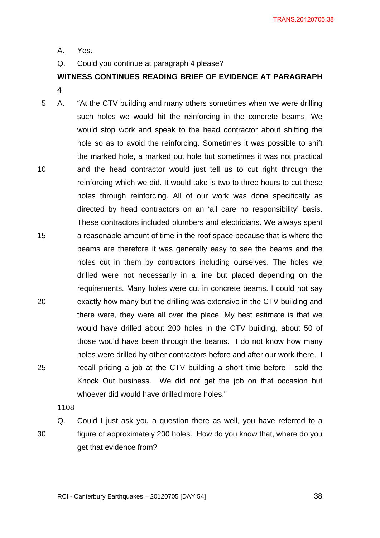A. Yes.

Q. Could you continue at paragraph 4 please?

**WITNESS CONTINUES READING BRIEF OF EVIDENCE AT PARAGRAPH 4** 

10 15 20 25 5 A. "At the CTV building and many others sometimes when we were drilling such holes we would hit the reinforcing in the concrete beams. We would stop work and speak to the head contractor about shifting the hole so as to avoid the reinforcing. Sometimes it was possible to shift the marked hole, a marked out hole but sometimes it was not practical and the head contractor would just tell us to cut right through the reinforcing which we did. It would take is two to three hours to cut these holes through reinforcing. All of our work was done specifically as directed by head contractors on an 'all care no responsibility' basis. These contractors included plumbers and electricians. We always spent a reasonable amount of time in the roof space because that is where the beams are therefore it was generally easy to see the beams and the holes cut in them by contractors including ourselves. The holes we drilled were not necessarily in a line but placed depending on the requirements. Many holes were cut in concrete beams. I could not say exactly how many but the drilling was extensive in the CTV building and there were, they were all over the place. My best estimate is that we would have drilled about 200 holes in the CTV building, about 50 of those would have been through the beams. I do not know how many holes were drilled by other contractors before and after our work there. I recall pricing a job at the CTV building a short time before I sold the Knock Out business. We did not get the job on that occasion but whoever did would have drilled more holes."

1108

30

Q. Could I just ask you a question there as well, you have referred to a figure of approximately 200 holes. How do you know that, where do you get that evidence from?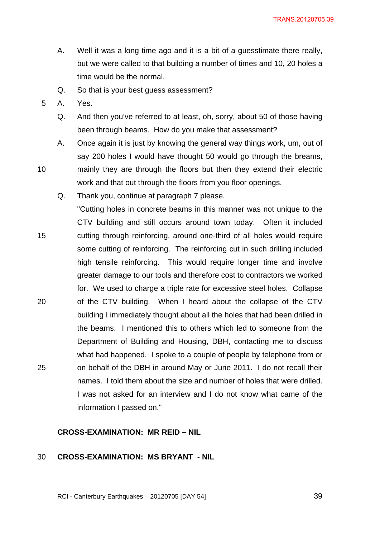- A. Well it was a long time ago and it is a bit of a guesstimate there really, but we were called to that building a number of times and 10, 20 holes a time would be the normal.
- Q. So that is your best guess assessment?
- 5 A. Yes.

- Q. And then you've referred to at least, oh, sorry, about 50 of those having been through beams. How do you make that assessment?
- A. Once again it is just by knowing the general way things work, um, out of say 200 holes I would have thought 50 would go through the breams, mainly they are through the floors but then they extend their electric work and that out through the floors from you floor openings.
- 15 20 25 Q. Thank you, continue at paragraph 7 please. "Cutting holes in concrete beams in this manner was not unique to the CTV building and still occurs around town today. Often it included cutting through reinforcing, around one-third of all holes would require some cutting of reinforcing. The reinforcing cut in such drilling included high tensile reinforcing. This would require longer time and involve greater damage to our tools and therefore cost to contractors we worked for. We used to charge a triple rate for excessive steel holes. Collapse of the CTV building. When I heard about the collapse of the CTV building I immediately thought about all the holes that had been drilled in the beams. I mentioned this to others which led to someone from the Department of Building and Housing, DBH, contacting me to discuss what had happened. I spoke to a couple of people by telephone from or on behalf of the DBH in around May or June 2011. I do not recall their names. I told them about the size and number of holes that were drilled. I was not asked for an interview and I do not know what came of the information I passed on."

## **CROSS-EXAMINATION: MR REID – NIL**

#### 30 **CROSS-EXAMINATION: MS BRYANT - NIL**

RCI - Canterbury Earthquakes – 20120705 [DAY 54]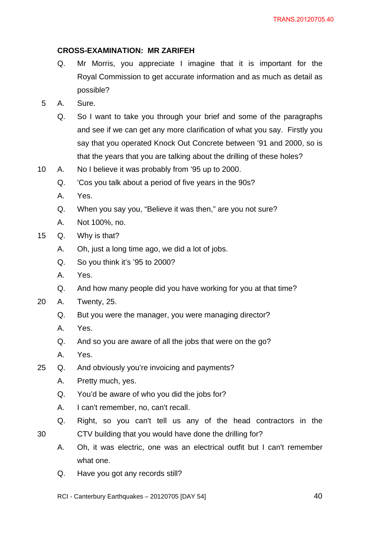## **CROSS-EXAMINATION: MR ZARIFEH**

- Q. Mr Morris, you appreciate I imagine that it is important for the Royal Commission to get accurate information and as much as detail as possible?
- 5 A. Sure.
	- Q. So I want to take you through your brief and some of the paragraphs and see if we can get any more clarification of what you say. Firstly you say that you operated Knock Out Concrete between '91 and 2000, so is that the years that you are talking about the drilling of these holes?
- 10 A. No I believe it was probably from '95 up to 2000.
	- Q. 'Cos you talk about a period of five years in the 90s?
	- A. Yes.
	- Q. When you say you, "Believe it was then," are you not sure?
	- A. Not 100%, no.
- 15 Q. Why is that?
	- A. Oh, just a long time ago, we did a lot of jobs.
	- Q. So you think it's '95 to 2000?
	- A. Yes.
	- Q. And how many people did you have working for you at that time?
- 20 A. Twenty, 25.
	- Q. But you were the manager, you were managing director?
	- A. Yes.
	- Q. And so you are aware of all the jobs that were on the go?
	- A. Yes.
- 25 Q. And obviously you're invoicing and payments?
	- A. Pretty much, yes.
	- Q. You'd be aware of who you did the jobs for?
	- A. I can't remember, no, can't recall.
	- Q. Right, so you can't tell us any of the head contractors in the
- 30
- A. Oh, it was electric, one was an electrical outfit but I can't remember what one.

CTV building that you would have done the drilling for?

- Q. Have you got any records still?
- RCI Canterbury Earthquakes 20120705 [DAY 54]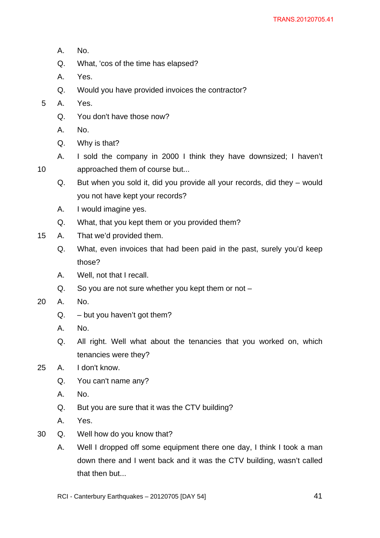- A. No.
- Q. What, 'cos of the time has elapsed?
- A. Yes.
- Q. Would you have provided invoices the contractor?
- 5 A. Yes.

- Q. You don't have those now?
- A. No.
- Q. Why is that?
- A. I sold the company in 2000 I think they have downsized; I haven't approached them of course but...
	- Q. But when you sold it, did you provide all your records, did they would you not have kept your records?
	- A. I would imagine yes.
	- Q. What, that you kept them or you provided them?
- 15 A. That we'd provided them.
	- Q. What, even invoices that had been paid in the past, surely you'd keep those?
	- A. Well, not that I recall.
	- Q. So you are not sure whether you kept them or not –
- 20 A. No.
	- $Q. but you haven't got them?$
	- A. No.
	- Q. All right. Well what about the tenancies that you worked on, which tenancies were they?

# 25 A. I don't know.

- Q. You can't name any?
- A. No.
- Q. But you are sure that it was the CTV building?
- A. Yes.
- 30 Q. Well how do you know that?
	- A. Well I dropped off some equipment there one day, I think I took a man down there and I went back and it was the CTV building, wasn't called that then but...
	- RCI Canterbury Earthquakes 20120705 [DAY 54]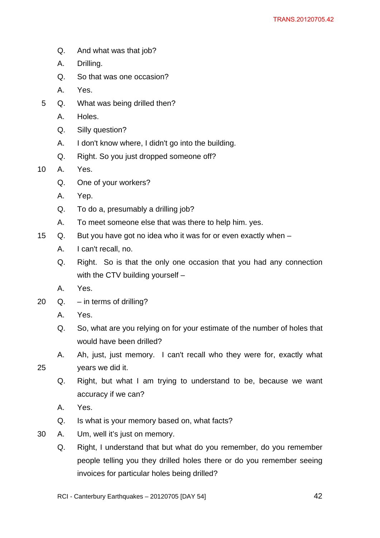- Q. And what was that job?
- A. Drilling.
- Q. So that was one occasion?
- A. Yes.
- 5 Q. What was being drilled then?
	- A. Holes.
	- Q. Silly question?
	- A. I don't know where, I didn't go into the building.
	- Q. Right. So you just dropped someone off?

10 A. Yes.

- Q. One of your workers?
- A. Yep.
- Q. To do a, presumably a drilling job?
- A. To meet someone else that was there to help him. yes.
- 15 Q. But you have got no idea who it was for or even exactly when
	- A. I can't recall, no.
	- Q. Right. So is that the only one occasion that you had any connection with the CTV building yourself –
	- A. Yes.
- 20 Q. in terms of drilling?
	- A. Yes.
	- Q. So, what are you relying on for your estimate of the number of holes that would have been drilled?
	- A. Ah, just, just memory. I can't recall who they were for, exactly what years we did it.
- 25
	- Q. Right, but what I am trying to understand to be, because we want accuracy if we can?
	- A. Yes.
	- Q. Is what is your memory based on, what facts?
- 30 A. Um, well it's just on memory.
	- Q. Right, I understand that but what do you remember, do you remember people telling you they drilled holes there or do you remember seeing invoices for particular holes being drilled?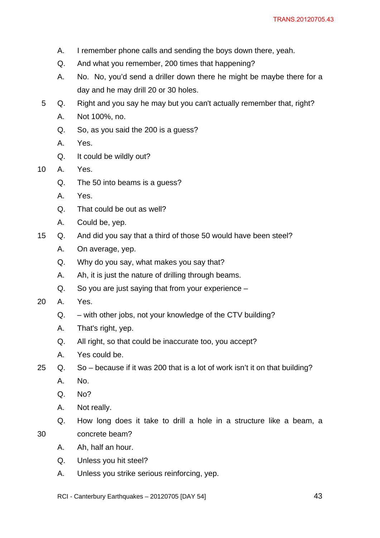- A. I remember phone calls and sending the boys down there, yeah.
- Q. And what you remember, 200 times that happening?
- A. No. No, you'd send a driller down there he might be maybe there for a day and he may drill 20 or 30 holes.
- 5 Q. Right and you say he may but you can't actually remember that, right?
	- A. Not 100%, no.
	- Q. So, as you said the 200 is a guess?
	- A. Yes.
	- Q. It could be wildly out?
- 10 A. Yes.
	- Q. The 50 into beams is a guess?
	- A. Yes.
	- Q. That could be out as well?
	- A. Could be, yep.
- 15 Q. And did you say that a third of those 50 would have been steel?
	- A. On average, yep.
	- Q. Why do you say, what makes you say that?
	- A. Ah, it is just the nature of drilling through beams.
	- Q. So you are just saying that from your experience –
- 20 A. Yes.
	- Q. with other jobs, not your knowledge of the CTV building?
	- A. That's right, yep.
	- Q. All right, so that could be inaccurate too, you accept?
	- A. Yes could be.
- 25 Q. So because if it was 200 that is a lot of work isn't it on that building?
	- A. No.
	- Q. No?

- A. Not really.
- Q. How long does it take to drill a hole in a structure like a beam, a concrete beam?
- A. Ah, half an hour.
- Q. Unless you hit steel?
- A. Unless you strike serious reinforcing, yep.
- RCI Canterbury Earthquakes 20120705 [DAY 54]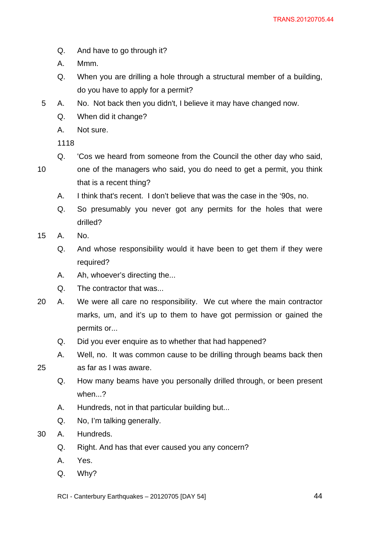- Q. And have to go through it?
- A. Mmm.
- Q. When you are drilling a hole through a structural member of a building, do you have to apply for a permit?
- 5 A. No. Not back then you didn't, I believe it may have changed now.
	- Q. When did it change?
	- A. Not sure.

- Q. 'Cos we heard from someone from the Council the other day who said,
- 10 one of the managers who said, you do need to get a permit, you think that is a recent thing?
	- A. I think that's recent. I don't believe that was the case in the '90s, no.
	- Q. So presumably you never got any permits for the holes that were drilled?
- 15 A. No.

25

- Q. And whose responsibility would it have been to get them if they were required?
- A. Ah, whoever's directing the...
- Q. The contractor that was...
- 20 A. We were all care no responsibility. We cut where the main contractor marks, um, and it's up to them to have got permission or gained the permits or...
	- Q. Did you ever enquire as to whether that had happened?
	- A. Well, no. It was common cause to be drilling through beams back then as far as I was aware.
		- Q. How many beams have you personally drilled through, or been present when...?
		- A. Hundreds, not in that particular building but...
		- Q. No, I'm talking generally.
- 30 A. Hundreds.
	- Q. Right. And has that ever caused you any concern?
	- A. Yes.
	- Q. Why?

RCI - Canterbury Earthquakes – 20120705 [DAY 54]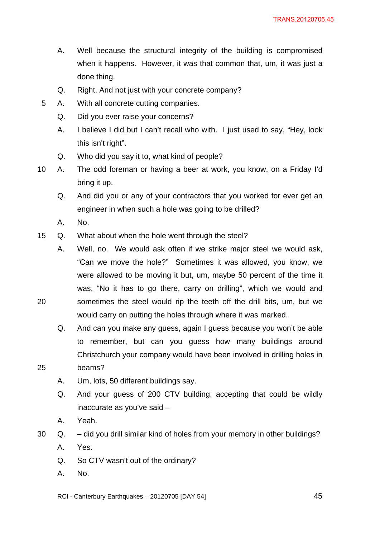- A. Well because the structural integrity of the building is compromised when it happens. However, it was that common that, um, it was just a done thing.
- Q. Right. And not just with your concrete company?
- 5 A. With all concrete cutting companies.
	- Q. Did you ever raise your concerns?
	- A. I believe I did but I can't recall who with. I just used to say, "Hey, look this isn't right".
	- Q. Who did you say it to, what kind of people?
- 10 A. The odd foreman or having a beer at work, you know, on a Friday I'd bring it up.
	- Q. And did you or any of your contractors that you worked for ever get an engineer in when such a hole was going to be drilled?
	- A. No.

25

- 15 Q. What about when the hole went through the steel?
	- A. Well, no. We would ask often if we strike major steel we would ask, "Can we move the hole?" Sometimes it was allowed, you know, we were allowed to be moving it but, um, maybe 50 percent of the time it was, "No it has to go there, carry on drilling", which we would and sometimes the steel would rip the teeth off the drill bits, um, but we would carry on putting the holes through where it was marked.
	- Q. And can you make any guess, again I guess because you won't be able to remember, but can you guess how many buildings around Christchurch your company would have been involved in drilling holes in beams?
	- A. Um, lots, 50 different buildings say.
	- Q. And your guess of 200 CTV building, accepting that could be wildly inaccurate as you've said –
	- A. Yeah.
- 30 Q. did you drill similar kind of holes from your memory in other buildings?
	- A. Yes.
	- Q. So CTV wasn't out of the ordinary?
	- A. No.
	- RCI Canterbury Earthquakes 20120705 [DAY 54]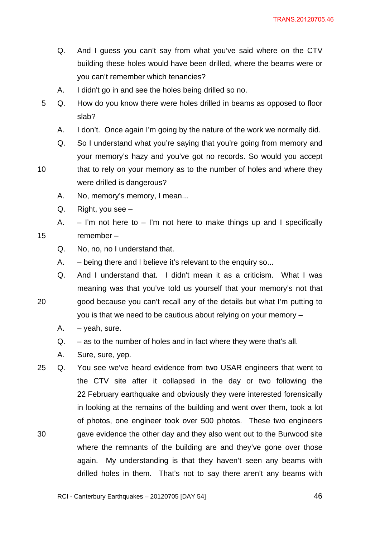- Q. And I guess you can't say from what you've said where on the CTV building these holes would have been drilled, where the beams were or you can't remember which tenancies?
- A. I didn't go in and see the holes being drilled so no.
- 5 Q. How do you know there were holes drilled in beams as opposed to floor slab?
	- A. I don't. Once again I'm going by the nature of the work we normally did.
	- Q. So I understand what you're saying that you're going from memory and your memory's hazy and you've got no records. So would you accept
- 10 that to rely on your memory as to the number of holes and where they were drilled is dangerous?
	- A. No, memory's memory, I mean...
	- Q. Right, you see –

20

A.  $-$  I'm not here to  $-$  I'm not here to make things up and I specifically remember –

- Q. No, no, no I understand that.
- A. being there and I believe it's relevant to the enquiry so...
- Q. And I understand that. I didn't mean it as a criticism. What I was meaning was that you've told us yourself that your memory's not that good because you can't recall any of the details but what I'm putting to

you is that we need to be cautious about relying on your memory –

- $A. -$  yeah, sure.
- Q. as to the number of holes and in fact where they were that's all.
- A. Sure, sure, yep.
- 30 25 Q. You see we've heard evidence from two USAR engineers that went to the CTV site after it collapsed in the day or two following the 22 February earthquake and obviously they were interested forensically in looking at the remains of the building and went over them, took a lot of photos, one engineer took over 500 photos. These two engineers gave evidence the other day and they also went out to the Burwood site where the remnants of the building are and they've gone over those again. My understanding is that they haven't seen any beams with drilled holes in them. That's not to say there aren't any beams with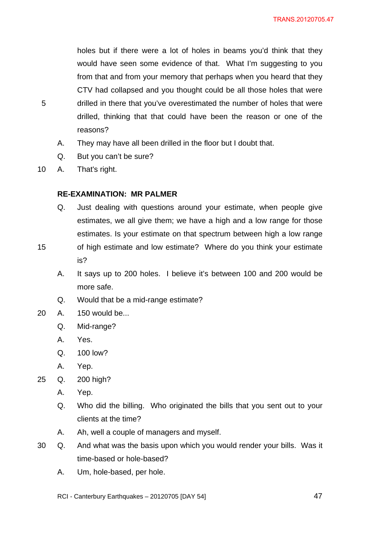holes but if there were a lot of holes in beams you'd think that they would have seen some evidence of that. What I'm suggesting to you from that and from your memory that perhaps when you heard that they CTV had collapsed and you thought could be all those holes that were drilled in there that you've overestimated the number of holes that were drilled, thinking that that could have been the reason or one of the reasons?

- A. They may have all been drilled in the floor but I doubt that.
- Q. But you can't be sure?
- 10 A. That's right.

5

## **RE-EXAMINATION: MR PALMER**

- Q. Just dealing with questions around your estimate, when people give estimates, we all give them; we have a high and a low range for those estimates. Is your estimate on that spectrum between high a low range
- 15 of high estimate and low estimate? Where do you think your estimate is?
	- A. It says up to 200 holes. I believe it's between 100 and 200 would be more safe.
	- Q. Would that be a mid-range estimate?
- 20 A. 150 would be...
	- Q. Mid-range?
	- A. Yes.
	- Q. 100 low?
	- A. Yep.
- 25 Q. 200 high?
	- A. Yep.
	- Q. Who did the billing. Who originated the bills that you sent out to your clients at the time?
	- A. Ah, well a couple of managers and myself.
- 30 Q. And what was the basis upon which you would render your bills. Was it time-based or hole-based?
	- A. Um, hole-based, per hole.
	- RCI Canterbury Earthquakes 20120705 [DAY 54]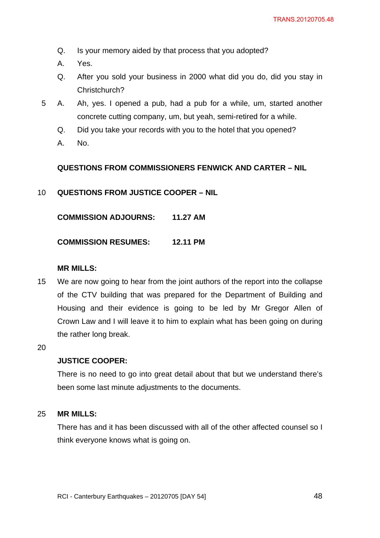- Q. Is your memory aided by that process that you adopted?
- A. Yes.
- Q. After you sold your business in 2000 what did you do, did you stay in Christchurch?
- 5 A. Ah, yes. I opened a pub, had a pub for a while, um, started another concrete cutting company, um, but yeah, semi-retired for a while.
	- Q. Did you take your records with you to the hotel that you opened?
	- A. No.

## **QUESTIONS FROM COMMISSIONERS FENWICK AND CARTER – NIL**

10 **QUESTIONS FROM JUSTICE COOPER – NIL** 

**COMMISSION ADJOURNS: 11.27 AM** 

**COMMISSION RESUMES: 12.11 PM** 

## **MR MILLS:**

15 We are now going to hear from the joint authors of the report into the collapse of the CTV building that was prepared for the Department of Building and Housing and their evidence is going to be led by Mr Gregor Allen of Crown Law and I will leave it to him to explain what has been going on during the rather long break.

20

## **JUSTICE COOPER:**

There is no need to go into great detail about that but we understand there's been some last minute adjustments to the documents.

#### 25 **MR MILLS:**

There has and it has been discussed with all of the other affected counsel so I think everyone knows what is going on.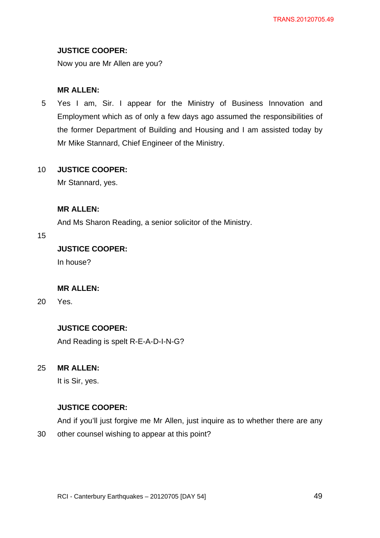# **JUSTICE COOPER:**

Now you are Mr Allen are you?

# **MR ALLEN:**

5 Yes I am, Sir. I appear for the Ministry of Business Innovation and Employment which as of only a few days ago assumed the responsibilities of the former Department of Building and Housing and I am assisted today by Mr Mike Stannard, Chief Engineer of the Ministry.

#### 10 **JUSTICE COOPER:**

Mr Stannard, yes.

# **MR ALLEN:**

And Ms Sharon Reading, a senior solicitor of the Ministry.

## 15

# **JUSTICE COOPER:**

In house?

# **MR ALLEN:**

20 Yes.

# **JUSTICE COOPER:**

And Reading is spelt R-E-A-D-I-N-G?

#### 25 **MR ALLEN:**

It is Sir, yes.

# **JUSTICE COOPER:**

And if you'll just forgive me Mr Allen, just inquire as to whether there are any

30 other counsel wishing to appear at this point?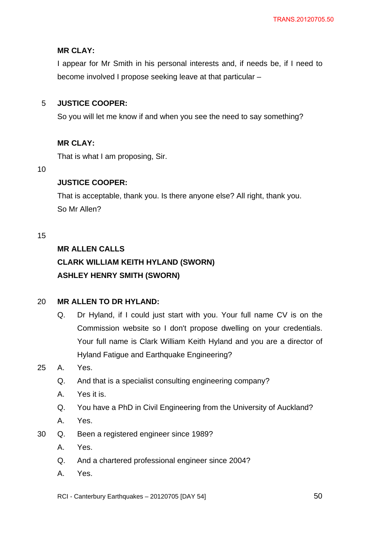# **MR CLAY:**

I appear for Mr Smith in his personal interests and, if needs be, if I need to become involved I propose seeking leave at that particular –

#### 5 **JUSTICE COOPER:**

So you will let me know if and when you see the need to say something?

# **MR CLAY:**

That is what I am proposing, Sir.

### 10

# **JUSTICE COOPER:**

That is acceptable, thank you. Is there anyone else? All right, thank you. So Mr Allen?

## 15

# **MR ALLEN CALLS**

# **CLARK WILLIAM KEITH HYLAND (SWORN) ASHLEY HENRY SMITH (SWORN)**

#### 20 **MR ALLEN TO DR HYLAND:**

Q. Dr Hyland, if I could just start with you. Your full name CV is on the Commission website so I don't propose dwelling on your credentials. Your full name is Clark William Keith Hyland and you are a director of Hyland Fatigue and Earthquake Engineering?

# 25 A. Yes.

- Q. And that is a specialist consulting engineering company?
- A. Yes it is.
- Q. You have a PhD in Civil Engineering from the University of Auckland?
- A. Yes.
- 30 Q. Been a registered engineer since 1989?
	- A. Yes.
	- Q. And a chartered professional engineer since 2004?
	- A. Yes.
	- RCI Canterbury Earthquakes 20120705 [DAY 54]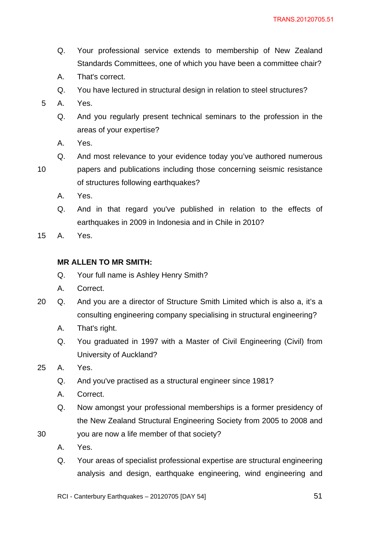- Q. Your professional service extends to membership of New Zealand Standards Committees, one of which you have been a committee chair?
- A. That's correct.
- Q. You have lectured in structural design in relation to steel structures?
- 5 A. Yes.
	- Q. And you regularly present technical seminars to the profession in the areas of your expertise?
	- A. Yes.
	- Q. And most relevance to your evidence today you've authored numerous
- 10
- papers and publications including those concerning seismic resistance of structures following earthquakes?
	- A. Yes.
	- Q. And in that regard you've published in relation to the effects of earthquakes in 2009 in Indonesia and in Chile in 2010?
- 15 A. Yes.

# **MR ALLEN TO MR SMITH:**

- Q. Your full name is Ashley Henry Smith?
- A. Correct.
- 20 Q. And you are a director of Structure Smith Limited which is also a, it's a consulting engineering company specialising in structural engineering?
	- A. That's right.
	- Q. You graduated in 1997 with a Master of Civil Engineering (Civil) from University of Auckland?
- 25 A. Yes.
	- Q. And you've practised as a structural engineer since 1981?
	- A. Correct.
	- Q. Now amongst your professional memberships is a former presidency of the New Zealand Structural Engineering Society from 2005 to 2008 and
- 30 you are now a life member of that society?
	- A. Yes.
	- Q. Your areas of specialist professional expertise are structural engineering analysis and design, earthquake engineering, wind engineering and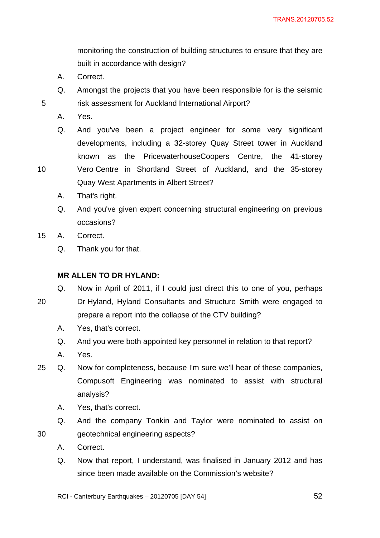monitoring the construction of building structures to ensure that they are built in accordance with design?

- A. Correct.
- Q. Amongst the projects that you have been responsible for is the seismic risk assessment for Auckland International Airport?
- A. Yes.

5

10

Q. And you've been a project engineer for some very significant developments, including a 32-storey Quay Street tower in Auckland known as the PricewaterhouseCoopers Centre, the 41-storey Vero Centre in Shortland Street of Auckland, and the 35-storey

Quay West Apartments in Albert Street?

- A. That's right.
- Q. And you've given expert concerning structural engineering on previous occasions?
- 15 A. Correct.
	- Q. Thank you for that.

# **MR ALLEN TO DR HYLAND:**

- Q. Now in April of 2011, if I could just direct this to one of you, perhaps
- 20 Dr Hyland, Hyland Consultants and Structure Smith were engaged to prepare a report into the collapse of the CTV building?
	- A. Yes, that's correct.
	- Q. And you were both appointed key personnel in relation to that report?
	- A. Yes.
- 25 Q. Now for completeness, because I'm sure we'll hear of these companies, Compusoft Engineering was nominated to assist with structural analysis?
	- A. Yes, that's correct.
	- Q. And the company Tonkin and Taylor were nominated to assist on geotechnical engineering aspects?
	- A. Correct.

30

Q. Now that report, I understand, was finalised in January 2012 and has since been made available on the Commission's website?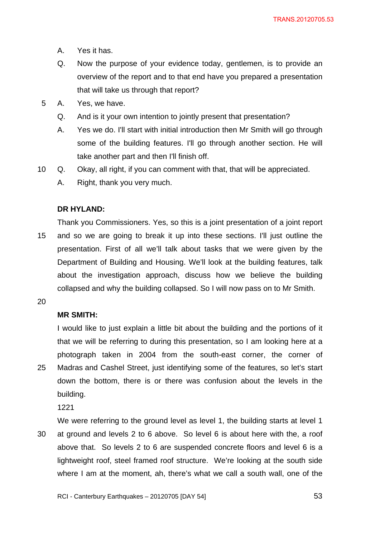- A. Yes it has.
- Q. Now the purpose of your evidence today, gentlemen, is to provide an overview of the report and to that end have you prepared a presentation that will take us through that report?
- 5 A. Yes, we have.
	- Q. And is it your own intention to jointly present that presentation?
	- A. Yes we do. I'll start with initial introduction then Mr Smith will go through some of the building features. I'll go through another section. He will take another part and then I'll finish off.
- 10 Q. Okay, all right, if you can comment with that, that will be appreciated.
	- A. Right, thank you very much.

## **DR HYLAND:**

15 Thank you Commissioners. Yes, so this is a joint presentation of a joint report and so we are going to break it up into these sections. I'll just outline the presentation. First of all we'll talk about tasks that we were given by the Department of Building and Housing. We'll look at the building features, talk about the investigation approach, discuss how we believe the building collapsed and why the building collapsed. So I will now pass on to Mr Smith.

20

# **MR SMITH:**

25 I would like to just explain a little bit about the building and the portions of it that we will be referring to during this presentation, so I am looking here at a photograph taken in 2004 from the south-east corner, the corner of Madras and Cashel Street, just identifying some of the features, so let's start down the bottom, there is or there was confusion about the levels in the building.

1221

30 We were referring to the ground level as level 1, the building starts at level 1 at ground and levels 2 to 6 above. So level 6 is about here with the, a roof above that. So levels 2 to 6 are suspended concrete floors and level 6 is a lightweight roof, steel framed roof structure. We're looking at the south side where I am at the moment, ah, there's what we call a south wall, one of the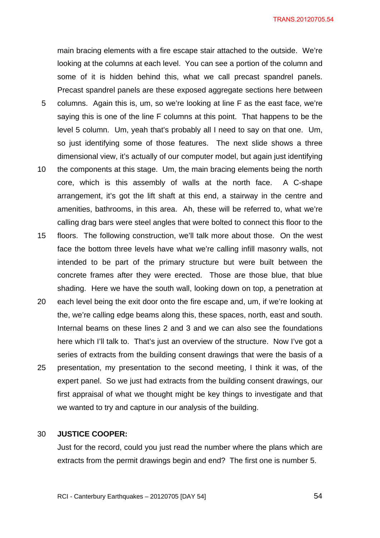main bracing elements with a fire escape stair attached to the outside. We're looking at the columns at each level. You can see a portion of the column and some of it is hidden behind this, what we call precast spandrel panels. Precast spandrel panels are these exposed aggregate sections here between columns. Again this is, um, so we're looking at line F as the east face, we're

- saying this is one of the line F columns at this point. That happens to be the level 5 column. Um, yeah that's probably all I need to say on that one. Um, so just identifying some of those features. The next slide shows a three dimensional view, it's actually of our computer model, but again just identifying
- 10 the components at this stage. Um, the main bracing elements being the north core, which is this assembly of walls at the north face. A C-shape arrangement, it's got the lift shaft at this end, a stairway in the centre and amenities, bathrooms, in this area. Ah, these will be referred to, what we're calling drag bars were steel angles that were bolted to connect this floor to the
- 15 floors. The following construction, we'll talk more about those. On the west face the bottom three levels have what we're calling infill masonry walls, not intended to be part of the primary structure but were built between the concrete frames after they were erected. Those are those blue, that blue shading. Here we have the south wall, looking down on top, a penetration at
- 20 25 each level being the exit door onto the fire escape and, um, if we're looking at the, we're calling edge beams along this, these spaces, north, east and south. Internal beams on these lines 2 and 3 and we can also see the foundations here which I'll talk to. That's just an overview of the structure. Now I've got a series of extracts from the building consent drawings that were the basis of a presentation, my presentation to the second meeting, I think it was, of the expert panel. So we just had extracts from the building consent drawings, our
	- first appraisal of what we thought might be key things to investigate and that we wanted to try and capture in our analysis of the building.

#### 30 **JUSTICE COOPER:**

5

Just for the record, could you just read the number where the plans which are extracts from the permit drawings begin and end? The first one is number 5.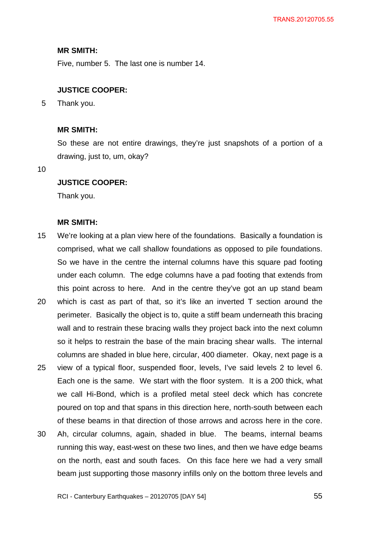### **MR SMITH:**

Five, number 5. The last one is number 14.

## **JUSTICE COOPER:**

5 Thank you.

### **MR SMITH:**

So these are not entire drawings, they're just snapshots of a portion of a drawing, just to, um, okay?

10

## **JUSTICE COOPER:**

Thank you.

### **MR SMITH:**

- 15 We're looking at a plan view here of the foundations. Basically a foundation is comprised, what we call shallow foundations as opposed to pile foundations. So we have in the centre the internal columns have this square pad footing under each column. The edge columns have a pad footing that extends from this point across to here. And in the centre they've got an up stand beam
- 20 which is cast as part of that, so it's like an inverted T section around the perimeter. Basically the object is to, quite a stiff beam underneath this bracing wall and to restrain these bracing walls they project back into the next column so it helps to restrain the base of the main bracing shear walls. The internal columns are shaded in blue here, circular, 400 diameter. Okay, next page is a
- 25 view of a typical floor, suspended floor, levels, I've said levels 2 to level 6. Each one is the same. We start with the floor system. It is a 200 thick, what we call Hi-Bond, which is a profiled metal steel deck which has concrete poured on top and that spans in this direction here, north-south between each of these beams in that direction of those arrows and across here in the core.
- 30 Ah, circular columns, again, shaded in blue. The beams, internal beams running this way, east-west on these two lines, and then we have edge beams on the north, east and south faces. On this face here we had a very small beam just supporting those masonry infills only on the bottom three levels and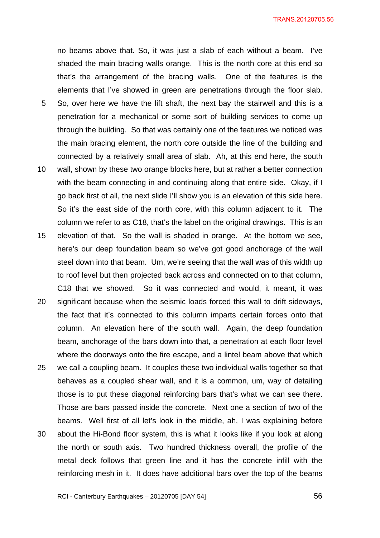no beams above that. So, it was just a slab of each without a beam. I've shaded the main bracing walls orange. This is the north core at this end so that's the arrangement of the bracing walls. One of the features is the elements that I've showed in green are penetrations through the floor slab.

- 5 So, over here we have the lift shaft, the next bay the stairwell and this is a penetration for a mechanical or some sort of building services to come up through the building. So that was certainly one of the features we noticed was the main bracing element, the north core outside the line of the building and connected by a relatively small area of slab. Ah, at this end here, the south
- 10 wall, shown by these two orange blocks here, but at rather a better connection with the beam connecting in and continuing along that entire side. Okay, if I go back first of all, the next slide I'll show you is an elevation of this side here. So it's the east side of the north core, with this column adjacent to it. The column we refer to as C18, that's the label on the original drawings. This is an
- 15 elevation of that. So the wall is shaded in orange. At the bottom we see, here's our deep foundation beam so we've got good anchorage of the wall steel down into that beam. Um, we're seeing that the wall was of this width up to roof level but then projected back across and connected on to that column, C18 that we showed. So it was connected and would, it meant, it was
- 20 25 30 significant because when the seismic loads forced this wall to drift sideways, the fact that it's connected to this column imparts certain forces onto that column. An elevation here of the south wall. Again, the deep foundation beam, anchorage of the bars down into that, a penetration at each floor level where the doorways onto the fire escape, and a lintel beam above that which we call a coupling beam. It couples these two individual walls together so that behaves as a coupled shear wall, and it is a common, um, way of detailing those is to put these diagonal reinforcing bars that's what we can see there. Those are bars passed inside the concrete. Next one a section of two of the beams. Well first of all let's look in the middle, ah, I was explaining before about the Hi-Bond floor system, this is what it looks like if you look at along the north or south axis. Two hundred thickness overall, the profile of the

metal deck follows that green line and it has the concrete infill with the

reinforcing mesh in it. It does have additional bars over the top of the beams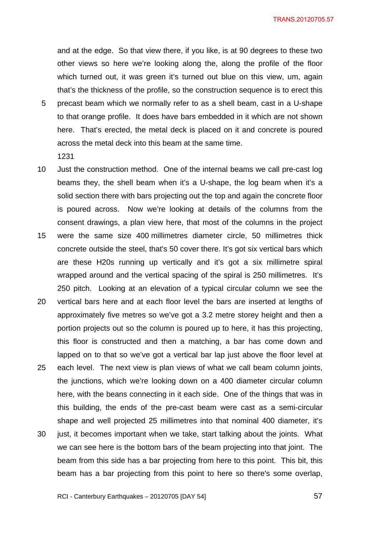and at the edge. So that view there, if you like, is at 90 degrees to these two other views so here we're looking along the, along the profile of the floor which turned out, it was green it's turned out blue on this view, um, again that's the thickness of the profile, so the construction sequence is to erect this

- 5 precast beam which we normally refer to as a shell beam, cast in a U-shape to that orange profile. It does have bars embedded in it which are not shown here. That's erected, the metal deck is placed on it and concrete is poured across the metal deck into this beam at the same time. 1231
- 10 Just the construction method. One of the internal beams we call pre-cast log beams they, the shell beam when it's a U-shape, the log beam when it's a solid section there with bars projecting out the top and again the concrete floor is poured across. Now we're looking at details of the columns from the consent drawings, a plan view here, that most of the columns in the project
- 15 were the same size 400 millimetres diameter circle, 50 millimetres thick concrete outside the steel, that's 50 cover there. It's got six vertical bars which are these H20s running up vertically and it's got a six millimetre spiral wrapped around and the vertical spacing of the spiral is 250 millimetres. It's 250 pitch. Looking at an elevation of a typical circular column we see the
- 20 vertical bars here and at each floor level the bars are inserted at lengths of approximately five metres so we've got a 3.2 metre storey height and then a portion projects out so the column is poured up to here, it has this projecting, this floor is constructed and then a matching, a bar has come down and lapped on to that so we've got a vertical bar lap just above the floor level at
- 25 each level. The next view is plan views of what we call beam column joints, the junctions, which we're looking down on a 400 diameter circular column here, with the beans connecting in it each side. One of the things that was in this building, the ends of the pre-cast beam were cast as a semi-circular shape and well projected 25 millimetres into that nominal 400 diameter, it's
- 30 just, it becomes important when we take, start talking about the joints. What we can see here is the bottom bars of the beam projecting into that joint. The beam from this side has a bar projecting from here to this point. This bit, this beam has a bar projecting from this point to here so there's some overlap,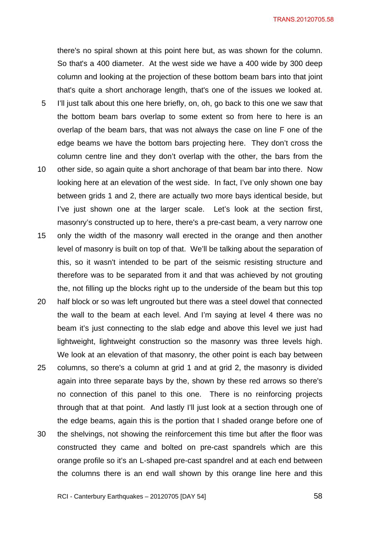there's no spiral shown at this point here but, as was shown for the column. So that's a 400 diameter. At the west side we have a 400 wide by 300 deep column and looking at the projection of these bottom beam bars into that joint that's quite a short anchorage length, that's one of the issues we looked at.

- 5 I'll just talk about this one here briefly, on, oh, go back to this one we saw that the bottom beam bars overlap to some extent so from here to here is an overlap of the beam bars, that was not always the case on line F one of the edge beams we have the bottom bars projecting here. They don't cross the column centre line and they don't overlap with the other, the bars from the
- 10 other side, so again quite a short anchorage of that beam bar into there. Now looking here at an elevation of the west side. In fact, I've only shown one bay between grids 1 and 2, there are actually two more bays identical beside, but I've just shown one at the larger scale. Let's look at the section first, masonry's constructed up to here, there's a pre-cast beam, a very narrow one
- 15 only the width of the masonry wall erected in the orange and then another level of masonry is built on top of that. We'll be talking about the separation of this, so it wasn't intended to be part of the seismic resisting structure and therefore was to be separated from it and that was achieved by not grouting the, not filling up the blocks right up to the underside of the beam but this top
- 20 half block or so was left ungrouted but there was a steel dowel that connected the wall to the beam at each level. And I'm saying at level 4 there was no beam it's just connecting to the slab edge and above this level we just had lightweight, lightweight construction so the masonry was three levels high. We look at an elevation of that masonry, the other point is each bay between
- 25 columns, so there's a column at grid 1 and at grid 2, the masonry is divided again into three separate bays by the, shown by these red arrows so there's no connection of this panel to this one. There is no reinforcing projects through that at that point. And lastly I'll just look at a section through one of the edge beams, again this is the portion that I shaded orange before one of
- 30 the shelvings, not showing the reinforcement this time but after the floor was constructed they came and bolted on pre-cast spandrels which are this orange profile so it's an L-shaped pre-cast spandrel and at each end between the columns there is an end wall shown by this orange line here and this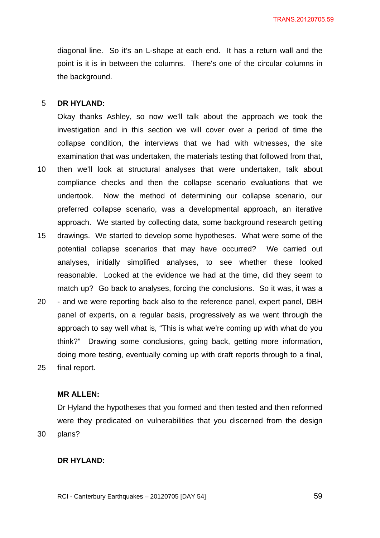diagonal line. So it's an L-shape at each end. It has a return wall and the point is it is in between the columns. There's one of the circular columns in the background.

#### 5 **DR HYLAND:**

10

Okay thanks Ashley, so now we'll talk about the approach we took the investigation and in this section we will cover over a period of time the collapse condition, the interviews that we had with witnesses, the site examination that was undertaken, the materials testing that followed from that, then we'll look at structural analyses that were undertaken, talk about compliance checks and then the collapse scenario evaluations that we undertook. Now the method of determining our collapse scenario, our preferred collapse scenario, was a developmental approach, an iterative

approach. We started by collecting data, some background research getting

- 15 drawings. We started to develop some hypotheses. What were some of the potential collapse scenarios that may have occurred? We carried out analyses, initially simplified analyses, to see whether these looked reasonable. Looked at the evidence we had at the time, did they seem to match up? Go back to analyses, forcing the conclusions. So it was, it was a
- 20 25 - and we were reporting back also to the reference panel, expert panel, DBH panel of experts, on a regular basis, progressively as we went through the approach to say well what is, "This is what we're coming up with what do you think?" Drawing some conclusions, going back, getting more information, doing more testing, eventually coming up with draft reports through to a final, final report.

## **MR ALLEN:**

Dr Hyland the hypotheses that you formed and then tested and then reformed were they predicated on vulnerabilities that you discerned from the design plans?

### **DR HYLAND:**

30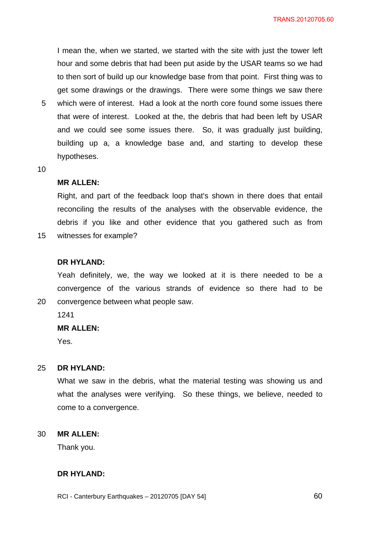I mean the, when we started, we started with the site with just the tower left hour and some debris that had been put aside by the USAR teams so we had to then sort of build up our knowledge base from that point. First thing was to get some drawings or the drawings. There were some things we saw there which were of interest. Had a look at the north core found some issues there

5 that were of interest. Looked at the, the debris that had been left by USAR and we could see some issues there. So, it was gradually just building, building up a, a knowledge base and, and starting to develop these hypotheses.

10

15

20

#### **MR ALLEN:**

Right, and part of the feedback loop that's shown in there does that entail reconciling the results of the analyses with the observable evidence, the debris if you like and other evidence that you gathered such as from witnesses for example?

### **DR HYLAND:**

Yeah definitely, we, the way we looked at it is there needed to be a convergence of the various strands of evidence so there had to be convergence between what people saw.

1241

### **MR ALLEN:**

Yes.

#### 25 **DR HYLAND:**

What we saw in the debris, what the material testing was showing us and what the analyses were verifying. So these things, we believe, needed to come to a convergence.

#### 30 **MR ALLEN:**

Thank you.

### **DR HYLAND:**

RCI - Canterbury Earthquakes – 20120705 [DAY 54]

 $\sim$  60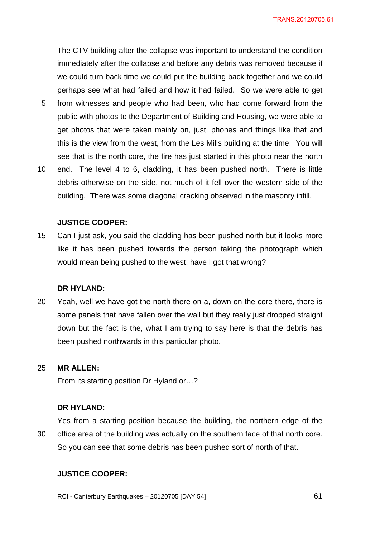The CTV building after the collapse was important to understand the condition immediately after the collapse and before any debris was removed because if we could turn back time we could put the building back together and we could perhaps see what had failed and how it had failed. So we were able to get

- 5 from witnesses and people who had been, who had come forward from the public with photos to the Department of Building and Housing, we were able to get photos that were taken mainly on, just, phones and things like that and this is the view from the west, from the Les Mills building at the time. You will see that is the north core, the fire has just started in this photo near the north
- 10 end. The level 4 to 6, cladding, it has been pushed north. There is little debris otherwise on the side, not much of it fell over the western side of the building. There was some diagonal cracking observed in the masonry infill.

### **JUSTICE COOPER:**

15 Can I just ask, you said the cladding has been pushed north but it looks more like it has been pushed towards the person taking the photograph which would mean being pushed to the west, have I got that wrong?

### **DR HYLAND:**

20 Yeah, well we have got the north there on a, down on the core there, there is some panels that have fallen over the wall but they really just dropped straight down but the fact is the, what I am trying to say here is that the debris has been pushed northwards in this particular photo.

#### 25 **MR ALLEN:**

From its starting position Dr Hyland or…?

#### **DR HYLAND:**

30 Yes from a starting position because the building, the northern edge of the office area of the building was actually on the southern face of that north core. So you can see that some debris has been pushed sort of north of that.

### **JUSTICE COOPER:**

RCI - Canterbury Earthquakes – 20120705 [DAY 54]

**61 61**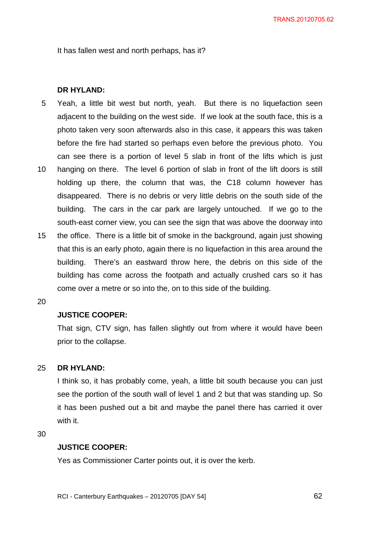It has fallen west and north perhaps, has it?

## **DR HYLAND:**

- 5 Yeah, a little bit west but north, yeah. But there is no liquefaction seen adjacent to the building on the west side. If we look at the south face, this is a photo taken very soon afterwards also in this case, it appears this was taken before the fire had started so perhaps even before the previous photo. You can see there is a portion of level 5 slab in front of the lifts which is just
- 10 hanging on there. The level 6 portion of slab in front of the lift doors is still holding up there, the column that was, the C18 column however has disappeared. There is no debris or very little debris on the south side of the building. The cars in the car park are largely untouched. If we go to the south-east corner view, you can see the sign that was above the doorway into
- 15 the office. There is a little bit of smoke in the background, again just showing that this is an early photo, again there is no liquefaction in this area around the building. There's an eastward throw here, the debris on this side of the building has come across the footpath and actually crushed cars so it has come over a metre or so into the, on to this side of the building.
- 20

## **JUSTICE COOPER:**

That sign, CTV sign, has fallen slightly out from where it would have been prior to the collapse.

#### 25 **DR HYLAND:**

I think so, it has probably come, yeah, a little bit south because you can just see the portion of the south wall of level 1 and 2 but that was standing up. So it has been pushed out a bit and maybe the panel there has carried it over with it.

30

## **JUSTICE COOPER:**

Yes as Commissioner Carter points out, it is over the kerb.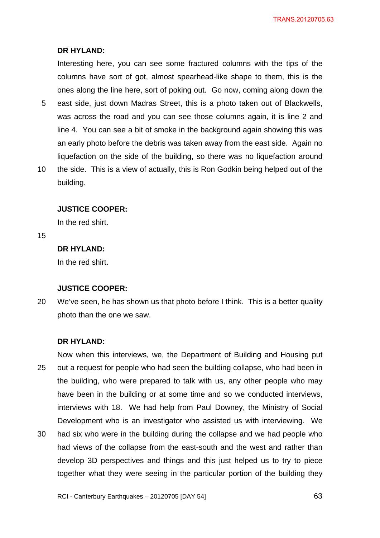### **DR HYLAND:**

Interesting here, you can see some fractured columns with the tips of the columns have sort of got, almost spearhead-like shape to them, this is the ones along the line here, sort of poking out. Go now, coming along down the

- 5 east side, just down Madras Street, this is a photo taken out of Blackwells, was across the road and you can see those columns again, it is line 2 and line 4. You can see a bit of smoke in the background again showing this was an early photo before the debris was taken away from the east side. Again no liquefaction on the side of the building, so there was no liquefaction around
- 10 the side. This is a view of actually, this is Ron Godkin being helped out of the building.

### **JUSTICE COOPER:**

In the red shirt.

15

# **DR HYLAND:**

In the red shirt.

## **JUSTICE COOPER:**

20 We've seen, he has shown us that photo before I think. This is a better quality photo than the one we saw.

### **DR HYLAND:**

25 Now when this interviews, we, the Department of Building and Housing put out a request for people who had seen the building collapse, who had been in the building, who were prepared to talk with us, any other people who may have been in the building or at some time and so we conducted interviews, interviews with 18. We had help from Paul Downey, the Ministry of Social Development who is an investigator who assisted us with interviewing. We

30 had six who were in the building during the collapse and we had people who had views of the collapse from the east-south and the west and rather than develop 3D perspectives and things and this just helped us to try to piece together what they were seeing in the particular portion of the building they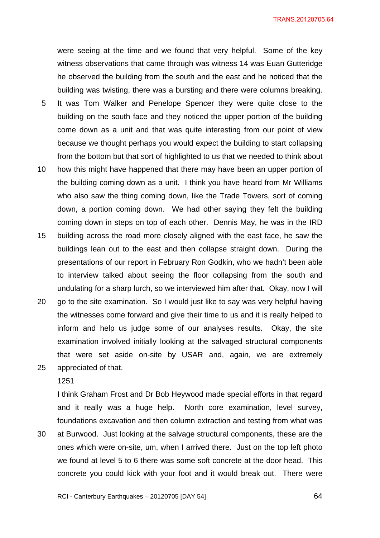were seeing at the time and we found that very helpful. Some of the key witness observations that came through was witness 14 was Euan Gutteridge he observed the building from the south and the east and he noticed that the building was twisting, there was a bursting and there were columns breaking.

- 5 It was Tom Walker and Penelope Spencer they were quite close to the building on the south face and they noticed the upper portion of the building come down as a unit and that was quite interesting from our point of view because we thought perhaps you would expect the building to start collapsing from the bottom but that sort of highlighted to us that we needed to think about
- 10 how this might have happened that there may have been an upper portion of the building coming down as a unit. I think you have heard from Mr Williams who also saw the thing coming down, like the Trade Towers, sort of coming down, a portion coming down. We had other saying they felt the building coming down in steps on top of each other. Dennis May, he was in the IRD
- 15 building across the road more closely aligned with the east face, he saw the buildings lean out to the east and then collapse straight down. During the presentations of our report in February Ron Godkin, who we hadn't been able to interview talked about seeing the floor collapsing from the south and undulating for a sharp lurch, so we interviewed him after that. Okay, now I will
- 20 25 go to the site examination. So I would just like to say was very helpful having the witnesses come forward and give their time to us and it is really helped to inform and help us judge some of our analyses results. Okay, the site examination involved initially looking at the salvaged structural components that were set aside on-site by USAR and, again, we are extremely appreciated of that.

1251

I think Graham Frost and Dr Bob Heywood made special efforts in that regard and it really was a huge help. North core examination, level survey, foundations excavation and then column extraction and testing from what was

30 at Burwood. Just looking at the salvage structural components, these are the ones which were on-site, um, when I arrived there. Just on the top left photo we found at level 5 to 6 there was some soft concrete at the door head. This concrete you could kick with your foot and it would break out. There were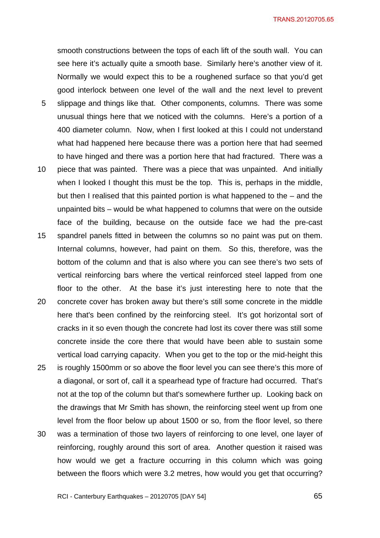5 10 15 20 25 smooth constructions between the tops of each lift of the south wall. You can see here it's actually quite a smooth base. Similarly here's another view of it. Normally we would expect this to be a roughened surface so that you'd get good interlock between one level of the wall and the next level to prevent slippage and things like that. Other components, columns. There was some unusual things here that we noticed with the columns. Here's a portion of a 400 diameter column. Now, when I first looked at this I could not understand what had happened here because there was a portion here that had seemed to have hinged and there was a portion here that had fractured. There was a piece that was painted. There was a piece that was unpainted. And initially when I looked I thought this must be the top. This is, perhaps in the middle, but then I realised that this painted portion is what happened to the – and the unpainted bits – would be what happened to columns that were on the outside face of the building, because on the outside face we had the pre-cast spandrel panels fitted in between the columns so no paint was put on them. Internal columns, however, had paint on them. So this, therefore, was the bottom of the column and that is also where you can see there's two sets of vertical reinforcing bars where the vertical reinforced steel lapped from one floor to the other. At the base it's just interesting here to note that the concrete cover has broken away but there's still some concrete in the middle here that's been confined by the reinforcing steel. It's got horizontal sort of cracks in it so even though the concrete had lost its cover there was still some concrete inside the core there that would have been able to sustain some vertical load carrying capacity. When you get to the top or the mid-height this is roughly 1500mm or so above the floor level you can see there's this more of

30 a diagonal, or sort of, call it a spearhead type of fracture had occurred. That's not at the top of the column but that's somewhere further up. Looking back on the drawings that Mr Smith has shown, the reinforcing steel went up from one level from the floor below up about 1500 or so, from the floor level, so there was a termination of those two layers of reinforcing to one level, one layer of reinforcing, roughly around this sort of area. Another question it raised was how would we get a fracture occurring in this column which was going

between the floors which were 3.2 metres, how would you get that occurring?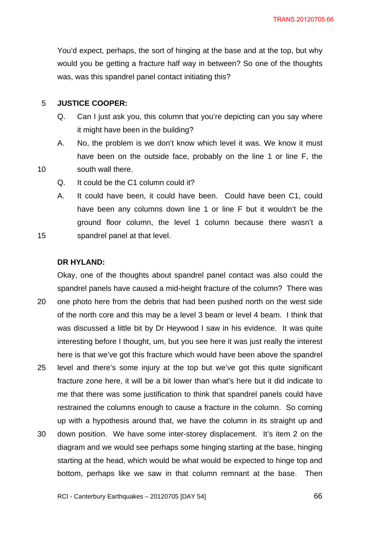You'd expect, perhaps, the sort of hinging at the base and at the top, but why would you be getting a fracture half way in between? So one of the thoughts was, was this spandrel panel contact initiating this?

#### 5 **JUSTICE COOPER:**

10

15

- Q. Can I just ask you, this column that you're depicting can you say where it might have been in the building?
- A. No, the problem is we don't know which level it was. We know it must have been on the outside face, probably on the line 1 or line F, the south wall there.
- Q. It could be the C1 column could it?
- A. It could have been, it could have been. Could have been C1, could have been any columns down line 1 or line F but it wouldn't be the ground floor column, the level 1 column because there wasn't a spandrel panel at that level.

**DR HYLAND:** 

20 25 30 Okay, one of the thoughts about spandrel panel contact was also could the spandrel panels have caused a mid-height fracture of the column? There was one photo here from the debris that had been pushed north on the west side of the north core and this may be a level 3 beam or level 4 beam. I think that was discussed a little bit by Dr Heywood I saw in his evidence. It was quite interesting before I thought, um, but you see here it was just really the interest here is that we've got this fracture which would have been above the spandrel level and there's some injury at the top but we've got this quite significant fracture zone here, it will be a bit lower than what's here but it did indicate to me that there was some justification to think that spandrel panels could have restrained the columns enough to cause a fracture in the column. So coming up with a hypothesis around that, we have the column in its straight up and down position. We have some inter-storey displacement. It's item 2 on the diagram and we would see perhaps some hinging starting at the base, hinging starting at the head, which would be what would be expected to hinge top and bottom, perhaps like we saw in that column remnant at the base. Then

RCI - Canterbury Earthquakes – 20120705 [DAY 54]

**66 12**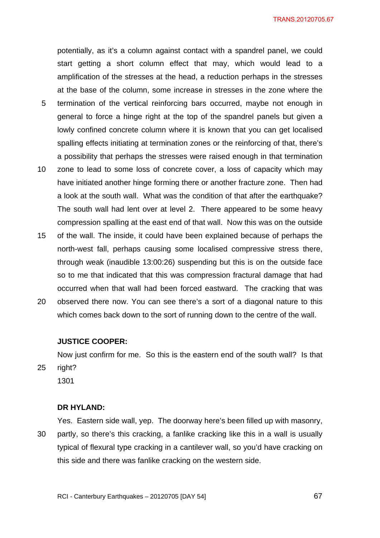potentially, as it's a column against contact with a spandrel panel, we could start getting a short column effect that may, which would lead to a amplification of the stresses at the head, a reduction perhaps in the stresses at the base of the column, some increase in stresses in the zone where the

- 5 termination of the vertical reinforcing bars occurred, maybe not enough in general to force a hinge right at the top of the spandrel panels but given a lowly confined concrete column where it is known that you can get localised spalling effects initiating at termination zones or the reinforcing of that, there's a possibility that perhaps the stresses were raised enough in that termination
- 10 zone to lead to some loss of concrete cover, a loss of capacity which may have initiated another hinge forming there or another fracture zone. Then had a look at the south wall. What was the condition of that after the earthquake? The south wall had lent over at level 2. There appeared to be some heavy compression spalling at the east end of that wall. Now this was on the outside
- 15 of the wall. The inside, it could have been explained because of perhaps the north-west fall, perhaps causing some localised compressive stress there, through weak (inaudible 13:00:26) suspending but this is on the outside face so to me that indicated that this was compression fractural damage that had occurred when that wall had been forced eastward. The cracking that was
- 20 observed there now. You can see there's a sort of a diagonal nature to this which comes back down to the sort of running down to the centre of the wall.

### **JUSTICE COOPER:**

Now just confirm for me. So this is the eastern end of the south wall? Is that right?

1301

25

### **DR HYLAND:**

30 Yes. Eastern side wall, yep. The doorway here's been filled up with masonry, partly, so there's this cracking, a fanlike cracking like this in a wall is usually typical of flexural type cracking in a cantilever wall, so you'd have cracking on this side and there was fanlike cracking on the western side.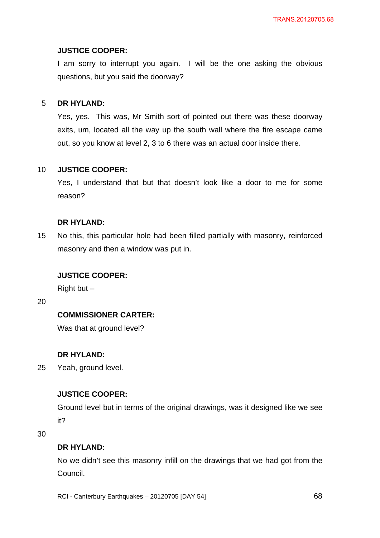## **JUSTICE COOPER:**

I am sorry to interrupt you again. I will be the one asking the obvious questions, but you said the doorway?

#### 5 **DR HYLAND:**

Yes, yes. This was, Mr Smith sort of pointed out there was these doorway exits, um, located all the way up the south wall where the fire escape came out, so you know at level 2, 3 to 6 there was an actual door inside there.

#### 10 **JUSTICE COOPER:**

Yes, I understand that but that doesn't look like a door to me for some reason?

## **DR HYLAND:**

15 No this, this particular hole had been filled partially with masonry, reinforced masonry and then a window was put in.

## **JUSTICE COOPER:**

Right but  $-$ 

20

## **COMMISSIONER CARTER:**

Was that at ground level?

## **DR HYLAND:**

25 Yeah, ground level.

## **JUSTICE COOPER:**

Ground level but in terms of the original drawings, was it designed like we see it?

30

## **DR HYLAND:**

No we didn't see this masonry infill on the drawings that we had got from the Council.

RCI - Canterbury Earthquakes – 20120705 [DAY 54]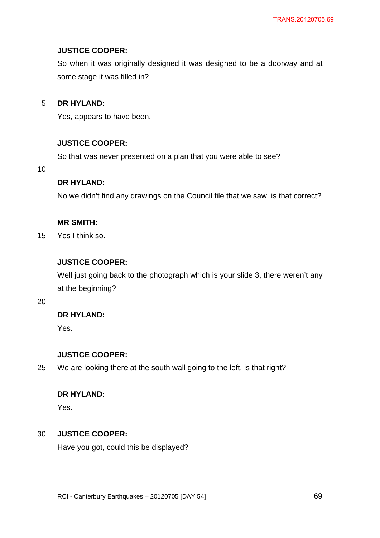# **JUSTICE COOPER:**

So when it was originally designed it was designed to be a doorway and at some stage it was filled in?

#### 5 **DR HYLAND:**

Yes, appears to have been.

## **JUSTICE COOPER:**

So that was never presented on a plan that you were able to see?

10

# **DR HYLAND:**

No we didn't find any drawings on the Council file that we saw, is that correct?

## **MR SMITH:**

15 Yes I think so.

# **JUSTICE COOPER:**

Well just going back to the photograph which is your slide 3, there weren't any at the beginning?

20

# **DR HYLAND:**

Yes.

# **JUSTICE COOPER:**

25 We are looking there at the south wall going to the left, is that right?

# **DR HYLAND:**

Yes.

#### 30 **JUSTICE COOPER:**

Have you got, could this be displayed?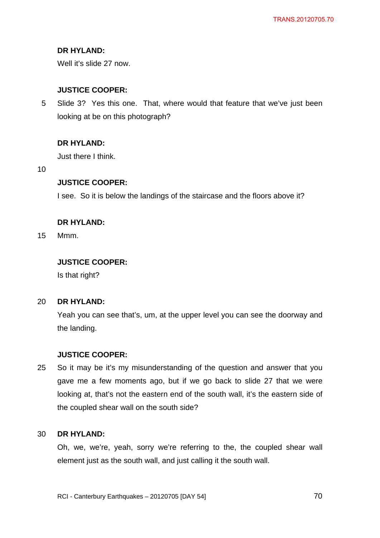# **DR HYLAND:**

Well it's slide 27 now.

# **JUSTICE COOPER:**

5 Slide 3? Yes this one. That, where would that feature that we've just been looking at be on this photograph?

# **DR HYLAND:**

Just there I think.

10

## **JUSTICE COOPER:**

I see. So it is below the landings of the staircase and the floors above it?

## **DR HYLAND:**

15 Mmm.

# **JUSTICE COOPER:**

Is that right?

#### $20<sub>2</sub>$ **DR HYLAND:**

Yeah you can see that's, um, at the upper level you can see the doorway and the landing.

## **JUSTICE COOPER:**

25 So it may be it's my misunderstanding of the question and answer that you gave me a few moments ago, but if we go back to slide 27 that we were looking at, that's not the eastern end of the south wall, it's the eastern side of the coupled shear wall on the south side?

#### 30 **DR HYLAND:**

Oh, we, we're, yeah, sorry we're referring to the, the coupled shear wall element just as the south wall, and just calling it the south wall.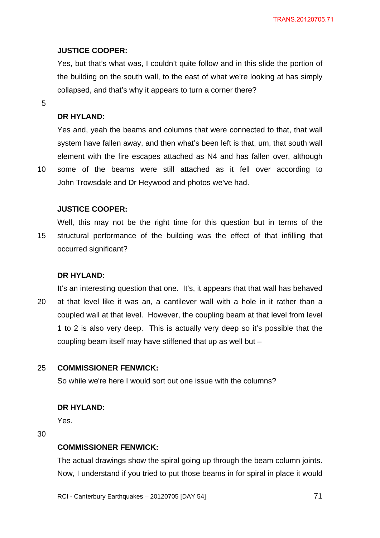# **JUSTICE COOPER:**

Yes, but that's what was, I couldn't quite follow and in this slide the portion of the building on the south wall, to the east of what we're looking at has simply collapsed, and that's why it appears to turn a corner there?

5

# **DR HYLAND:**

Yes and, yeah the beams and columns that were connected to that, that wall system have fallen away, and then what's been left is that, um, that south wall element with the fire escapes attached as N4 and has fallen over, although some of the beams were still attached as it fell over according to

10

John Trowsdale and Dr Heywood and photos we've had.

## **JUSTICE COOPER:**

15 Well, this may not be the right time for this question but in terms of the structural performance of the building was the effect of that infilling that occurred significant?

# **DR HYLAND:**

20 It's an interesting question that one. It's, it appears that that wall has behaved at that level like it was an, a cantilever wall with a hole in it rather than a coupled wall at that level. However, the coupling beam at that level from level 1 to 2 is also very deep. This is actually very deep so it's possible that the coupling beam itself may have stiffened that up as well but –

#### 25 **COMMISSIONER FENWICK:**

So while we're here I would sort out one issue with the columns?

## **DR HYLAND:**

Yes.

30

# **COMMISSIONER FENWICK:**

The actual drawings show the spiral going up through the beam column joints. Now, I understand if you tried to put those beams in for spiral in place it would

RCI - Canterbury Earthquakes – 20120705 [DAY 54]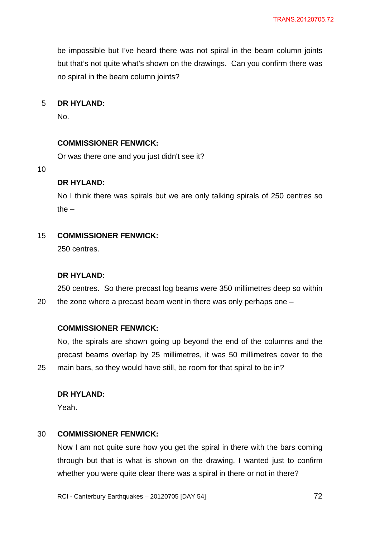be impossible but I've heard there was not spiral in the beam column joints but that's not quite what's shown on the drawings. Can you confirm there was no spiral in the beam column joints?

#### 5 **DR HYLAND:**

No.

### **COMMISSIONER FENWICK:**

Or was there one and you just didn't see it?

10

20

25

## **DR HYLAND:**

No I think there was spirals but we are only talking spirals of 250 centres so the  $-$ 

#### 15 **COMMISSIONER FENWICK:**

250 centres.

### **DR HYLAND:**

250 centres. So there precast log beams were 350 millimetres deep so within the zone where a precast beam went in there was only perhaps one –

### **COMMISSIONER FENWICK:**

No, the spirals are shown going up beyond the end of the columns and the precast beams overlap by 25 millimetres, it was 50 millimetres cover to the main bars, so they would have still, be room for that spiral to be in?

## **DR HYLAND:**

Yeah.

#### 30 **COMMISSIONER FENWICK:**

Now I am not quite sure how you get the spiral in there with the bars coming through but that is what is shown on the drawing, I wanted just to confirm whether you were quite clear there was a spiral in there or not in there?

RCI - Canterbury Earthquakes – 20120705 [DAY 54]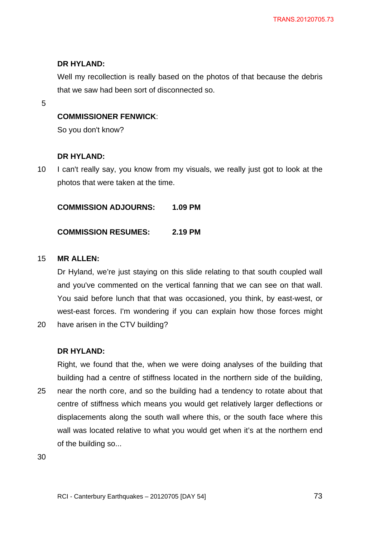## **DR HYLAND:**

Well my recollection is really based on the photos of that because the debris that we saw had been sort of disconnected so.

5

## **COMMISSIONER FENWICK**:

So you don't know?

## **DR HYLAND:**

10 I can't really say, you know from my visuals, we really just got to look at the photos that were taken at the time.

**COMMISSION ADJOURNS: 1.09 PM** 

## **COMMISSION RESUMES: 2.19 PM**

#### 15 **MR ALLEN:**

Dr Hyland, we're just staying on this slide relating to that south coupled wall and you've commented on the vertical fanning that we can see on that wall. You said before lunch that that was occasioned, you think, by east-west, or west-east forces. I'm wondering if you can explain how those forces might

20 have arisen in the CTV building?

## **DR HYLAND:**

Right, we found that the, when we were doing analyses of the building that building had a centre of stiffness located in the northern side of the building,

25 near the north core, and so the building had a tendency to rotate about that centre of stiffness which means you would get relatively larger deflections or displacements along the south wall where this, or the south face where this wall was located relative to what you would get when it's at the northern end of the building so...

30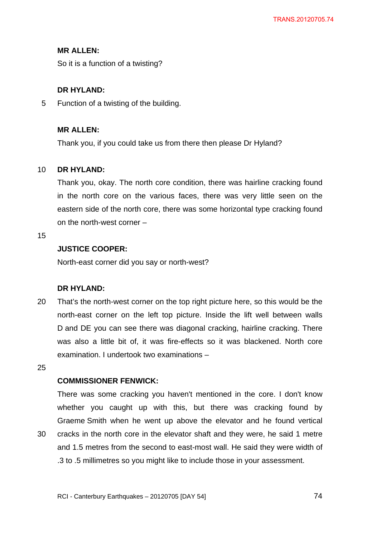## **MR ALLEN:**

So it is a function of a twisting?

## **DR HYLAND:**

5 Function of a twisting of the building.

## **MR ALLEN:**

Thank you, if you could take us from there then please Dr Hyland?

#### 10 **DR HYLAND:**

Thank you, okay. The north core condition, there was hairline cracking found in the north core on the various faces, there was very little seen on the eastern side of the north core, there was some horizontal type cracking found on the north-west corner –

15

## **JUSTICE COOPER:**

North-east corner did you say or north-west?

## **DR HYLAND:**

20 That's the north-west corner on the top right picture here, so this would be the north-east corner on the left top picture. Inside the lift well between walls D and DE you can see there was diagonal cracking, hairline cracking. There was also a little bit of, it was fire-effects so it was blackened. North core examination. I undertook two examinations –

25

### **COMMISSIONER FENWICK:**

30

There was some cracking you haven't mentioned in the core. I don't know whether you caught up with this, but there was cracking found by Graeme Smith when he went up above the elevator and he found vertical cracks in the north core in the elevator shaft and they were, he said 1 metre and 1.5 metres from the second to east-most wall. He said they were width of .3 to .5 millimetres so you might like to include those in your assessment.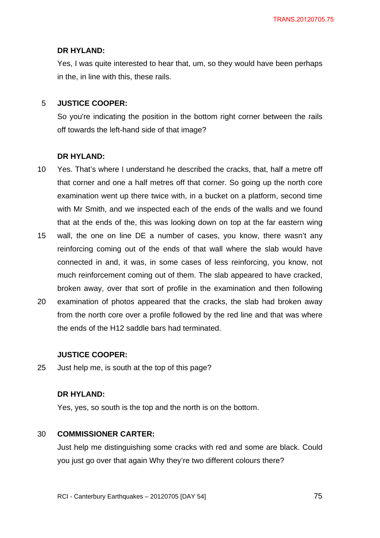### **DR HYLAND:**

Yes, I was quite interested to hear that, um, so they would have been perhaps in the, in line with this, these rails.

#### 5 **JUSTICE COOPER:**

So you're indicating the position in the bottom right corner between the rails off towards the left-hand side of that image?

### **DR HYLAND:**

- 10 Yes. That's where I understand he described the cracks, that, half a metre off that corner and one a half metres off that corner. So going up the north core examination went up there twice with, in a bucket on a platform, second time with Mr Smith, and we inspected each of the ends of the walls and we found that at the ends of the, this was looking down on top at the far eastern wing
- 15 wall, the one on line DE a number of cases, you know, there wasn't any reinforcing coming out of the ends of that wall where the slab would have connected in and, it was, in some cases of less reinforcing, you know, not much reinforcement coming out of them. The slab appeared to have cracked, broken away, over that sort of profile in the examination and then following
- 20 examination of photos appeared that the cracks, the slab had broken away from the north core over a profile followed by the red line and that was where the ends of the H12 saddle bars had terminated.

#### **JUSTICE COOPER:**

25 Just help me, is south at the top of this page?

### **DR HYLAND:**

Yes, yes, so south is the top and the north is on the bottom.

#### 30 **COMMISSIONER CARTER:**

Just help me distinguishing some cracks with red and some are black. Could you just go over that again Why they're two different colours there?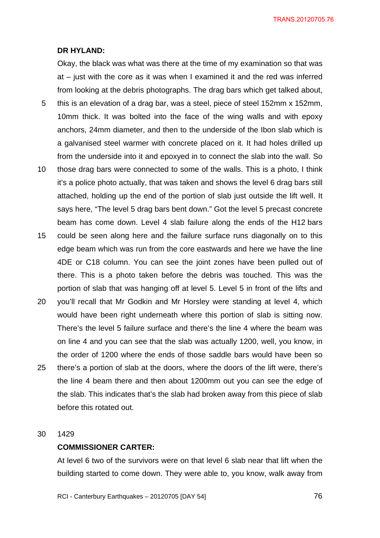#### **DR HYLAND:**

Okay, the black was what was there at the time of my examination so that was at – just with the core as it was when I examined it and the red was inferred from looking at the debris photographs. The drag bars which get talked about,

- 5 this is an elevation of a drag bar, was a steel, piece of steel 152mm x 152mm, 10mm thick. It was bolted into the face of the wing walls and with epoxy anchors, 24mm diameter, and then to the underside of the Ibon slab which is a galvanised steel warmer with concrete placed on it. It had holes drilled up from the underside into it and epoxyed in to connect the slab into the wall. So
- 10 those drag bars were connected to some of the walls. This is a photo, I think it's a police photo actually, that was taken and shows the level 6 drag bars still attached, holding up the end of the portion of slab just outside the lift well. It says here, "The level 5 drag bars bent down." Got the level 5 precast concrete beam has come down. Level 4 slab failure along the ends of the H12 bars
- 15 could be seen along here and the failure surface runs diagonally on to this edge beam which was run from the core eastwards and here we have the line 4DE or C18 column. You can see the joint zones have been pulled out of there. This is a photo taken before the debris was touched. This was the portion of slab that was hanging off at level 5. Level 5 in front of the lifts and
- 20 25 you'll recall that Mr Godkin and Mr Horsley were standing at level 4, which would have been right underneath where this portion of slab is sitting now. There's the level 5 failure surface and there's the line 4 where the beam was on line 4 and you can see that the slab was actually 1200, well, you know, in the order of 1200 where the ends of those saddle bars would have been so there's a portion of slab at the doors, where the doors of the lift were, there's the line 4 beam there and then about 1200mm out you can see the edge of the slab. This indicates that's the slab had broken away from this piece of slab before this rotated out.

#### 30 1429

#### **COMMISSIONER CARTER:**

At level 6 two of the survivors were on that level 6 slab near that lift when the building started to come down. They were able to, you know, walk away from

RCI - Canterbury Earthquakes – 20120705 [DAY 54]

<u>2012 - Paris Carl The Carl The Time State of the Carl The Time State of the Carl The Time State of the Time St</u>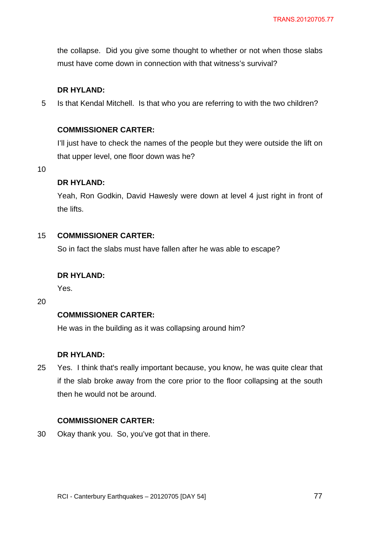the collapse. Did you give some thought to whether or not when those slabs must have come down in connection with that witness's survival?

## **DR HYLAND:**

5 Is that Kendal Mitchell. Is that who you are referring to with the two children?

## **COMMISSIONER CARTER:**

I'll just have to check the names of the people but they were outside the lift on that upper level, one floor down was he?

10

## **DR HYLAND:**

Yeah, Ron Godkin, David Hawesly were down at level 4 just right in front of the lifts.

#### 15 **COMMISSIONER CARTER:**

So in fact the slabs must have fallen after he was able to escape?

## **DR HYLAND:**

Yes.

20

## **COMMISSIONER CARTER:**

He was in the building as it was collapsing around him?

## **DR HYLAND:**

25 Yes. I think that's really important because, you know, he was quite clear that if the slab broke away from the core prior to the floor collapsing at the south then he would not be around.

## **COMMISSIONER CARTER:**

30 Okay thank you. So, you've got that in there.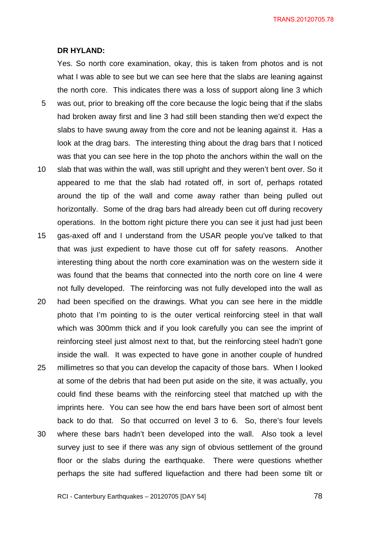#### **DR HYLAND:**

5

Yes. So north core examination, okay, this is taken from photos and is not what I was able to see but we can see here that the slabs are leaning against the north core. This indicates there was a loss of support along line 3 which was out, prior to breaking off the core because the logic being that if the slabs had broken away first and line 3 had still been standing then we'd expect the slabs to have swung away from the core and not be leaning against it. Has a look at the drag bars. The interesting thing about the drag bars that I noticed was that you can see here in the top photo the anchors within the wall on the

- 10 slab that was within the wall, was still upright and they weren't bent over. So it appeared to me that the slab had rotated off, in sort of, perhaps rotated around the tip of the wall and come away rather than being pulled out horizontally. Some of the drag bars had already been cut off during recovery operations. In the bottom right picture there you can see it just had just been
- 15 gas-axed off and I understand from the USAR people you've talked to that that was just expedient to have those cut off for safety reasons. Another interesting thing about the north core examination was on the western side it was found that the beams that connected into the north core on line 4 were not fully developed. The reinforcing was not fully developed into the wall as
- 20 25 had been specified on the drawings. What you can see here in the middle photo that I'm pointing to is the outer vertical reinforcing steel in that wall which was 300mm thick and if you look carefully you can see the imprint of reinforcing steel just almost next to that, but the reinforcing steel hadn't gone inside the wall. It was expected to have gone in another couple of hundred millimetres so that you can develop the capacity of those bars. When I looked at some of the debris that had been put aside on the site, it was actually, you could find these beams with the reinforcing steel that matched up with the imprints here. You can see how the end bars have been sort of almost bent back to do that. So that occurred on level 3 to 6. So, there's four levels
- 30 where these bars hadn't been developed into the wall. Also took a level survey just to see if there was any sign of obvious settlement of the ground floor or the slabs during the earthquake. There were questions whether perhaps the site had suffered liquefaction and there had been some tilt or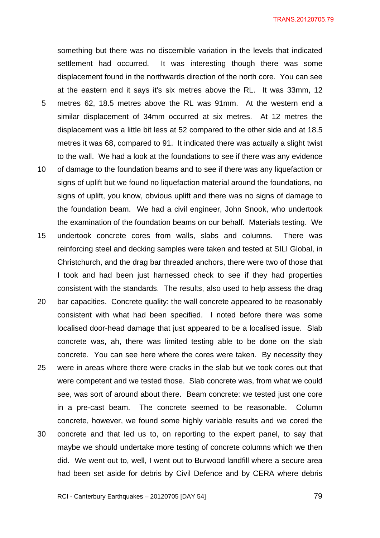something but there was no discernible variation in the levels that indicated settlement had occurred. It was interesting though there was some displacement found in the northwards direction of the north core. You can see at the eastern end it says it's six metres above the RL. It was 33mm, 12

- 5 metres 62, 18.5 metres above the RL was 91mm. At the western end a similar displacement of 34mm occurred at six metres. At 12 metres the displacement was a little bit less at 52 compared to the other side and at 18.5 metres it was 68, compared to 91. It indicated there was actually a slight twist to the wall. We had a look at the foundations to see if there was any evidence
- 10 of damage to the foundation beams and to see if there was any liquefaction or signs of uplift but we found no liquefaction material around the foundations, no signs of uplift, you know, obvious uplift and there was no signs of damage to the foundation beam. We had a civil engineer, John Snook, who undertook the examination of the foundation beams on our behalf. Materials testing. We
- 15 undertook concrete cores from walls, slabs and columns. There was reinforcing steel and decking samples were taken and tested at SILI Global, in Christchurch, and the drag bar threaded anchors, there were two of those that I took and had been just harnessed check to see if they had properties consistent with the standards. The results, also used to help assess the drag
- 20 25 30 bar capacities. Concrete quality: the wall concrete appeared to be reasonably consistent with what had been specified. I noted before there was some localised door-head damage that just appeared to be a localised issue. Slab concrete was, ah, there was limited testing able to be done on the slab concrete. You can see here where the cores were taken. By necessity they were in areas where there were cracks in the slab but we took cores out that were competent and we tested those. Slab concrete was, from what we could see, was sort of around about there. Beam concrete: we tested just one core in a pre-cast beam. The concrete seemed to be reasonable. Column concrete, however, we found some highly variable results and we cored the concrete and that led us to, on reporting to the expert panel, to say that maybe we should undertake more testing of concrete columns which we then did. We went out to, well, I went out to Burwood landfill where a secure area had been set aside for debris by Civil Defence and by CERA where debris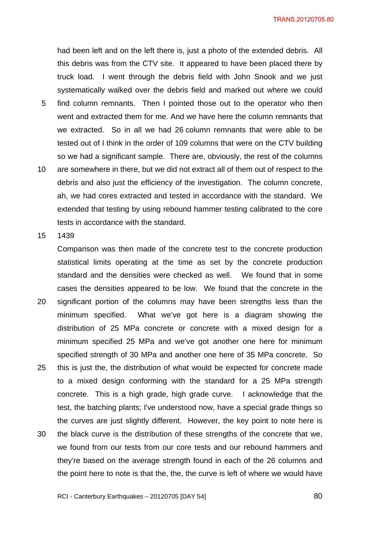had been left and on the left there is, just a photo of the extended debris. All this debris was from the CTV site. It appeared to have been placed there by truck load. I went through the debris field with John Snook and we just systematically walked over the debris field and marked out where we could find column remnants. Then I pointed those out to the operator who then

- went and extracted them for me. And we have here the column remnants that we extracted. So in all we had 26 column remnants that were able to be tested out of I think in the order of 109 columns that were on the CTV building so we had a significant sample. There are, obviously, the rest of the columns
- 10 are somewhere in there, but we did not extract all of them out of respect to the debris and also just the efficiency of the investigation. The column concrete, ah, we had cores extracted and tested in accordance with the standard. We extended that testing by using rebound hammer testing calibrated to the core tests in accordance with the standard.

15 1439

5

20 25 30 Comparison was then made of the concrete test to the concrete production statistical limits operating at the time as set by the concrete production standard and the densities were checked as well. We found that in some cases the densities appeared to be low. We found that the concrete in the significant portion of the columns may have been strengths less than the minimum specified. What we've got here is a diagram showing the distribution of 25 MPa concrete or concrete with a mixed design for a minimum specified 25 MPa and we've got another one here for minimum specified strength of 30 MPa and another one here of 35 MPa concrete. So this is just the, the distribution of what would be expected for concrete made to a mixed design conforming with the standard for a 25 MPa strength concrete. This is a high grade, high grade curve. I acknowledge that the test, the batching plants; I've understood now, have a special grade things so the curves are just slightly different. However, the key point to note here is the black curve is the distribution of these strengths of the concrete that we, we found from our tests from our core tests and our rebound hammers and they're based on the average strength found in each of the 26 columns and

the point here to note is that the, the, the curve is left of where we would have

RCI - Canterbury Earthquakes – 20120705 [DAY 54]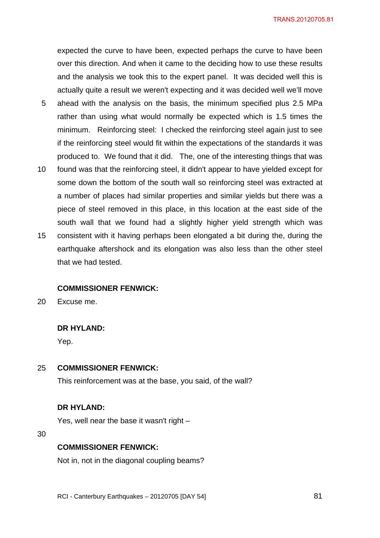expected the curve to have been, expected perhaps the curve to have been over this direction. And when it came to the deciding how to use these results and the analysis we took this to the expert panel. It was decided well this is actually quite a result we weren't expecting and it was decided well we'll move

- 5 ahead with the analysis on the basis, the minimum specified plus 2.5 MPa rather than using what would normally be expected which is 1.5 times the minimum. Reinforcing steel: I checked the reinforcing steel again just to see if the reinforcing steel would fit within the expectations of the standards it was produced to. We found that it did. The, one of the interesting things that was
- 10 15 found was that the reinforcing steel, it didn't appear to have yielded except for some down the bottom of the south wall so reinforcing steel was extracted at a number of places had similar properties and similar yields but there was a piece of steel removed in this place, in this location at the east side of the south wall that we found had a slightly higher yield strength which was consistent with it having perhaps been elongated a bit during the, during the earthquake aftershock and its elongation was also less than the other steel

#### **COMMISSIONER FENWICK:**

20 Excuse me.

### **DR HYLAND:**

that we had tested.

Yep.

#### 25 **COMMISSIONER FENWICK:**

This reinforcement was at the base, you said, of the wall?

#### **DR HYLAND:**

Yes, well near the base it wasn't right –

30

#### **COMMISSIONER FENWICK:**

Not in, not in the diagonal coupling beams?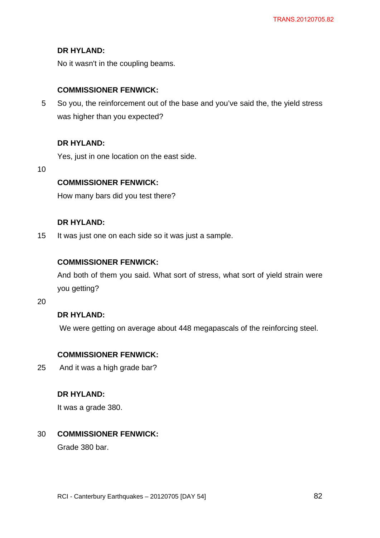## **DR HYLAND:**

No it wasn't in the coupling beams.

## **COMMISSIONER FENWICK:**

5 So you, the reinforcement out of the base and you've said the, the yield stress was higher than you expected?

## **DR HYLAND:**

Yes, just in one location on the east side.

10

## **COMMISSIONER FENWICK:**

How many bars did you test there?

## **DR HYLAND:**

15 It was just one on each side so it was just a sample.

### **COMMISSIONER FENWICK:**

And both of them you said. What sort of stress, what sort of yield strain were you getting?

20

## **DR HYLAND:**

We were getting on average about 448 megapascals of the reinforcing steel.

## **COMMISSIONER FENWICK:**

25 And it was a high grade bar?

### **DR HYLAND:**

It was a grade 380.

#### 30 **COMMISSIONER FENWICK:**

Grade 380 bar.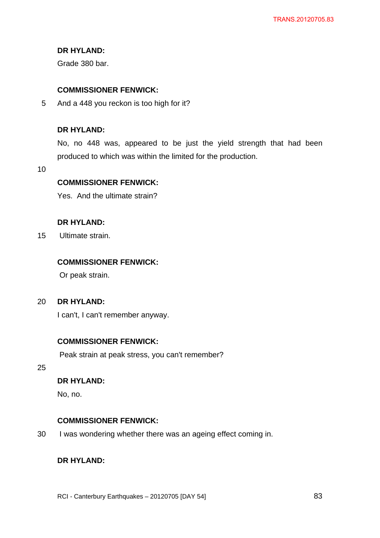## **DR HYLAND:**

Grade 380 bar.

## **COMMISSIONER FENWICK:**

5 And a 448 you reckon is too high for it?

### **DR HYLAND:**

No, no 448 was, appeared to be just the yield strength that had been produced to which was within the limited for the production.

10

## **COMMISSIONER FENWICK:**

Yes. And the ultimate strain?

### **DR HYLAND:**

15 Ultimate strain.

## **COMMISSIONER FENWICK:**

Or peak strain.

#### 20 **DR HYLAND:**

I can't, I can't remember anyway.

### **COMMISSIONER FENWICK:**

Peak strain at peak stress, you can't remember?

25

## **DR HYLAND:**

No, no.

## **COMMISSIONER FENWICK:**

30 I was wondering whether there was an ageing effect coming in.

## **DR HYLAND:**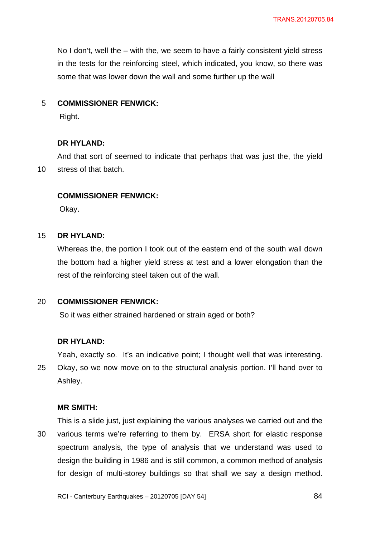No I don't, well the – with the, we seem to have a fairly consistent yield stress in the tests for the reinforcing steel, which indicated, you know, so there was some that was lower down the wall and some further up the wall

#### 5 **COMMISSIONER FENWICK:**

Right.

## **DR HYLAND:**

10 And that sort of seemed to indicate that perhaps that was just the, the yield stress of that batch.

## **COMMISSIONER FENWICK:**

Okay.

#### 15 **DR HYLAND:**

Whereas the, the portion I took out of the eastern end of the south wall down the bottom had a higher yield stress at test and a lower elongation than the rest of the reinforcing steel taken out of the wall.

#### 20 **COMMISSIONER FENWICK:**

So it was either strained hardened or strain aged or both?

#### **DR HYLAND:**

25 Yeah, exactly so. It's an indicative point; I thought well that was interesting. Okay, so we now move on to the structural analysis portion. I'll hand over to Ashley.

#### **MR SMITH:**

30 This is a slide just, just explaining the various analyses we carried out and the various terms we're referring to them by. ERSA short for elastic response spectrum analysis, the type of analysis that we understand was used to design the building in 1986 and is still common, a common method of analysis for design of multi-storey buildings so that shall we say a design method.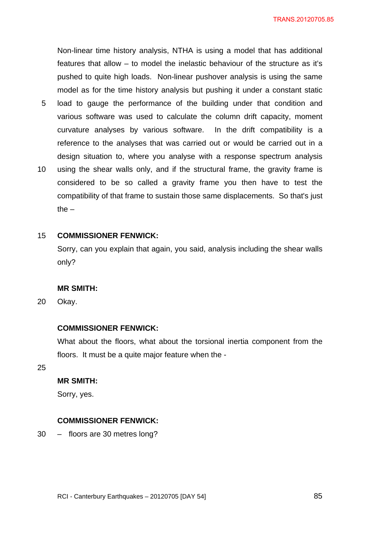Non-linear time history analysis, NTHA is using a model that has additional features that allow – to model the inelastic behaviour of the structure as it's pushed to quite high loads. Non-linear pushover analysis is using the same model as for the time history analysis but pushing it under a constant static

- 5 load to gauge the performance of the building under that condition and various software was used to calculate the column drift capacity, moment curvature analyses by various software. In the drift compatibility is a reference to the analyses that was carried out or would be carried out in a design situation to, where you analyse with a response spectrum analysis
- 10 using the shear walls only, and if the structural frame, the gravity frame is considered to be so called a gravity frame you then have to test the compatibility of that frame to sustain those same displacements. So that's just the  $-$

#### 15 **COMMISSIONER FENWICK:**

Sorry, can you explain that again, you said, analysis including the shear walls only?

#### **MR SMITH:**

20 Okay.

#### **COMMISSIONER FENWICK:**

What about the floors, what about the torsional inertia component from the floors. It must be a quite major feature when the -

25

## **MR SMITH:**

Sorry, yes.

#### **COMMISSIONER FENWICK:**

30 – floors are 30 metres long?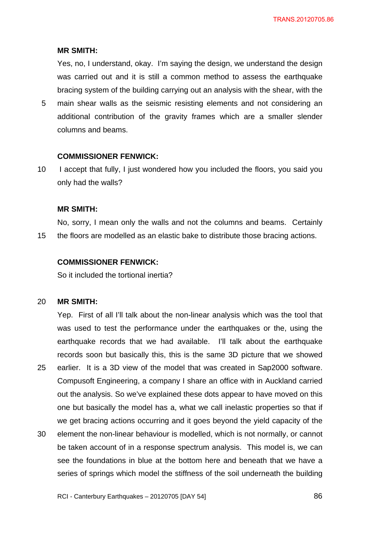#### **MR SMITH:**

Yes, no, I understand, okay. I'm saying the design, we understand the design was carried out and it is still a common method to assess the earthquake bracing system of the building carrying out an analysis with the shear, with the

5 main shear walls as the seismic resisting elements and not considering an additional contribution of the gravity frames which are a smaller slender columns and beams.

#### **COMMISSIONER FENWICK:**

10 I accept that fully, I just wondered how you included the floors, you said you only had the walls?

#### **MR SMITH:**

15 No, sorry, I mean only the walls and not the columns and beams. Certainly the floors are modelled as an elastic bake to distribute those bracing actions.

#### **COMMISSIONER FENWICK:**

So it included the tortional inertia?

#### 20 **MR SMITH:**

25 Yep. First of all I'll talk about the non-linear analysis which was the tool that was used to test the performance under the earthquakes or the, using the earthquake records that we had available. I'll talk about the earthquake records soon but basically this, this is the same 3D picture that we showed earlier. It is a 3D view of the model that was created in Sap2000 software. Compusoft Engineering, a company I share an office with in Auckland carried out the analysis. So we've explained these dots appear to have moved on this one but basically the model has a, what we call inelastic properties so that if we get bracing actions occurring and it goes beyond the yield capacity of the

30 element the non-linear behaviour is modelled, which is not normally, or cannot be taken account of in a response spectrum analysis. This model is, we can see the foundations in blue at the bottom here and beneath that we have a series of springs which model the stiffness of the soil underneath the building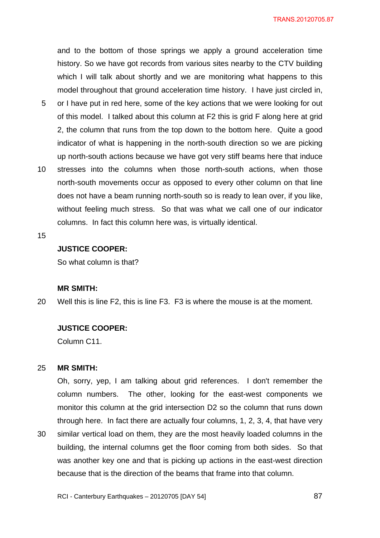and to the bottom of those springs we apply a ground acceleration time history. So we have got records from various sites nearby to the CTV building which I will talk about shortly and we are monitoring what happens to this model throughout that ground acceleration time history. I have just circled in,

- 5 or I have put in red here, some of the key actions that we were looking for out of this model. I talked about this column at F2 this is grid F along here at grid 2, the column that runs from the top down to the bottom here. Quite a good indicator of what is happening in the north-south direction so we are picking up north-south actions because we have got very stiff beams here that induce
- 10 stresses into the columns when those north-south actions, when those north-south movements occur as opposed to every other column on that line does not have a beam running north-south so is ready to lean over, if you like, without feeling much stress. So that was what we call one of our indicator columns. In fact this column here was, is virtually identical.
- 15

## **JUSTICE COOPER:**

So what column is that?

#### **MR SMITH:**

20 Well this is line F2, this is line F3. F3 is where the mouse is at the moment.

#### **JUSTICE COOPER:**

Column C11.

#### 25 **MR SMITH:**

30

Oh, sorry, yep, I am talking about grid references. I don't remember the column numbers. The other, looking for the east-west components we monitor this column at the grid intersection D2 so the column that runs down through here. In fact there are actually four columns, 1, 2, 3, 4, that have very similar vertical load on them, they are the most heavily loaded columns in the building, the internal columns get the floor coming from both sides. So that was another key one and that is picking up actions in the east-west direction

because that is the direction of the beams that frame into that column.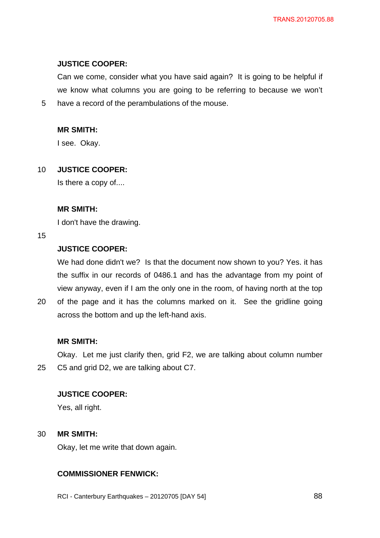## **JUSTICE COOPER:**

Can we come, consider what you have said again? It is going to be helpful if we know what columns you are going to be referring to because we won't have a record of the perambulations of the mouse.

## **MR SMITH:**

I see. Okay.

#### 10 **JUSTICE COOPER:**

Is there a copy of....

### **MR SMITH:**

I don't have the drawing.

#### 15

5

## **JUSTICE COOPER:**

We had done didn't we? Is that the document now shown to you? Yes. it has the suffix in our records of 0486.1 and has the advantage from my point of view anyway, even if I am the only one in the room, of having north at the top

20 of the page and it has the columns marked on it. See the gridline going across the bottom and up the left-hand axis.

## **MR SMITH:**

25 Okay. Let me just clarify then, grid F2, we are talking about column number C5 and grid D2, we are talking about C7.

## **JUSTICE COOPER:**

Yes, all right.

#### 30 **MR SMITH:**

Okay, let me write that down again.

## **COMMISSIONER FENWICK:**

RCI - Canterbury Earthquakes – 20120705 [DAY 54]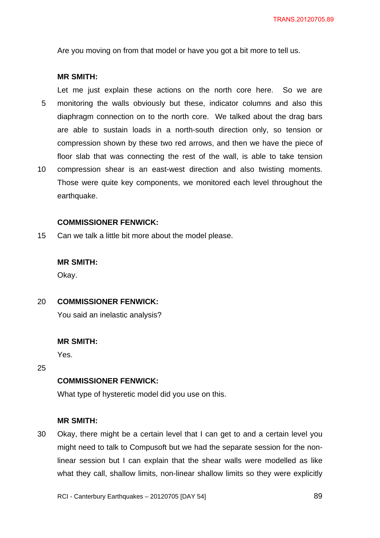Are you moving on from that model or have you got a bit more to tell us.

#### **MR SMITH:**

5 10 Let me just explain these actions on the north core here. So we are monitoring the walls obviously but these, indicator columns and also this diaphragm connection on to the north core. We talked about the drag bars are able to sustain loads in a north-south direction only, so tension or compression shown by these two red arrows, and then we have the piece of floor slab that was connecting the rest of the wall, is able to take tension compression shear is an east-west direction and also twisting moments. Those were quite key components, we monitored each level throughout the

#### **COMMISSIONER FENWICK:**

15 Can we talk a little bit more about the model please.

#### **MR SMITH:**

earthquake.

Okay.

#### 20 **COMMISSIONER FENWICK:**

You said an inelastic analysis?

#### **MR SMITH:**

Yes.

25

## **COMMISSIONER FENWICK:**

What type of hysteretic model did you use on this.

#### **MR SMITH:**

30 Okay, there might be a certain level that I can get to and a certain level you might need to talk to Compusoft but we had the separate session for the nonlinear session but I can explain that the shear walls were modelled as like what they call, shallow limits, non-linear shallow limits so they were explicitly

RCI - Canterbury Earthquakes – 20120705 [DAY 54]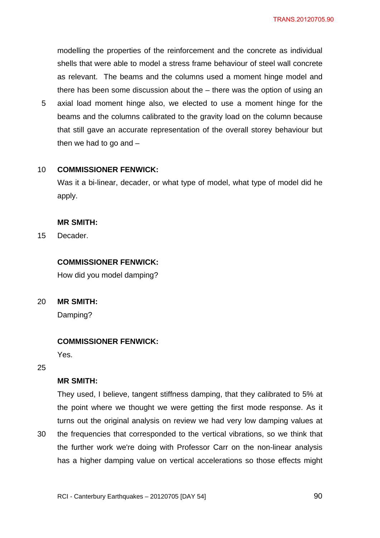modelling the properties of the reinforcement and the concrete as individual shells that were able to model a stress frame behaviour of steel wall concrete as relevant. The beams and the columns used a moment hinge model and there has been some discussion about the – there was the option of using an

5 axial load moment hinge also, we elected to use a moment hinge for the beams and the columns calibrated to the gravity load on the column because that still gave an accurate representation of the overall storey behaviour but then we had to go and  $-$ 

#### 10 **COMMISSIONER FENWICK:**

Was it a bi-linear, decader, or what type of model, what type of model did he apply.

#### **MR SMITH:**

15 **Decader** 

### **COMMISSIONER FENWICK:**

How did you model damping?

20 **MR SMITH:** 

Damping?

#### **COMMISSIONER FENWICK:**

Yes.

25

30

### **MR SMITH:**

They used, I believe, tangent stiffness damping, that they calibrated to 5% at the point where we thought we were getting the first mode response. As it turns out the original analysis on review we had very low damping values at the frequencies that corresponded to the vertical vibrations, so we think that the further work we're doing with Professor Carr on the non-linear analysis has a higher damping value on vertical accelerations so those effects might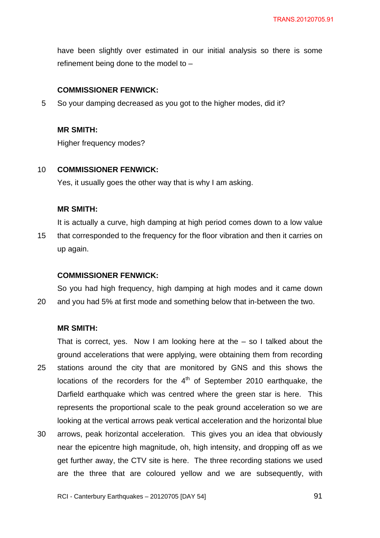have been slightly over estimated in our initial analysis so there is some refinement being done to the model to –

## **COMMISSIONER FENWICK:**

5 So your damping decreased as you got to the higher modes, did it?

## **MR SMITH:**

Higher frequency modes?

#### 10 **COMMISSIONER FENWICK:**

Yes, it usually goes the other way that is why I am asking.

### **MR SMITH:**

15 It is actually a curve, high damping at high period comes down to a low value that corresponded to the frequency for the floor vibration and then it carries on up again.

## **COMMISSIONER FENWICK:**

20 So you had high frequency, high damping at high modes and it came down and you had 5% at first mode and something below that in-between the two.

## **MR SMITH:**

25 That is correct, yes. Now I am looking here at the  $-$  so I talked about the ground accelerations that were applying, were obtaining them from recording stations around the city that are monitored by GNS and this shows the locations of the recorders for the  $4<sup>th</sup>$  of September 2010 earthquake, the Darfield earthquake which was centred where the green star is here. This represents the proportional scale to the peak ground acceleration so we are looking at the vertical arrows peak vertical acceleration and the horizontal blue

30 arrows, peak horizontal acceleration. This gives you an idea that obviously near the epicentre high magnitude, oh, high intensity, and dropping off as we get further away, the CTV site is here. The three recording stations we used are the three that are coloured yellow and we are subsequently, with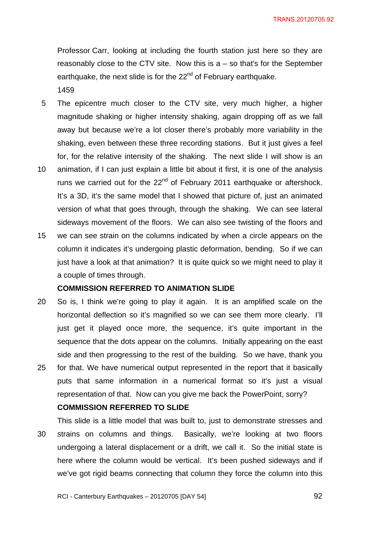Professor Carr, looking at including the fourth station just here so they are reasonably close to the CTV site. Now this is  $a - so$  that's for the September earthquake, the next slide is for the 22<sup>nd</sup> of February earthquake. 1459

- 5 The epicentre much closer to the CTV site, very much higher, a higher magnitude shaking or higher intensity shaking, again dropping off as we fall away but because we're a lot closer there's probably more variability in the shaking, even between these three recording stations. But it just gives a feel for, for the relative intensity of the shaking. The next slide I will show is an
- 10 animation, if I can just explain a little bit about it first, it is one of the analysis runs we carried out for the  $22<sup>nd</sup>$  of February 2011 earthquake or aftershock. It's a 3D, it's the same model that I showed that picture of, just an animated version of what that goes through, through the shaking. We can see lateral sideways movement of the floors. We can also see twisting of the floors and
- 15 we can see strain on the columns indicated by when a circle appears on the column it indicates it's undergoing plastic deformation, bending. So if we can just have a look at that animation? It is quite quick so we might need to play it a couple of times through.

### **COMMISSION REFERRED TO ANIMATION SLIDE**

20 25 So is, I think we're going to play it again. It is an amplified scale on the horizontal deflection so it's magnified so we can see them more clearly. I'll just get it played once more, the sequence, it's quite important in the sequence that the dots appear on the columns. Initially appearing on the east side and then progressing to the rest of the building. So we have, thank you for that. We have numerical output represented in the report that it basically puts that same information in a numerical format so it's just a visual

# **COMMISSION REFERRED TO SLIDE**

30 This slide is a little model that was built to, just to demonstrate stresses and strains on columns and things. Basically, we're looking at two floors undergoing a lateral displacement or a drift, we call it. So the initial state is here where the column would be vertical. It's been pushed sideways and if we've got rigid beams connecting that column they force the column into this

representation of that. Now can you give me back the PowerPoint, sorry?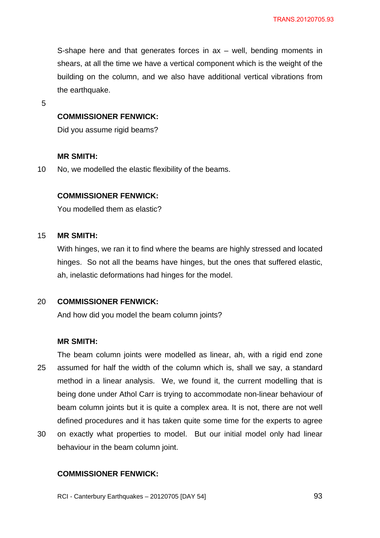S-shape here and that generates forces in ax – well, bending moments in shears, at all the time we have a vertical component which is the weight of the building on the column, and we also have additional vertical vibrations from the earthquake.

5

### **COMMISSIONER FENWICK:**

Did you assume rigid beams?

#### **MR SMITH:**

10 No, we modelled the elastic flexibility of the beams.

## **COMMISSIONER FENWICK:**

You modelled them as elastic?

#### 15 **MR SMITH:**

With hinges, we ran it to find where the beams are highly stressed and located hinges. So not all the beams have hinges, but the ones that suffered elastic, ah, inelastic deformations had hinges for the model.

#### 20 **COMMISSIONER FENWICK:**

And how did you model the beam column joints?

## **MR SMITH:**

25 The beam column joints were modelled as linear, ah, with a rigid end zone assumed for half the width of the column which is, shall we say, a standard method in a linear analysis. We, we found it, the current modelling that is being done under Athol Carr is trying to accommodate non-linear behaviour of beam column joints but it is quite a complex area. It is not, there are not well defined procedures and it has taken quite some time for the experts to agree

30 on exactly what properties to model. But our initial model only had linear behaviour in the beam column joint.

## **COMMISSIONER FENWICK:**

RCI - Canterbury Earthquakes – 20120705 [DAY 54]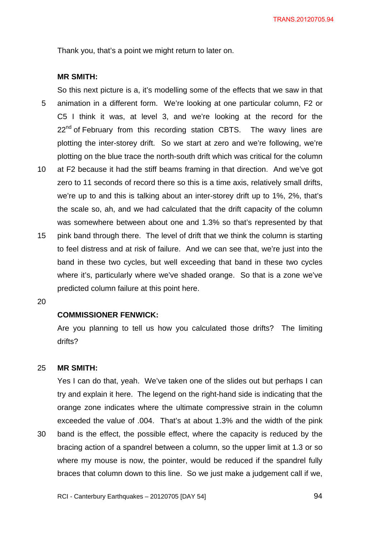Thank you, that's a point we might return to later on.

#### **MR SMITH:**

5 10 So this next picture is a, it's modelling some of the effects that we saw in that animation in a different form. We're looking at one particular column, F2 or C5 I think it was, at level 3, and we're looking at the record for the  $22<sup>nd</sup>$  of February from this recording station CBTS. The wavy lines are plotting the inter-storey drift. So we start at zero and we're following, we're plotting on the blue trace the north-south drift which was critical for the column at F2 because it had the stiff beams framing in that direction. And we've got

- zero to 11 seconds of record there so this is a time axis, relatively small drifts, we're up to and this is talking about an inter-storey drift up to 1%, 2%, that's the scale so, ah, and we had calculated that the drift capacity of the column was somewhere between about one and 1.3% so that's represented by that
- 15 pink band through there. The level of drift that we think the column is starting to feel distress and at risk of failure. And we can see that, we're just into the band in these two cycles, but well exceeding that band in these two cycles where it's, particularly where we've shaded orange. So that is a zone we've predicted column failure at this point here.
- 20

30

### **COMMISSIONER FENWICK:**

Are you planning to tell us how you calculated those drifts? The limiting drifts?

#### 25 **MR SMITH:**

Yes I can do that, yeah. We've taken one of the slides out but perhaps I can try and explain it here. The legend on the right-hand side is indicating that the orange zone indicates where the ultimate compressive strain in the column exceeded the value of .004. That's at about 1.3% and the width of the pink band is the effect, the possible effect, where the capacity is reduced by the bracing action of a spandrel between a column, so the upper limit at 1.3 or so where my mouse is now, the pointer, would be reduced if the spandrel fully braces that column down to this line. So we just make a judgement call if we,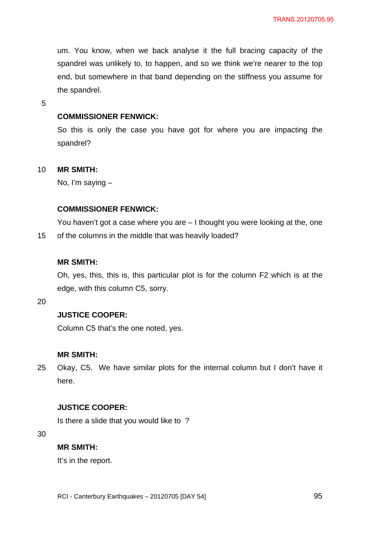um. You know, when we back analyse it the full bracing capacity of the spandrel was unlikely to, to happen, and so we think we're nearer to the top end, but somewhere in that band depending on the stiffness you assume for the spandrel.

5

## **COMMISSIONER FENWICK:**

So this is only the case you have got for where you are impacting the spandrel?

#### 10 **MR SMITH:**

No, I'm saying –

### **COMMISSIONER FENWICK:**

15 You haven't got a case where you are – I thought you were looking at the, one of the columns in the middle that was heavily loaded?

### **MR SMITH:**

Oh, yes, this, this is, this particular plot is for the column F2 which is at the edge, with this column C5, sorry.

20

## **JUSTICE COOPER:**

Column C5 that's the one noted, yes.

#### **MR SMITH:**

25 Okay, C5. We have similar plots for the internal column but I don't have it here.

## **JUSTICE COOPER:**

Is there a slide that you would like to ?

30

#### **MR SMITH:**

It's in the report.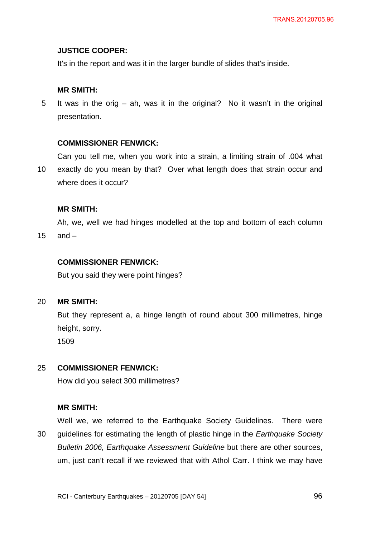### **JUSTICE COOPER:**

It's in the report and was it in the larger bundle of slides that's inside.

### **MR SMITH:**

5 It was in the orig – ah, was it in the original? No it wasn't in the original presentation.

#### **COMMISSIONER FENWICK:**

Can you tell me, when you work into a strain, a limiting strain of .004 what

10 exactly do you mean by that? Over what length does that strain occur and where does it occur?

#### **MR SMITH:**

Ah, we, well we had hinges modelled at the top and bottom of each column

15 and –

## **COMMISSIONER FENWICK:**

But you said they were point hinges?

#### 20 **MR SMITH:**

But they represent a, a hinge length of round about 300 millimetres, hinge height, sorry. 1509

#### 25 **COMMISSIONER FENWICK:**

How did you select 300 millimetres?

### **MR SMITH:**

30 Well we, we referred to the Earthquake Society Guidelines. There were guidelines for estimating the length of plastic hinge in the *Earthquake Society Bulletin 2006, Earthquake Assessment Guideline* but there are other sources, um, just can't recall if we reviewed that with Athol Carr. I think we may have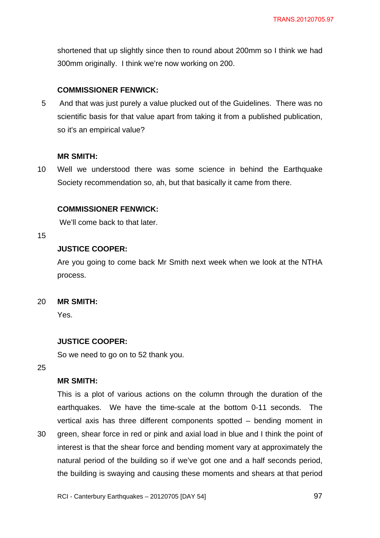shortened that up slightly since then to round about 200mm so I think we had 300mm originally. I think we're now working on 200.

## **COMMISSIONER FENWICK:**

5 And that was just purely a value plucked out of the Guidelines. There was no scientific basis for that value apart from taking it from a published publication, so it's an empirical value?

### **MR SMITH:**

10 Well we understood there was some science in behind the Earthquake Society recommendation so, ah, but that basically it came from there.

### **COMMISSIONER FENWICK:**

We'll come back to that later.

#### 15

## **JUSTICE COOPER:**

Are you going to come back Mr Smith next week when we look at the NTHA process.

#### 20 **MR SMITH:**

Yes.

## **JUSTICE COOPER:**

So we need to go on to 52 thank you.

25

30

## **MR SMITH:**

This is a plot of various actions on the column through the duration of the earthquakes. We have the time-scale at the bottom 0-11 seconds. The vertical axis has three different components spotted – bending moment in green, shear force in red or pink and axial load in blue and I think the point of interest is that the shear force and bending moment vary at approximately the natural period of the building so if we've got one and a half seconds period, the building is swaying and causing these moments and shears at that period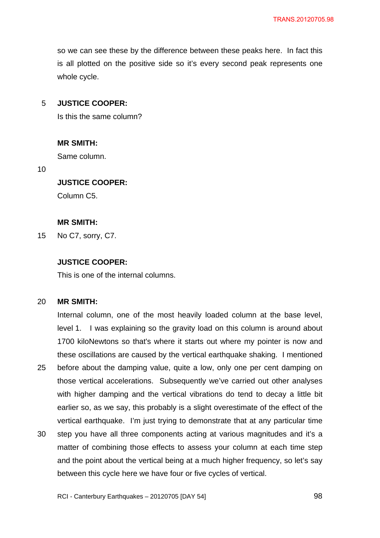so we can see these by the difference between these peaks here. In fact this is all plotted on the positive side so it's every second peak represents one whole cycle.

#### 5 **JUSTICE COOPER:**

Is this the same column?

## **MR SMITH:**

Same column.

10

## **JUSTICE COOPER:**

Column C5.

## **MR SMITH:**

15 No C7, sorry, C7.

## **JUSTICE COOPER:**

This is one of the internal columns.

#### 20 **MR SMITH:**

25 Internal column, one of the most heavily loaded column at the base level, level 1. I was explaining so the gravity load on this column is around about 1700 kiloNewtons so that's where it starts out where my pointer is now and these oscillations are caused by the vertical earthquake shaking. I mentioned before about the damping value, quite a low, only one per cent damping on those vertical accelerations. Subsequently we've carried out other analyses with higher damping and the vertical vibrations do tend to decay a little bit earlier so, as we say, this probably is a slight overestimate of the effect of the vertical earthquake. I'm just trying to demonstrate that at any particular time

30 step you have all three components acting at various magnitudes and it's a matter of combining those effects to assess your column at each time step and the point about the vertical being at a much higher frequency, so let's say between this cycle here we have four or five cycles of vertical.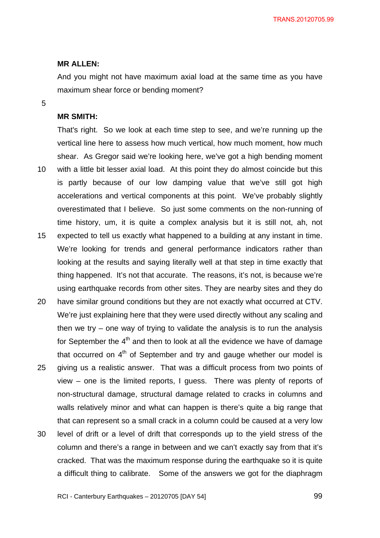#### **MR ALLEN:**

And you might not have maximum axial load at the same time as you have maximum shear force or bending moment?

5

### **MR SMITH:**

10 15 That's right. So we look at each time step to see, and we're running up the vertical line here to assess how much vertical, how much moment, how much shear. As Gregor said we're looking here, we've got a high bending moment with a little bit lesser axial load. At this point they do almost coincide but this is partly because of our low damping value that we've still got high accelerations and vertical components at this point. We've probably slightly overestimated that I believe. So just some comments on the non-running of time history, um, it is quite a complex analysis but it is still not, ah, not expected to tell us exactly what happened to a building at any instant in time. We're looking for trends and general performance indicators rather than looking at the results and saying literally well at that step in time exactly that thing happened. It's not that accurate. The reasons, it's not, is because we're using earthquake records from other sites. They are nearby sites and they do

20 25 have similar ground conditions but they are not exactly what occurred at CTV. We're just explaining here that they were used directly without any scaling and then we try – one way of trying to validate the analysis is to run the analysis for September the  $4<sup>th</sup>$  and then to look at all the evidence we have of damage that occurred on  $4<sup>th</sup>$  of September and try and gauge whether our model is giving us a realistic answer. That was a difficult process from two points of view – one is the limited reports, I guess. There was plenty of reports of non-structural damage, structural damage related to cracks in columns and

walls relatively minor and what can happen is there's quite a big range that that can represent so a small crack in a column could be caused at a very low

30 level of drift or a level of drift that corresponds up to the yield stress of the column and there's a range in between and we can't exactly say from that it's cracked. That was the maximum response during the earthquake so it is quite a difficult thing to calibrate. Some of the answers we got for the diaphragm

RCI - Canterbury Earthquakes – 20120705 [DAY 54]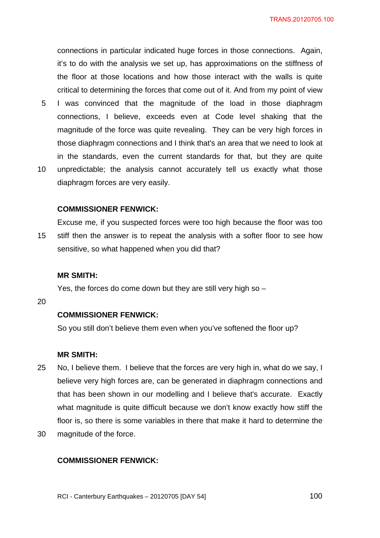5 10 connections in particular indicated huge forces in those connections. Again, it's to do with the analysis we set up, has approximations on the stiffness of the floor at those locations and how those interact with the walls is quite critical to determining the forces that come out of it. And from my point of view I was convinced that the magnitude of the load in those diaphragm connections, I believe, exceeds even at Code level shaking that the magnitude of the force was quite revealing. They can be very high forces in those diaphragm connections and I think that's an area that we need to look at in the standards, even the current standards for that, but they are quite unpredictable; the analysis cannot accurately tell us exactly what those diaphragm forces are very easily.

#### **COMMISSIONER FENWICK:**

15 Excuse me, if you suspected forces were too high because the floor was too stiff then the answer is to repeat the analysis with a softer floor to see how sensitive, so what happened when you did that?

#### **MR SMITH:**

Yes, the forces do come down but they are still very high so –

20

### **COMMISSIONER FENWICK:**

So you still don't believe them even when you've softened the floor up?

### **MR SMITH:**

- 25 No, I believe them. I believe that the forces are very high in, what do we say, I believe very high forces are, can be generated in diaphragm connections and that has been shown in our modelling and I believe that's accurate. Exactly what magnitude is quite difficult because we don't know exactly how stiff the floor is, so there is some variables in there that make it hard to determine the
- 30 magnitude of the force.

#### **COMMISSIONER FENWICK:**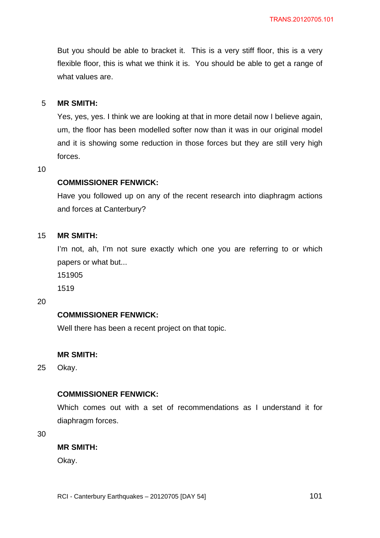But you should be able to bracket it. This is a very stiff floor, this is a very flexible floor, this is what we think it is. You should be able to get a range of what values are.

#### 5 **MR SMITH:**

Yes, yes, yes. I think we are looking at that in more detail now I believe again, um, the floor has been modelled softer now than it was in our original model and it is showing some reduction in those forces but they are still very high forces.

10

### **COMMISSIONER FENWICK:**

Have you followed up on any of the recent research into diaphragm actions and forces at Canterbury?

#### 15 **MR SMITH:**

I'm not, ah, I'm not sure exactly which one you are referring to or which papers or what but...

151905

1519

20

#### **COMMISSIONER FENWICK:**

Well there has been a recent project on that topic.

### **MR SMITH:**

25 Okay.

### **COMMISSIONER FENWICK:**

Which comes out with a set of recommendations as I understand it for diaphragm forces.

30

### **MR SMITH:**

Okay.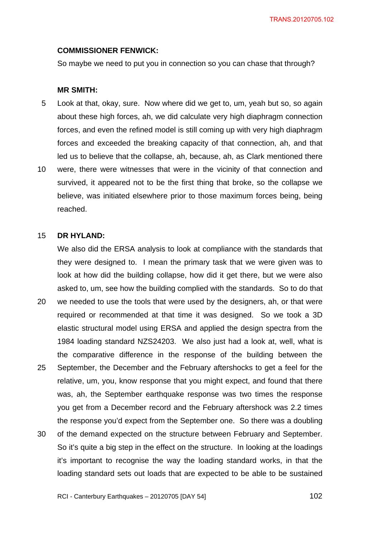#### **COMMISSIONER FENWICK:**

So maybe we need to put you in connection so you can chase that through?

#### **MR SMITH:**

- 5 Look at that, okay, sure. Now where did we get to, um, yeah but so, so again about these high forces, ah, we did calculate very high diaphragm connection forces, and even the refined model is still coming up with very high diaphragm forces and exceeded the breaking capacity of that connection, ah, and that led us to believe that the collapse, ah, because, ah, as Clark mentioned there
- 10 were, there were witnesses that were in the vicinity of that connection and survived, it appeared not to be the first thing that broke, so the collapse we believe, was initiated elsewhere prior to those maximum forces being, being reached.

#### 15 **DR HYLAND:**

20

We also did the ERSA analysis to look at compliance with the standards that they were designed to. I mean the primary task that we were given was to look at how did the building collapse, how did it get there, but we were also asked to, um, see how the building complied with the standards. So to do that we needed to use the tools that were used by the designers, ah, or that were

- 25 required or recommended at that time it was designed. So we took a 3D elastic structural model using ERSA and applied the design spectra from the 1984 loading standard NZS24203. We also just had a look at, well, what is the comparative difference in the response of the building between the September, the December and the February aftershocks to get a feel for the relative, um, you, know response that you might expect, and found that there was, ah, the September earthquake response was two times the response you get from a December record and the February aftershock was 2.2 times the response you'd expect from the September one. So there was a doubling
- 30 of the demand expected on the structure between February and September. So it's quite a big step in the effect on the structure. In looking at the loadings it's important to recognise the way the loading standard works, in that the loading standard sets out loads that are expected to be able to be sustained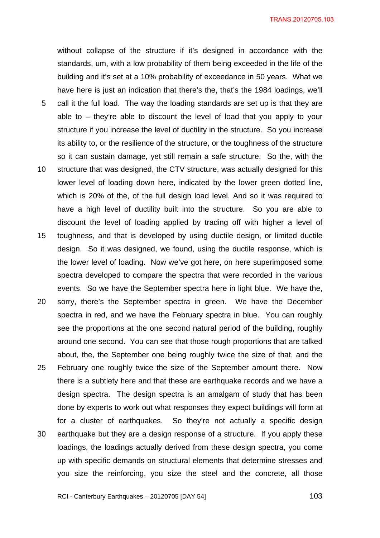5 10 15 20 25 30 without collapse of the structure if it's designed in accordance with the standards, um, with a low probability of them being exceeded in the life of the building and it's set at a 10% probability of exceedance in 50 years. What we have here is just an indication that there's the, that's the 1984 loadings, we'll call it the full load. The way the loading standards are set up is that they are able to – they're able to discount the level of load that you apply to your structure if you increase the level of ductility in the structure. So you increase its ability to, or the resilience of the structure, or the toughness of the structure so it can sustain damage, yet still remain a safe structure. So the, with the structure that was designed, the CTV structure, was actually designed for this lower level of loading down here, indicated by the lower green dotted line, which is 20% of the, of the full design load level. And so it was required to have a high level of ductility built into the structure. So you are able to discount the level of loading applied by trading off with higher a level of toughness, and that is developed by using ductile design, or limited ductile design. So it was designed, we found, using the ductile response, which is the lower level of loading. Now we've got here, on here superimposed some spectra developed to compare the spectra that were recorded in the various events. So we have the September spectra here in light blue. We have the, sorry, there's the September spectra in green. We have the December spectra in red, and we have the February spectra in blue. You can roughly see the proportions at the one second natural period of the building, roughly around one second. You can see that those rough proportions that are talked about, the, the September one being roughly twice the size of that, and the February one roughly twice the size of the September amount there. Now there is a subtlety here and that these are earthquake records and we have a design spectra. The design spectra is an amalgam of study that has been done by experts to work out what responses they expect buildings will form at for a cluster of earthquakes. So they're not actually a specific design earthquake but they are a design response of a structure. If you apply these loadings, the loadings actually derived from these design spectra, you come

up with specific demands on structural elements that determine stresses and

you size the reinforcing, you size the steel and the concrete, all those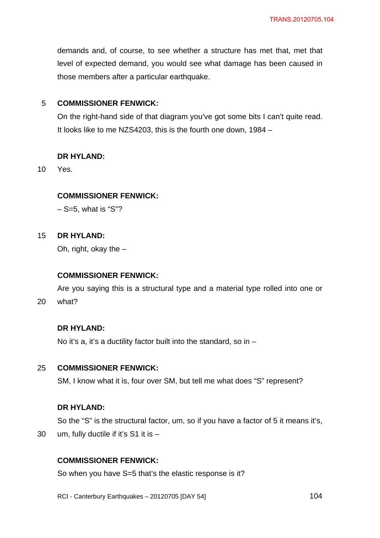demands and, of course, to see whether a structure has met that, met that level of expected demand, you would see what damage has been caused in those members after a particular earthquake.

#### 5 **COMMISSIONER FENWICK:**

On the right-hand side of that diagram you've got some bits I can't quite read. It looks like to me NZS4203, this is the fourth one down, 1984 –

#### **DR HYLAND:**

10 Yes.

### **COMMISSIONER FENWICK:**

 $-$  S=5, what is "S"?

#### 15 **DR HYLAND:**

Oh, right, okay the –

#### **COMMISSIONER FENWICK:**

20 Are you saying this is a structural type and a material type rolled into one or what?

# **DR HYLAND:**

No it's a, it's a ductility factor built into the standard, so in  $-$ 

#### 25 **COMMISSIONER FENWICK:**

SM, I know what it is, four over SM, but tell me what does "S" represent?

#### **DR HYLAND:**

30

So the "S" is the structural factor, um, so if you have a factor of 5 it means it's, um, fully ductile if it's S1 it is –

## **COMMISSIONER FENWICK:**

So when you have S=5 that's the elastic response is it?

RCI - Canterbury Earthquakes – 20120705 [DAY 54]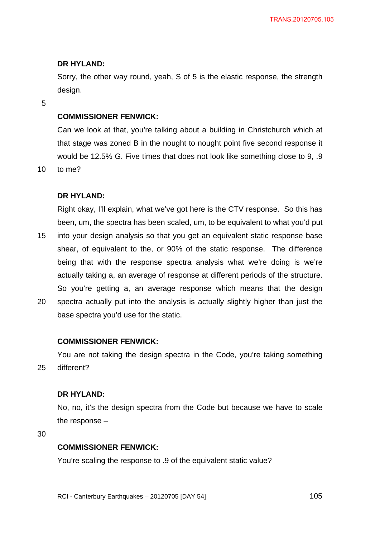### **DR HYLAND:**

Sorry, the other way round, yeah, S of 5 is the elastic response, the strength design.

5

## **COMMISSIONER FENWICK:**

Can we look at that, you're talking about a building in Christchurch which at that stage was zoned B in the nought to nought point five second response it would be 12.5% G. Five times that does not look like something close to 9, .9

10 to me?

### **DR HYLAND:**

15 Right okay, I'll explain, what we've got here is the CTV response. So this has been, um, the spectra has been scaled, um, to be equivalent to what you'd put into your design analysis so that you get an equivalent static response base shear, of equivalent to the, or 90% of the static response. The difference being that with the response spectra analysis what we're doing is we're actually taking a, an average of response at different periods of the structure. So you're getting a, an average response which means that the design

20 spectra actually put into the analysis is actually slightly higher than just the base spectra you'd use for the static.

### **COMMISSIONER FENWICK:**

25 You are not taking the design spectra in the Code, you're taking something different?

#### **DR HYLAND:**

No, no, it's the design spectra from the Code but because we have to scale the response –

30

#### **COMMISSIONER FENWICK:**

You're scaling the response to .9 of the equivalent static value?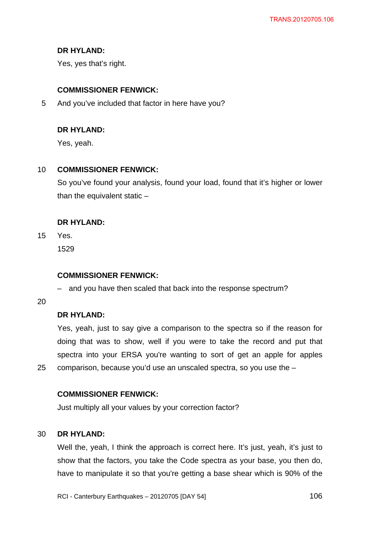## **DR HYLAND:**

Yes, yes that's right.

## **COMMISSIONER FENWICK:**

5 And you've included that factor in here have you?

## **DR HYLAND:**

Yes, yeah.

#### 10 **COMMISSIONER FENWICK:**

So you've found your analysis, found your load, found that it's higher or lower than the equivalent static –

## **DR HYLAND:**

15 Yes. 1529

### **COMMISSIONER FENWICK:**

– and you have then scaled that back into the response spectrum?

20

25

## **DR HYLAND:**

Yes, yeah, just to say give a comparison to the spectra so if the reason for doing that was to show, well if you were to take the record and put that spectra into your ERSA you're wanting to sort of get an apple for apples comparison, because you'd use an unscaled spectra, so you use the –

### **COMMISSIONER FENWICK:**

Just multiply all your values by your correction factor?

#### 30 **DR HYLAND:**

Well the, yeah, I think the approach is correct here. It's just, yeah, it's just to show that the factors, you take the Code spectra as your base, you then do, have to manipulate it so that you're getting a base shear which is 90% of the

RCI - Canterbury Earthquakes – 20120705 [DAY 54]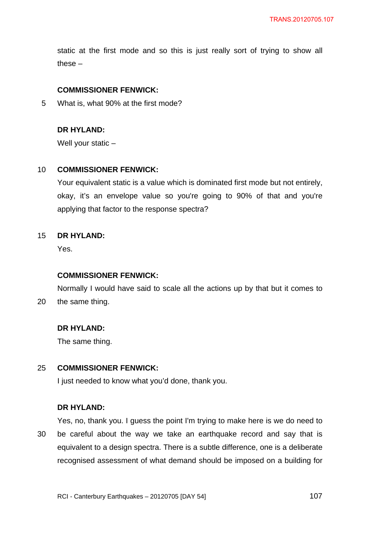static at the first mode and so this is just really sort of trying to show all these –

### **COMMISSIONER FENWICK:**

5 What is, what 90% at the first mode?

## **DR HYLAND:**

Well your static –

#### 10 **COMMISSIONER FENWICK:**

Your equivalent static is a value which is dominated first mode but not entirely, okay, it's an envelope value so you're going to 90% of that and you're applying that factor to the response spectra?

#### 15 **DR HYLAND:**

Yes.

#### **COMMISSIONER FENWICK:**

20 Normally I would have said to scale all the actions up by that but it comes to the same thing.

### **DR HYLAND:**

The same thing.

#### 25 **COMMISSIONER FENWICK:**

I just needed to know what you'd done, thank you.

### **DR HYLAND:**

30 Yes, no, thank you. I guess the point I'm trying to make here is we do need to be careful about the way we take an earthquake record and say that is equivalent to a design spectra. There is a subtle difference, one is a deliberate recognised assessment of what demand should be imposed on a building for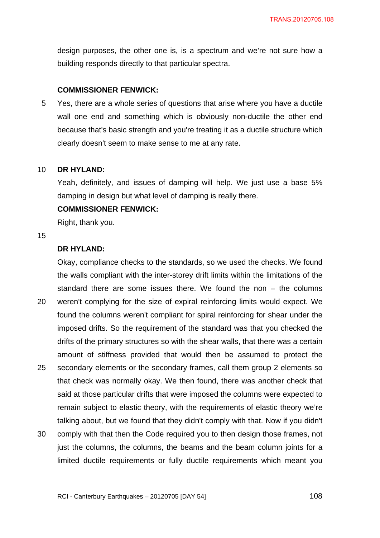design purposes, the other one is, is a spectrum and we're not sure how a building responds directly to that particular spectra.

#### **COMMISSIONER FENWICK:**

5 Yes, there are a whole series of questions that arise where you have a ductile wall one end and something which is obviously non-ductile the other end because that's basic strength and you're treating it as a ductile structure which clearly doesn't seem to make sense to me at any rate.

#### 10 **DR HYLAND:**

Yeah, definitely, and issues of damping will help. We just use a base 5% damping in design but what level of damping is really there.

#### **COMMISSIONER FENWICK:**

Right, thank you.

#### 15

## **DR HYLAND:**

20 25 Okay, compliance checks to the standards, so we used the checks. We found the walls compliant with the inter-storey drift limits within the limitations of the standard there are some issues there. We found the non – the columns weren't complying for the size of expiral reinforcing limits would expect. We found the columns weren't compliant for spiral reinforcing for shear under the imposed drifts. So the requirement of the standard was that you checked the drifts of the primary structures so with the shear walls, that there was a certain amount of stiffness provided that would then be assumed to protect the secondary elements or the secondary frames, call them group 2 elements so that check was normally okay. We then found, there was another check that said at those particular drifts that were imposed the columns were expected to remain subject to elastic theory, with the requirements of elastic theory we're talking about, but we found that they didn't comply with that. Now if you didn't

30 comply with that then the Code required you to then design those frames, not just the columns, the columns, the beams and the beam column joints for a limited ductile requirements or fully ductile requirements which meant you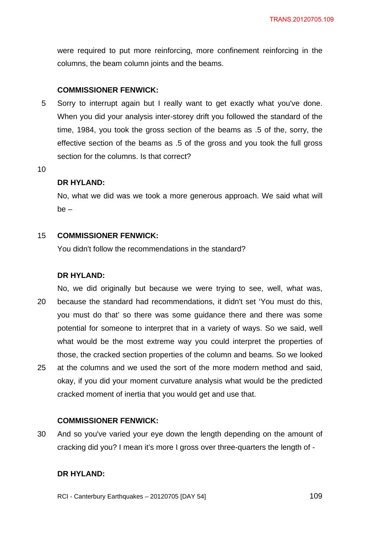were required to put more reinforcing, more confinement reinforcing in the columns, the beam column joints and the beams.

## **COMMISSIONER FENWICK:**

5 Sorry to interrupt again but I really want to get exactly what you've done. When you did your analysis inter-storey drift you followed the standard of the time, 1984, you took the gross section of the beams as .5 of the, sorry, the effective section of the beams as .5 of the gross and you took the full gross section for the columns. Is that correct?

10

#### **DR HYLAND:**

No, what we did was we took a more generous approach. We said what will be –

#### 15 **COMMISSIONER FENWICK:**

You didn't follow the recommendations in the standard?

### **DR HYLAND:**

20 25 No, we did originally but because we were trying to see, well, what was, because the standard had recommendations, it didn't set 'You must do this, you must do that' so there was some guidance there and there was some potential for someone to interpret that in a variety of ways. So we said, well what would be the most extreme way you could interpret the properties of those, the cracked section properties of the column and beams. So we looked at the columns and we used the sort of the more modern method and said, okay, if you did your moment curvature analysis what would be the predicted cracked moment of inertia that you would get and use that.

### **COMMISSIONER FENWICK:**

30 And so you've varied your eye down the length depending on the amount of cracking did you? I mean it's more I gross over three-quarters the length of -

## **DR HYLAND:**

RCI - Canterbury Earthquakes – 20120705 [DAY 54]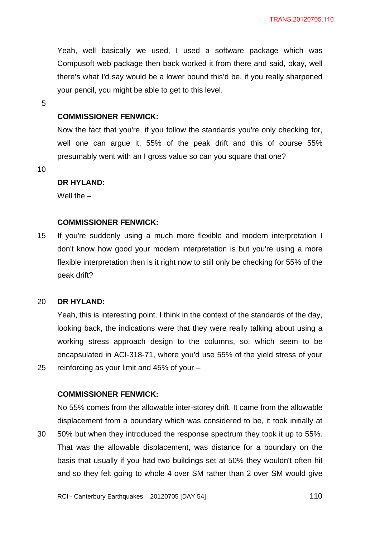Yeah, well basically we used, I used a software package which was Compusoft web package then back worked it from there and said, okay, well there's what I'd say would be a lower bound this'd be, if you really sharpened your pencil, you might be able to get to this level.

5

## **COMMISSIONER FENWICK:**

Now the fact that you're, if you follow the standards you're only checking for, well one can argue it, 55% of the peak drift and this of course 55% presumably went with an I gross value so can you square that one?

10

25

### **DR HYLAND:**

Well the  $-$ 

### **COMMISSIONER FENWICK:**

15 If you're suddenly using a much more flexible and modern interpretation I don't know how good your modern interpretation is but you're using a more flexible interpretation then is it right now to still only be checking for 55% of the peak drift?

#### 20 **DR HYLAND:**

Yeah, this is interesting point. I think in the context of the standards of the day, looking back, the indications were that they were really talking about using a working stress approach design to the columns, so, which seem to be encapsulated in ACI-318-71, where you'd use 55% of the yield stress of your reinforcing as your limit and 45% of your –

### **COMMISSIONER FENWICK:**

30 No 55% comes from the allowable inter-storey drift. It came from the allowable displacement from a boundary which was considered to be, it took initially at 50% but when they introduced the response spectrum they took it up to 55%. That was the allowable displacement, was distance for a boundary on the basis that usually if you had two buildings set at 50% they wouldn't often hit and so they felt going to whole 4 over SM rather than 2 over SM would give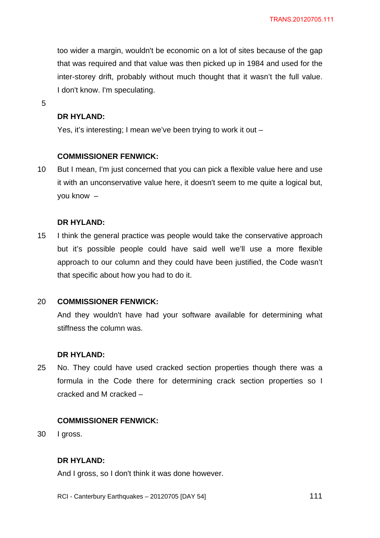too wider a margin, wouldn't be economic on a lot of sites because of the gap that was required and that value was then picked up in 1984 and used for the inter-storey drift, probably without much thought that it wasn't the full value. I don't know. I'm speculating.

5

## **DR HYLAND:**

Yes, it's interesting; I mean we've been trying to work it out –

## **COMMISSIONER FENWICK:**

10 But I mean, I'm just concerned that you can pick a flexible value here and use it with an unconservative value here, it doesn't seem to me quite a logical but, you know –

## **DR HYLAND:**

15 I think the general practice was people would take the conservative approach but it's possible people could have said well we'll use a more flexible approach to our column and they could have been justified, the Code wasn't that specific about how you had to do it.

#### 20 **COMMISSIONER FENWICK:**

And they wouldn't have had your software available for determining what stiffness the column was.

## **DR HYLAND:**

25 No. They could have used cracked section properties though there was a formula in the Code there for determining crack section properties so I cracked and M cracked –

## **COMMISSIONER FENWICK:**

30 I gross.

## **DR HYLAND:**

And I gross, so I don't think it was done however.

RCI - Canterbury Earthquakes – 20120705 [DAY 54]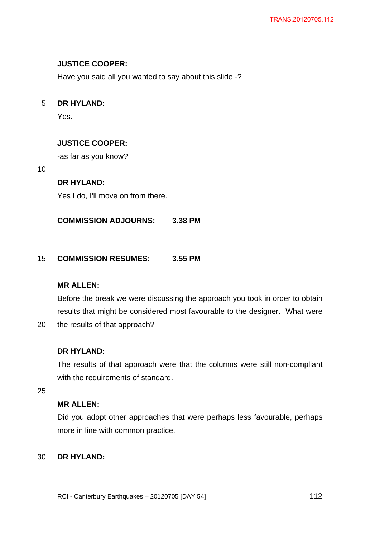# **JUSTICE COOPER:**

Have you said all you wanted to say about this slide -?

#### 5 **DR HYLAND:**

Yes.

# **JUSTICE COOPER:**

-as far as you know?

10

# **DR HYLAND:**

Yes I do, I'll move on from there.

**COMMISSION ADJOURNS: 3.38 PM** 

#### 15 **COMMISSION RESUMES: 3.55 PM**

# **MR ALLEN:**

Before the break we were discussing the approach you took in order to obtain results that might be considered most favourable to the designer. What were

20 the results of that approach?

# **DR HYLAND:**

The results of that approach were that the columns were still non-compliant with the requirements of standard.

25

# **MR ALLEN:**

Did you adopt other approaches that were perhaps less favourable, perhaps more in line with common practice.

#### 30 **DR HYLAND:**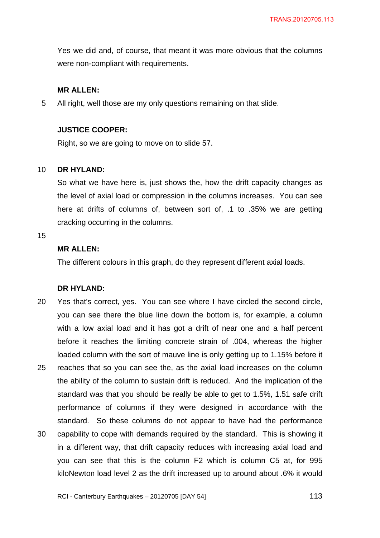Yes we did and, of course, that meant it was more obvious that the columns were non-compliant with requirements.

## **MR ALLEN:**

5 All right, well those are my only questions remaining on that slide.

# **JUSTICE COOPER:**

Right, so we are going to move on to slide 57.

#### 10 **DR HYLAND:**

So what we have here is, just shows the, how the drift capacity changes as the level of axial load or compression in the columns increases. You can see here at drifts of columns of, between sort of, .1 to .35% we are getting cracking occurring in the columns.

#### 15

# **MR ALLEN:**

The different colours in this graph, do they represent different axial loads.

### **DR HYLAND:**

20 25 30 Yes that's correct, yes. You can see where I have circled the second circle, you can see there the blue line down the bottom is, for example, a column with a low axial load and it has got a drift of near one and a half percent before it reaches the limiting concrete strain of .004, whereas the higher loaded column with the sort of mauve line is only getting up to 1.15% before it reaches that so you can see the, as the axial load increases on the column the ability of the column to sustain drift is reduced. And the implication of the standard was that you should be really be able to get to 1.5%, 1.51 safe drift performance of columns if they were designed in accordance with the standard. So these columns do not appear to have had the performance capability to cope with demands required by the standard. This is showing it in a different way, that drift capacity reduces with increasing axial load and you can see that this is the column F2 which is column C5 at, for 995 kiloNewton load level 2 as the drift increased up to around about .6% it would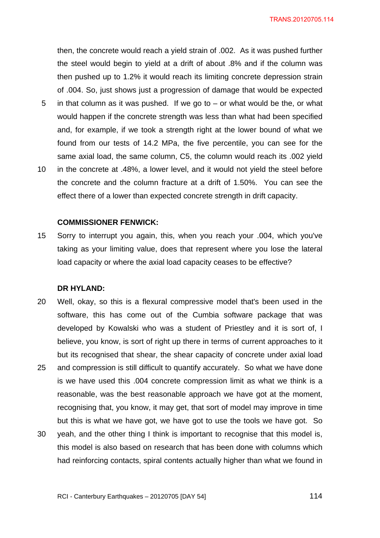then, the concrete would reach a yield strain of .002. As it was pushed further the steel would begin to yield at a drift of about .8% and if the column was then pushed up to 1.2% it would reach its limiting concrete depression strain of .004. So, just shows just a progression of damage that would be expected in that column as it was pushed. If we go to  $-$  or what would be the, or what would happen if the concrete strength was less than what had been specified and, for example, if we took a strength right at the lower bound of what we found from our tests of 14.2 MPa, the five percentile, you can see for the same axial load, the same column, C5, the column would reach its .002 yield

10 in the concrete at .48%, a lower level, and it would not yield the steel before the concrete and the column fracture at a drift of 1.50%. You can see the effect there of a lower than expected concrete strength in drift capacity.

#### **COMMISSIONER FENWICK:**

15 Sorry to interrupt you again, this, when you reach your .004, which you've taking as your limiting value, does that represent where you lose the lateral load capacity or where the axial load capacity ceases to be effective?

#### **DR HYLAND:**

5

- 20 Well, okay, so this is a flexural compressive model that's been used in the software, this has come out of the Cumbia software package that was developed by Kowalski who was a student of Priestley and it is sort of, I believe, you know, is sort of right up there in terms of current approaches to it but its recognised that shear, the shear capacity of concrete under axial load
- 25 and compression is still difficult to quantify accurately. So what we have done is we have used this .004 concrete compression limit as what we think is a reasonable, was the best reasonable approach we have got at the moment, recognising that, you know, it may get, that sort of model may improve in time but this is what we have got, we have got to use the tools we have got. So
- 30 yeah, and the other thing I think is important to recognise that this model is, this model is also based on research that has been done with columns which had reinforcing contacts, spiral contents actually higher than what we found in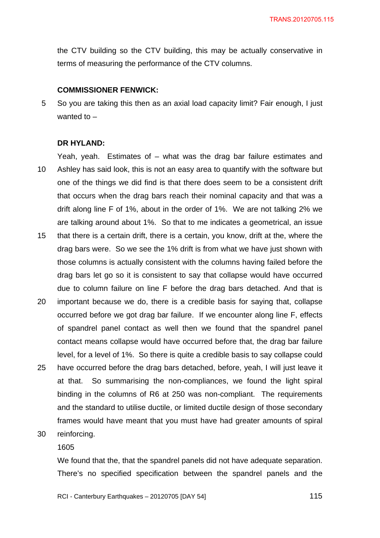the CTV building so the CTV building, this may be actually conservative in terms of measuring the performance of the CTV columns.

## **COMMISSIONER FENWICK:**

5 So you are taking this then as an axial load capacity limit? Fair enough, I just wanted to  $-$ 

### **DR HYLAND:**

- 10 Yeah, yeah. Estimates of – what was the drag bar failure estimates and Ashley has said look, this is not an easy area to quantify with the software but one of the things we did find is that there does seem to be a consistent drift that occurs when the drag bars reach their nominal capacity and that was a drift along line F of 1%, about in the order of 1%. We are not talking 2% we are talking around about 1%. So that to me indicates a geometrical, an issue
- 15 that there is a certain drift, there is a certain, you know, drift at the, where the drag bars were. So we see the 1% drift is from what we have just shown with those columns is actually consistent with the columns having failed before the drag bars let go so it is consistent to say that collapse would have occurred due to column failure on line F before the drag bars detached. And that is
- 20 25 important because we do, there is a credible basis for saying that, collapse occurred before we got drag bar failure. If we encounter along line F, effects of spandrel panel contact as well then we found that the spandrel panel contact means collapse would have occurred before that, the drag bar failure level, for a level of 1%. So there is quite a credible basis to say collapse could have occurred before the drag bars detached, before, yeah, I will just leave it
- at that. So summarising the non-compliances, we found the light spiral binding in the columns of R6 at 250 was non-compliant. The requirements and the standard to utilise ductile, or limited ductile design of those secondary frames would have meant that you must have had greater amounts of spiral
- 30 reinforcing.

# 1605

We found that the, that the spandrel panels did not have adequate separation. There's no specified specification between the spandrel panels and the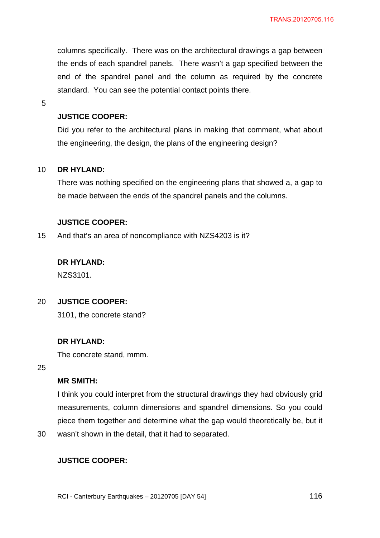columns specifically. There was on the architectural drawings a gap between the ends of each spandrel panels. There wasn't a gap specified between the end of the spandrel panel and the column as required by the concrete standard. You can see the potential contact points there.

5

# **JUSTICE COOPER:**

Did you refer to the architectural plans in making that comment, what about the engineering, the design, the plans of the engineering design?

#### 10 **DR HYLAND:**

There was nothing specified on the engineering plans that showed a, a gap to be made between the ends of the spandrel panels and the columns.

## **JUSTICE COOPER:**

15 And that's an area of noncompliance with NZS4203 is it?

**DR HYLAND:** 

NZS3101.

#### 20 **JUSTICE COOPER:**

3101, the concrete stand?

# **DR HYLAND:**

The concrete stand, mmm.

25

# **MR SMITH:**

I think you could interpret from the structural drawings they had obviously grid measurements, column dimensions and spandrel dimensions. So you could piece them together and determine what the gap would theoretically be, but it

30 wasn't shown in the detail, that it had to separated.

# **JUSTICE COOPER:**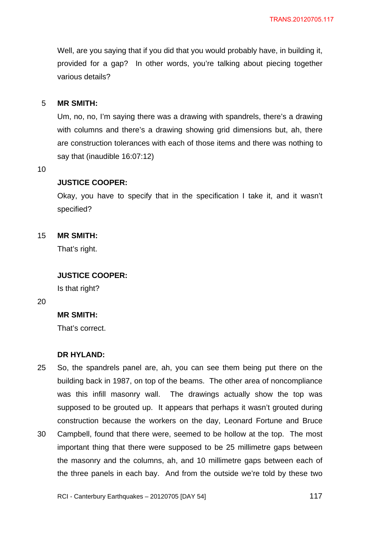Well, are you saying that if you did that you would probably have, in building it, provided for a gap? In other words, you're talking about piecing together various details?

#### 5 **MR SMITH:**

Um, no, no, I'm saying there was a drawing with spandrels, there's a drawing with columns and there's a drawing showing grid dimensions but, ah, there are construction tolerances with each of those items and there was nothing to say that (inaudible 16:07:12)

10

## **JUSTICE COOPER:**

Okay, you have to specify that in the specification I take it, and it wasn't specified?

#### 15 **MR SMITH:**

That's right.

### **JUSTICE COOPER:**

Is that right?

20

## **MR SMITH:**

That's correct.

### **DR HYLAND:**

- 25 So, the spandrels panel are, ah, you can see them being put there on the building back in 1987, on top of the beams. The other area of noncompliance was this infill masonry wall. The drawings actually show the top was supposed to be grouted up. It appears that perhaps it wasn't grouted during construction because the workers on the day, Leonard Fortune and Bruce
- 30 Campbell, found that there were, seemed to be hollow at the top. The most important thing that there were supposed to be 25 millimetre gaps between the masonry and the columns, ah, and 10 millimetre gaps between each of the three panels in each bay. And from the outside we're told by these two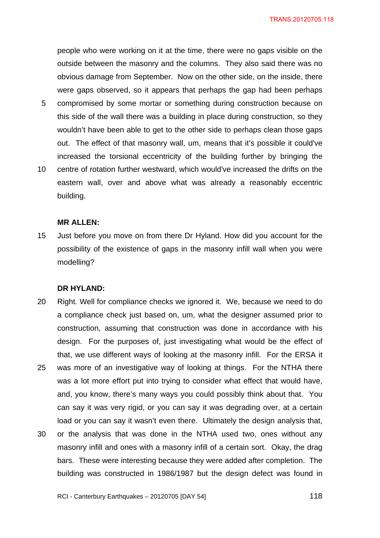people who were working on it at the time, there were no gaps visible on the outside between the masonry and the columns. They also said there was no obvious damage from September. Now on the other side, on the inside, there were gaps observed, so it appears that perhaps the gap had been perhaps compromised by some mortar or something during construction because on this side of the wall there was a building in place during construction, so they wouldn't have been able to get to the other side to perhaps clean those gaps

out. The effect of that masonry wall, um, means that it's possible it could've

10 increased the torsional eccentricity of the building further by bringing the centre of rotation further westward, which would've increased the drifts on the eastern wall, over and above what was already a reasonably eccentric building.

#### **MR ALLEN:**

5

15 Just before you move on from there Dr Hyland. How did you account for the possibility of the existence of gaps in the masonry infill wall when you were modelling?

#### **DR HYLAND:**

- 20 25 Right. Well for compliance checks we ignored it. We, because we need to do a compliance check just based on, um, what the designer assumed prior to construction, assuming that construction was done in accordance with his design. For the purposes of, just investigating what would be the effect of that, we use different ways of looking at the masonry infill. For the ERSA it was more of an investigative way of looking at things. For the NTHA there was a lot more effort put into trying to consider what effect that would have, and, you know, there's many ways you could possibly think about that. You can say it was very rigid, or you can say it was degrading over, at a certain load or you can say it wasn't even there. Ultimately the design analysis that,
- 30 or the analysis that was done in the NTHA used two, ones without any masonry infill and ones with a masonry infill of a certain sort. Okay, the drag bars. These were interesting because they were added after completion. The building was constructed in 1986/1987 but the design defect was found in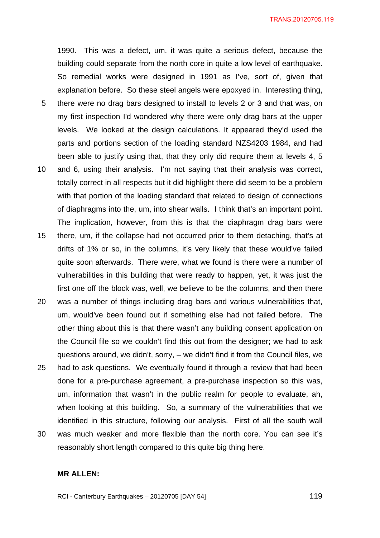1990. This was a defect, um, it was quite a serious defect, because the building could separate from the north core in quite a low level of earthquake. So remedial works were designed in 1991 as I've, sort of, given that explanation before. So these steel angels were epoxyed in. Interesting thing,

- 5 there were no drag bars designed to install to levels 2 or 3 and that was, on my first inspection I'd wondered why there were only drag bars at the upper levels. We looked at the design calculations. It appeared they'd used the parts and portions section of the loading standard NZS4203 1984, and had been able to justify using that, that they only did require them at levels 4, 5
- 10 and 6, using their analysis. I'm not saying that their analysis was correct, totally correct in all respects but it did highlight there did seem to be a problem with that portion of the loading standard that related to design of connections of diaphragms into the, um, into shear walls. I think that's an important point. The implication, however, from this is that the diaphragm drag bars were
- 15 there, um, if the collapse had not occurred prior to them detaching, that's at drifts of 1% or so, in the columns, it's very likely that these would've failed quite soon afterwards. There were, what we found is there were a number of vulnerabilities in this building that were ready to happen, yet, it was just the first one off the block was, well, we believe to be the columns, and then there
- 20 was a number of things including drag bars and various vulnerabilities that, um, would've been found out if something else had not failed before. The other thing about this is that there wasn't any building consent application on the Council file so we couldn't find this out from the designer; we had to ask questions around, we didn't, sorry, – we didn't find it from the Council files, we
- 25 had to ask questions. We eventually found it through a review that had been done for a pre-purchase agreement, a pre-purchase inspection so this was, um, information that wasn't in the public realm for people to evaluate, ah, when looking at this building. So, a summary of the vulnerabilities that we identified in this structure, following our analysis. First of all the south wall
- 30 was much weaker and more flexible than the north core. You can see it's reasonably short length compared to this quite big thing here.

### **MR ALLEN:**

RCI - Canterbury Earthquakes – 20120705 [DAY 54]

 $\sim$  119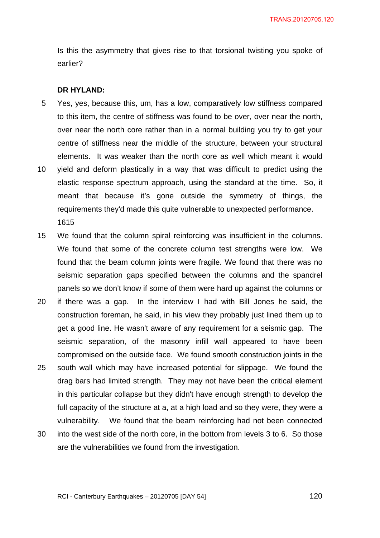Is this the asymmetry that gives rise to that torsional twisting you spoke of earlier?

## **DR HYLAND:**

- 5 Yes, yes, because this, um, has a low, comparatively low stiffness compared to this item, the centre of stiffness was found to be over, over near the north, over near the north core rather than in a normal building you try to get your centre of stiffness near the middle of the structure, between your structural elements. It was weaker than the north core as well which meant it would
- 10 yield and deform plastically in a way that was difficult to predict using the elastic response spectrum approach, using the standard at the time. So, it meant that because it's gone outside the symmetry of things, the requirements they'd made this quite vulnerable to unexpected performance. 1615
- 15 We found that the column spiral reinforcing was insufficient in the columns. We found that some of the concrete column test strengths were low. We found that the beam column joints were fragile. We found that there was no seismic separation gaps specified between the columns and the spandrel panels so we don't know if some of them were hard up against the columns or
- 20 25 if there was a gap. In the interview I had with Bill Jones he said, the construction foreman, he said, in his view they probably just lined them up to get a good line. He wasn't aware of any requirement for a seismic gap. The seismic separation, of the masonry infill wall appeared to have been compromised on the outside face. We found smooth construction joints in the south wall which may have increased potential for slippage. We found the
- drag bars had limited strength. They may not have been the critical element in this particular collapse but they didn't have enough strength to develop the full capacity of the structure at a, at a high load and so they were, they were a vulnerability. We found that the beam reinforcing had not been connected
- 30 into the west side of the north core, in the bottom from levels 3 to 6. So those are the vulnerabilities we found from the investigation.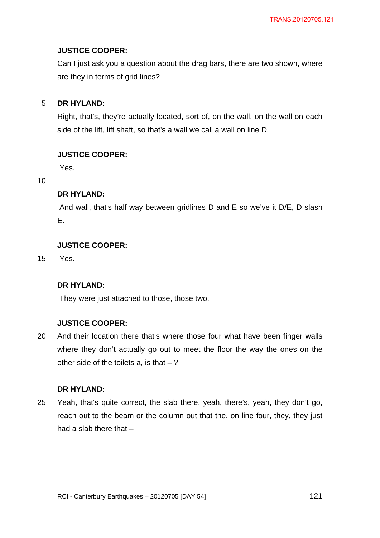# **JUSTICE COOPER:**

Can I just ask you a question about the drag bars, there are two shown, where are they in terms of grid lines?

#### 5 **DR HYLAND:**

Right, that's, they're actually located, sort of, on the wall, on the wall on each side of the lift, lift shaft, so that's a wall we call a wall on line D.

# **JUSTICE COOPER:**

Yes.

10

# **DR HYLAND:**

 And wall, that's half way between gridlines D and E so we've it D/E, D slash E.

# **JUSTICE COOPER:**

15 Yes.

# **DR HYLAND:**

They were just attached to those, those two.

# **JUSTICE COOPER:**

20 And their location there that's where those four what have been finger walls where they don't actually go out to meet the floor the way the ones on the other side of the toilets a, is that  $-$  ?

# **DR HYLAND:**

25 Yeah, that's quite correct, the slab there, yeah, there's, yeah, they don't go, reach out to the beam or the column out that the, on line four, they, they just had a slab there that –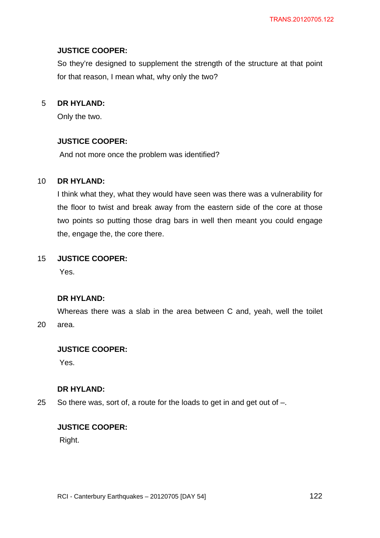# **JUSTICE COOPER:**

So they're designed to supplement the strength of the structure at that point for that reason, I mean what, why only the two?

#### 5 **DR HYLAND:**

Only the two.

## **JUSTICE COOPER:**

And not more once the problem was identified?

#### 10 **DR HYLAND:**

I think what they, what they would have seen was there was a vulnerability for the floor to twist and break away from the eastern side of the core at those two points so putting those drag bars in well then meant you could engage the, engage the, the core there.

#### 15 **JUSTICE COOPER:**

Yes.

## **DR HYLAND:**

20 Whereas there was a slab in the area between C and, yeah, well the toilet area.

# **JUSTICE COOPER:**

Yes.

## **DR HYLAND:**

25 So there was, sort of, a route for the loads to get in and get out of –.

# **JUSTICE COOPER:**

Right.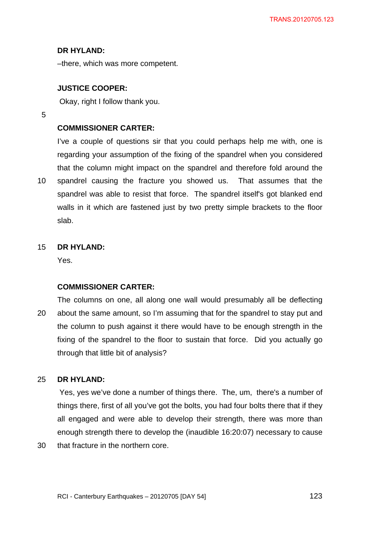## **DR HYLAND:**

–there, which was more competent.

## **JUSTICE COOPER:**

Okay, right I follow thank you.

5

10

# **COMMISSIONER CARTER:**

I've a couple of questions sir that you could perhaps help me with, one is regarding your assumption of the fixing of the spandrel when you considered that the column might impact on the spandrel and therefore fold around the spandrel causing the fracture you showed us. That assumes that the spandrel was able to resist that force. The spandrel itself's got blanked end walls in it which are fastened just by two pretty simple brackets to the floor slab.

#### 15 **DR HYLAND:**

Yes.

## **COMMISSIONER CARTER:**

20 The columns on one, all along one wall would presumably all be deflecting about the same amount, so I'm assuming that for the spandrel to stay put and the column to push against it there would have to be enough strength in the fixing of the spandrel to the floor to sustain that force. Did you actually go through that little bit of analysis?

#### 25 **DR HYLAND:**

 Yes, yes we've done a number of things there. The, um, there's a number of things there, first of all you've got the bolts, you had four bolts there that if they all engaged and were able to develop their strength, there was more than enough strength there to develop the (inaudible 16:20:07) necessary to cause

30 that fracture in the northern core.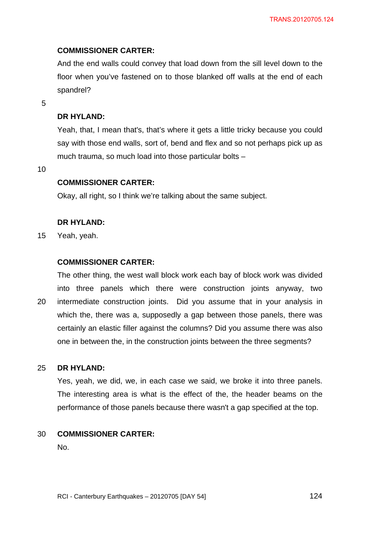# **COMMISSIONER CARTER:**

And the end walls could convey that load down from the sill level down to the floor when you've fastened on to those blanked off walls at the end of each spandrel?

5

# **DR HYLAND:**

Yeah, that, I mean that's, that's where it gets a little tricky because you could say with those end walls, sort of, bend and flex and so not perhaps pick up as much trauma, so much load into those particular bolts –

10

# **COMMISSIONER CARTER:**

Okay, all right, so I think we're talking about the same subject.

# **DR HYLAND:**

15 Yeah, yeah.

# **COMMISSIONER CARTER:**

The other thing, the west wall block work each bay of block work was divided into three panels which there were construction joints anyway, two

20 intermediate construction joints. Did you assume that in your analysis in which the, there was a, supposedly a gap between those panels, there was certainly an elastic filler against the columns? Did you assume there was also one in between the, in the construction joints between the three segments?

#### 25 **DR HYLAND:**

Yes, yeah, we did, we, in each case we said, we broke it into three panels. The interesting area is what is the effect of the, the header beams on the performance of those panels because there wasn't a gap specified at the top.

#### 30 **COMMISSIONER CARTER:**

No.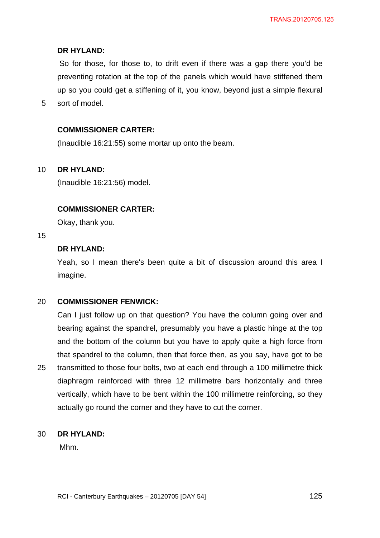# **DR HYLAND:**

 So for those, for those to, to drift even if there was a gap there you'd be preventing rotation at the top of the panels which would have stiffened them up so you could get a stiffening of it, you know, beyond just a simple flexural sort of model.

## **COMMISSIONER CARTER:**

(Inaudible 16:21:55) some mortar up onto the beam.

#### 10 **DR HYLAND:**

(Inaudible 16:21:56) model.

## **COMMISSIONER CARTER:**

Okay, thank you.

## 15

5

# **DR HYLAND:**

Yeah, so I mean there's been quite a bit of discussion around this area I imagine.

#### 20 **COMMISSIONER FENWICK:**

25 Can I just follow up on that question? You have the column going over and bearing against the spandrel, presumably you have a plastic hinge at the top and the bottom of the column but you have to apply quite a high force from that spandrel to the column, then that force then, as you say, have got to be transmitted to those four bolts, two at each end through a 100 millimetre thick diaphragm reinforced with three 12 millimetre bars horizontally and three vertically, which have to be bent within the 100 millimetre reinforcing, so they actually go round the corner and they have to cut the corner.

#### 30 **DR HYLAND:**

Mhm.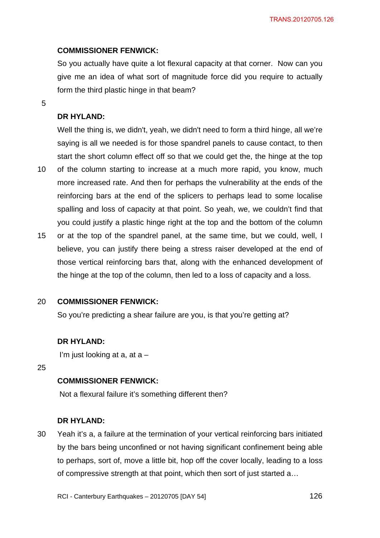# **COMMISSIONER FENWICK:**

So you actually have quite a lot flexural capacity at that corner. Now can you give me an idea of what sort of magnitude force did you require to actually form the third plastic hinge in that beam?

5

## **DR HYLAND:**

Well the thing is, we didn't, yeah, we didn't need to form a third hinge, all we're saying is all we needed is for those spandrel panels to cause contact, to then start the short column effect off so that we could get the, the hinge at the top

- 10 of the column starting to increase at a much more rapid, you know, much more increased rate. And then for perhaps the vulnerability at the ends of the reinforcing bars at the end of the splicers to perhaps lead to some localise spalling and loss of capacity at that point. So yeah, we, we couldn't find that you could justify a plastic hinge right at the top and the bottom of the column
- 15 or at the top of the spandrel panel, at the same time, but we could, well, I believe, you can justify there being a stress raiser developed at the end of those vertical reinforcing bars that, along with the enhanced development of the hinge at the top of the column, then led to a loss of capacity and a loss.

#### 20 **COMMISSIONER FENWICK:**

So you're predicting a shear failure are you, is that you're getting at?

## **DR HYLAND:**

I'm just looking at a, at  $a -$ 

25

# **COMMISSIONER FENWICK:**

Not a flexural failure it's something different then?

## **DR HYLAND:**

30 Yeah it's a, a failure at the termination of your vertical reinforcing bars initiated by the bars being unconfined or not having significant confinement being able to perhaps, sort of, move a little bit, hop off the cover locally, leading to a loss of compressive strength at that point, which then sort of just started a…

RCI - Canterbury Earthquakes – 20120705 [DAY 54]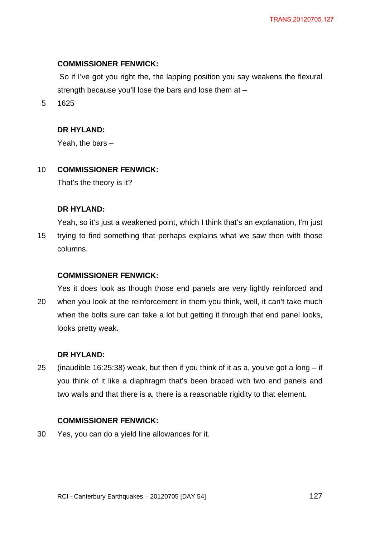## **COMMISSIONER FENWICK:**

 So if I've got you right the, the lapping position you say weakens the flexural strength because you'll lose the bars and lose them at –

5 1625

## **DR HYLAND:**

Yeah, the bars –

#### 10 **COMMISSIONER FENWICK:**

That's the theory is it?

## **DR HYLAND:**

15 Yeah, so it's just a weakened point, which I think that's an explanation, I'm just trying to find something that perhaps explains what we saw then with those columns.

## **COMMISSIONER FENWICK:**

20 Yes it does look as though those end panels are very lightly reinforced and when you look at the reinforcement in them you think, well, it can't take much when the bolts sure can take a lot but getting it through that end panel looks, looks pretty weak.

## **DR HYLAND:**

25 (inaudible 16:25:38) weak, but then if you think of it as a, you've got a long  $-$  if you think of it like a diaphragm that's been braced with two end panels and two walls and that there is a, there is a reasonable rigidity to that element.

# **COMMISSIONER FENWICK:**

30 Yes, you can do a yield line allowances for it.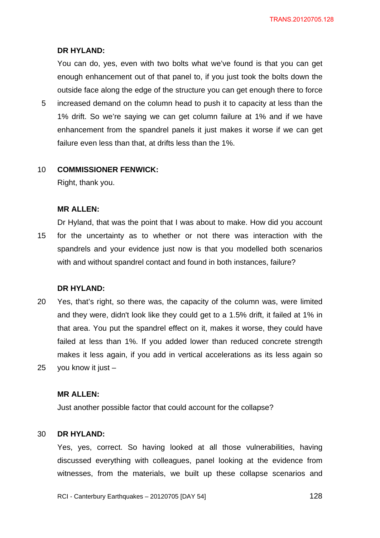#### **DR HYLAND:**

You can do, yes, even with two bolts what we've found is that you can get enough enhancement out of that panel to, if you just took the bolts down the outside face along the edge of the structure you can get enough there to force

5 increased demand on the column head to push it to capacity at less than the 1% drift. So we're saying we can get column failure at 1% and if we have enhancement from the spandrel panels it just makes it worse if we can get failure even less than that, at drifts less than the 1%.

#### 10 **COMMISSIONER FENWICK:**

Right, thank you.

#### **MR ALLEN:**

15 Dr Hyland, that was the point that I was about to make. How did you account for the uncertainty as to whether or not there was interaction with the spandrels and your evidence just now is that you modelled both scenarios with and without spandrel contact and found in both instances, failure?

### **DR HYLAND:**

20 25 Yes, that's right, so there was, the capacity of the column was, were limited and they were, didn't look like they could get to a 1.5% drift, it failed at 1% in that area. You put the spandrel effect on it, makes it worse, they could have failed at less than 1%. If you added lower than reduced concrete strength makes it less again, if you add in vertical accelerations as its less again so you know it just  $-$ 

### **MR ALLEN:**

Just another possible factor that could account for the collapse?

#### 30 **DR HYLAND:**

Yes, yes, correct. So having looked at all those vulnerabilities, having discussed everything with colleagues, panel looking at the evidence from witnesses, from the materials, we built up these collapse scenarios and

RCI - Canterbury Earthquakes – 20120705 [DAY 54]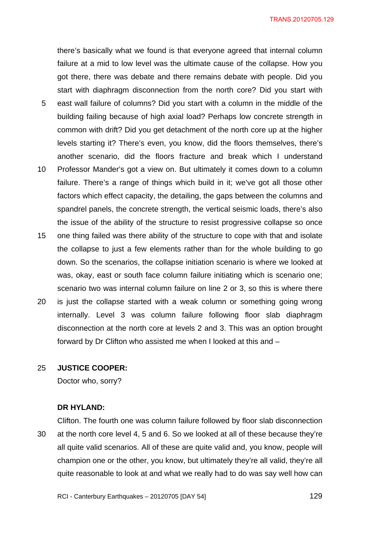5 10 there's basically what we found is that everyone agreed that internal column failure at a mid to low level was the ultimate cause of the collapse. How you got there, there was debate and there remains debate with people. Did you start with diaphragm disconnection from the north core? Did you start with east wall failure of columns? Did you start with a column in the middle of the building failing because of high axial load? Perhaps low concrete strength in common with drift? Did you get detachment of the north core up at the higher levels starting it? There's even, you know, did the floors themselves, there's another scenario, did the floors fracture and break which I understand Professor Mander's got a view on. But ultimately it comes down to a column failure. There's a range of things which build in it; we've got all those other factors which effect capacity, the detailing, the gaps between the columns and spandrel panels, the concrete strength, the vertical seismic loads, there's also the issue of the ability of the structure to resist progressive collapse so once

- 15 one thing failed was there ability of the structure to cope with that and isolate the collapse to just a few elements rather than for the whole building to go down. So the scenarios, the collapse initiation scenario is where we looked at was, okay, east or south face column failure initiating which is scenario one; scenario two was internal column failure on line 2 or 3, so this is where there
- 20 is just the collapse started with a weak column or something going wrong internally. Level 3 was column failure following floor slab diaphragm disconnection at the north core at levels 2 and 3. This was an option brought forward by Dr Clifton who assisted me when I looked at this and –

#### 25 **JUSTICE COOPER:**

Doctor who, sorry?

#### **DR HYLAND:**

30 Clifton. The fourth one was column failure followed by floor slab disconnection at the north core level 4, 5 and 6. So we looked at all of these because they're all quite valid scenarios. All of these are quite valid and, you know, people will champion one or the other, you know, but ultimately they're all valid, they're all quite reasonable to look at and what we really had to do was say well how can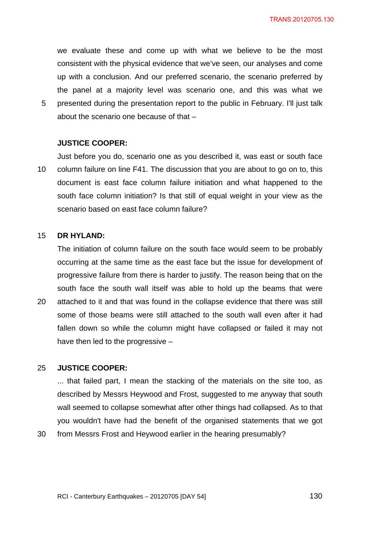we evaluate these and come up with what we believe to be the most consistent with the physical evidence that we've seen, our analyses and come up with a conclusion. And our preferred scenario, the scenario preferred by the panel at a majority level was scenario one, and this was what we presented during the presentation report to the public in February. I'll just talk about the scenario one because of that –

### **JUSTICE COOPER:**

10 Just before you do, scenario one as you described it, was east or south face column failure on line F41. The discussion that you are about to go on to, this document is east face column failure initiation and what happened to the south face column initiation? Is that still of equal weight in your view as the scenario based on east face column failure?

#### 15 **DR HYLAND:**

5

The initiation of column failure on the south face would seem to be probably occurring at the same time as the east face but the issue for development of progressive failure from there is harder to justify. The reason being that on the south face the south wall itself was able to hold up the beams that were

20 attached to it and that was found in the collapse evidence that there was still some of those beams were still attached to the south wall even after it had fallen down so while the column might have collapsed or failed it may not have then led to the progressive –

#### 25 **JUSTICE COOPER:**

... that failed part, I mean the stacking of the materials on the site too, as described by Messrs Heywood and Frost, suggested to me anyway that south wall seemed to collapse somewhat after other things had collapsed. As to that you wouldn't have had the benefit of the organised statements that we got

30 from Messrs Frost and Heywood earlier in the hearing presumably?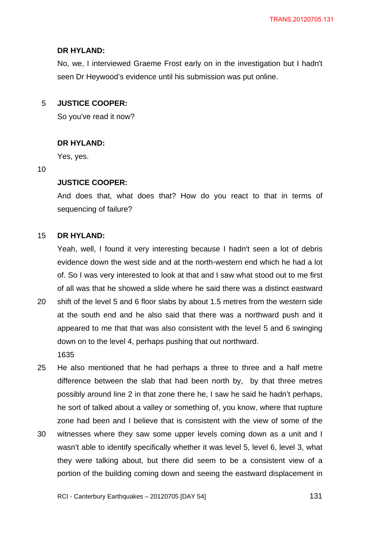## **DR HYLAND:**

No, we, I interviewed Graeme Frost early on in the investigation but I hadn't seen Dr Heywood's evidence until his submission was put online.

#### 5 **JUSTICE COOPER:**

So you've read it now?

## **DR HYLAND:**

Yes, yes.

### 10

# **JUSTICE COOPER:**

And does that, what does that? How do you react to that in terms of sequencing of failure?

#### 15 **DR HYLAND:**

Yeah, well, I found it very interesting because I hadn't seen a lot of debris evidence down the west side and at the north-western end which he had a lot of. So I was very interested to look at that and I saw what stood out to me first of all was that he showed a slide where he said there was a distinct eastward

- 20 shift of the level 5 and 6 floor slabs by about 1.5 metres from the western side at the south end and he also said that there was a northward push and it appeared to me that that was also consistent with the level 5 and 6 swinging down on to the level 4, perhaps pushing that out northward.
	- 1635

25 He also mentioned that he had perhaps a three to three and a half metre difference between the slab that had been north by, by that three metres possibly around line 2 in that zone there he, I saw he said he hadn't perhaps, he sort of talked about a valley or something of, you know, where that rupture zone had been and I believe that is consistent with the view of some of the

30 witnesses where they saw some upper levels coming down as a unit and I wasn't able to identify specifically whether it was level 5, level 6, level 3, what they were talking about, but there did seem to be a consistent view of a portion of the building coming down and seeing the eastward displacement in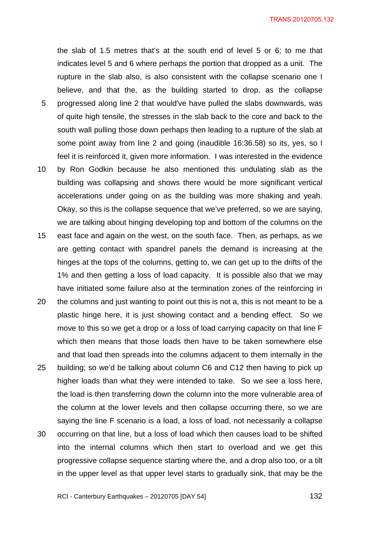TRANS.20120705.132

the slab of 1.5 metres that's at the south end of level 5 or 6; to me that indicates level 5 and 6 where perhaps the portion that dropped as a unit. The rupture in the slab also, is also consistent with the collapse scenario one I believe, and that the, as the building started to drop, as the collapse progressed along line 2 that would've have pulled the slabs downwards, was of quite high tensile, the stresses in the slab back to the core and back to the south wall pulling those down perhaps then leading to a rupture of the slab at

some point away from line 2 and going (inaudible 16:36.58) so its, yes, so I

5

- 10 feel it is reinforced it, given more information. I was interested in the evidence by Ron Godkin because he also mentioned this undulating slab as the building was collapsing and shows there would be more significant vertical accelerations under going on as the building was more shaking and yeah. Okay, so this is the collapse sequence that we've preferred, so we are saying, we are talking about hinging developing top and bottom of the columns on the
- 15 east face and again on the west, on the south face. Then, as perhaps, as we are getting contact with spandrel panels the demand is increasing at the hinges at the tops of the columns, getting to, we can get up to the drifts of the 1% and then getting a loss of load capacity. It is possible also that we may have initiated some failure also at the termination zones of the reinforcing in
- 20 the columns and just wanting to point out this is not a, this is not meant to be a plastic hinge here, it is just showing contact and a bending effect. So we move to this so we get a drop or a loss of load carrying capacity on that line F which then means that those loads then have to be taken somewhere else and that load then spreads into the columns adjacent to them internally in the
- 25 30 building; so we'd be talking about column C6 and C12 then having to pick up higher loads than what they were intended to take. So we see a loss here, the load is then transferring down the column into the more vulnerable area of the column at the lower levels and then collapse occurring there, so we are saying the line F scenario is a load, a loss of load, not necessarily a collapse occurring on that line, but a loss of load which then causes load to be shifted
- into the internal columns which then start to overload and we get this progressive collapse sequence starting where the, and a drop also too, or a tilt in the upper level as that upper level starts to gradually sink, that may be the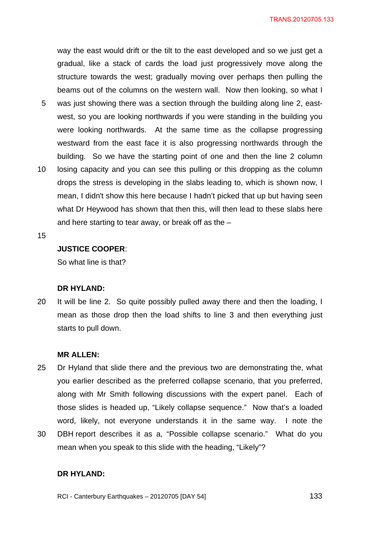way the east would drift or the tilt to the east developed and so we just get a gradual, like a stack of cards the load just progressively move along the structure towards the west; gradually moving over perhaps then pulling the beams out of the columns on the western wall. Now then looking, so what I

- 5 was just showing there was a section through the building along line 2, eastwest, so you are looking northwards if you were standing in the building you were looking northwards. At the same time as the collapse progressing westward from the east face it is also progressing northwards through the building. So we have the starting point of one and then the line 2 column
- 10 losing capacity and you can see this pulling or this dropping as the column drops the stress is developing in the slabs leading to, which is shown now, I mean, I didn't show this here because I hadn't picked that up but having seen what Dr Heywood has shown that then this, will then lead to these slabs here and here starting to tear away, or break off as the –
- 15

## **JUSTICE COOPER**:

So what line is that?

#### **DR HYLAND:**

20 It will be line 2. So quite possibly pulled away there and then the loading, I mean as those drop then the load shifts to line 3 and then everything just starts to pull down.

### **MR ALLEN:**

- 25 Dr Hyland that slide there and the previous two are demonstrating the, what you earlier described as the preferred collapse scenario, that you preferred, along with Mr Smith following discussions with the expert panel. Each of those slides is headed up, "Likely collapse sequence." Now that's a loaded word, likely, not everyone understands it in the same way. I note the
- 30 DBH report describes it as a, "Possible collapse scenario." What do you mean when you speak to this slide with the heading, "Likely"?

## **DR HYLAND:**

RCI - Canterbury Earthquakes – 20120705 [DAY 54]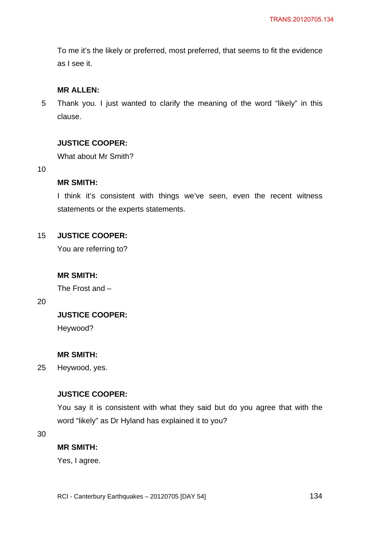To me it's the likely or preferred, most preferred, that seems to fit the evidence as I see it.

## **MR ALLEN:**

5 Thank you. I just wanted to clarify the meaning of the word "likely" in this clause.

## **JUSTICE COOPER:**

What about Mr Smith?

10

## **MR SMITH:**

I think it's consistent with things we've seen, even the recent witness statements or the experts statements.

#### 15 **JUSTICE COOPER:**

You are referring to?

# **MR SMITH:**

The Frost and –

20

# **JUSTICE COOPER:**

Heywood?

## **MR SMITH:**

25 Heywood, yes.

# **JUSTICE COOPER:**

You say it is consistent with what they said but do you agree that with the word "likely" as Dr Hyland has explained it to you?

30

## **MR SMITH:**

Yes, I agree.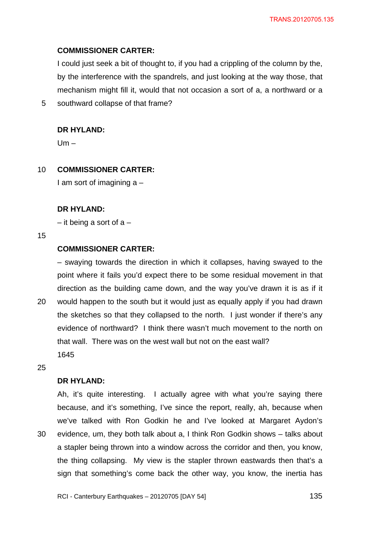#### **COMMISSIONER CARTER:**

I could just seek a bit of thought to, if you had a crippling of the column by the, by the interference with the spandrels, and just looking at the way those, that mechanism might fill it, would that not occasion a sort of a, a northward or a southward collapse of that frame?

#### **DR HYLAND:**

 $Um -$ 

#### 10 **COMMISSIONER CARTER:**

I am sort of imagining a –

#### **DR HYLAND:**

 $-$  it being a sort of a  $-$ 

#### 15

20

5

## **COMMISSIONER CARTER:**

– swaying towards the direction in which it collapses, having swayed to the point where it fails you'd expect there to be some residual movement in that direction as the building came down, and the way you've drawn it is as if it would happen to the south but it would just as equally apply if you had drawn the sketches so that they collapsed to the north. I just wonder if there's any evidence of northward? I think there wasn't much movement to the north on that wall. There was on the west wall but not on the east wall? 1645

25

### **DR HYLAND:**

30 Ah, it's quite interesting. I actually agree with what you're saying there because, and it's something, I've since the report, really, ah, because when we've talked with Ron Godkin he and I've looked at Margaret Aydon's evidence, um, they both talk about a, I think Ron Godkin shows – talks about a stapler being thrown into a window across the corridor and then, you know, the thing collapsing. My view is the stapler thrown eastwards then that's a sign that something's come back the other way, you know, the inertia has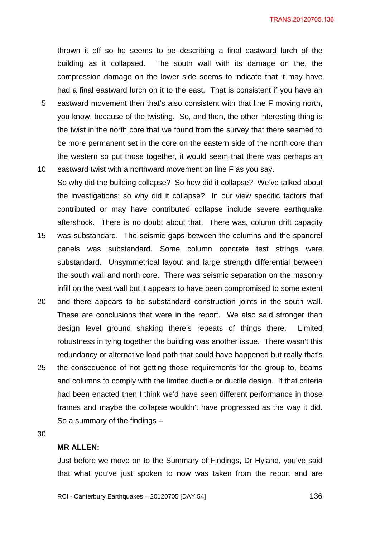thrown it off so he seems to be describing a final eastward lurch of the building as it collapsed. The south wall with its damage on the, the compression damage on the lower side seems to indicate that it may have had a final eastward lurch on it to the east. That is consistent if you have an

- 5 eastward movement then that's also consistent with that line F moving north, you know, because of the twisting. So, and then, the other interesting thing is the twist in the north core that we found from the survey that there seemed to be more permanent set in the core on the eastern side of the north core than the western so put those together, it would seem that there was perhaps an
- 10 eastward twist with a northward movement on line F as you say. So why did the building collapse? So how did it collapse? We've talked about the investigations; so why did it collapse? In our view specific factors that contributed or may have contributed collapse include severe earthquake aftershock. There is no doubt about that. There was, column drift capacity
- 15 was substandard. The seismic gaps between the columns and the spandrel panels was substandard. Some column concrete test strings were substandard. Unsymmetrical layout and large strength differential between the south wall and north core. There was seismic separation on the masonry infill on the west wall but it appears to have been compromised to some extent
- 20 and there appears to be substandard construction joints in the south wall. These are conclusions that were in the report. We also said stronger than design level ground shaking there's repeats of things there. Limited robustness in tying together the building was another issue. There wasn't this redundancy or alternative load path that could have happened but really that's
- 25 the consequence of not getting those requirements for the group to, beams and columns to comply with the limited ductile or ductile design. If that criteria had been enacted then I think we'd have seen different performance in those frames and maybe the collapse wouldn't have progressed as the way it did. So a summary of the findings –

30

### **MR ALLEN:**

Just before we move on to the Summary of Findings, Dr Hyland, you've said that what you've just spoken to now was taken from the report and are

RCI - Canterbury Earthquakes – 20120705 [DAY 54]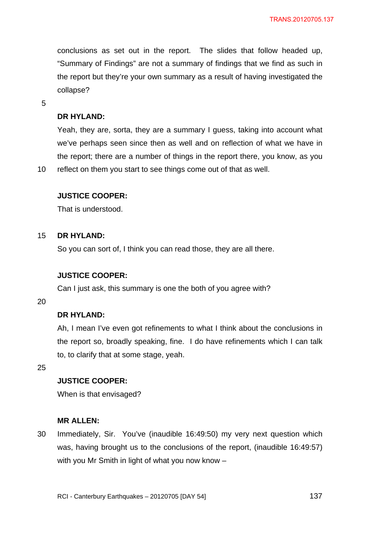conclusions as set out in the report. The slides that follow headed up, "Summary of Findings" are not a summary of findings that we find as such in the report but they're your own summary as a result of having investigated the collapse?

5

10

## **DR HYLAND:**

Yeah, they are, sorta, they are a summary I guess, taking into account what we've perhaps seen since then as well and on reflection of what we have in the report; there are a number of things in the report there, you know, as you reflect on them you start to see things come out of that as well.

### **JUSTICE COOPER:**

That is understood.

#### 15 **DR HYLAND:**

So you can sort of, I think you can read those, they are all there.

## **JUSTICE COOPER:**

Can I just ask, this summary is one the both of you agree with?

20

# **DR HYLAND:**

Ah, I mean I've even got refinements to what I think about the conclusions in the report so, broadly speaking, fine. I do have refinements which I can talk to, to clarify that at some stage, yeah.

25

## **JUSTICE COOPER:**

When is that envisaged?

## **MR ALLEN:**

30 Immediately, Sir. You've (inaudible 16:49:50) my very next question which was, having brought us to the conclusions of the report, (inaudible 16:49:57) with you Mr Smith in light of what you now know –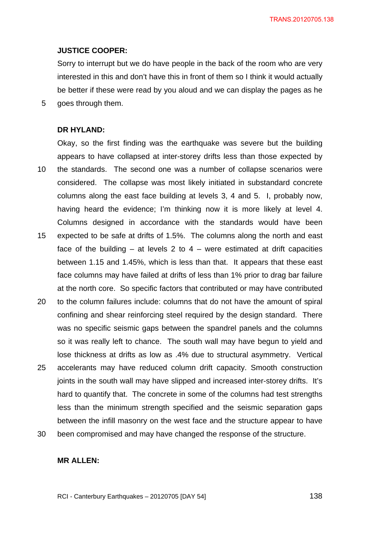TRANS.20120705.138

### **JUSTICE COOPER:**

Sorry to interrupt but we do have people in the back of the room who are very interested in this and don't have this in front of them so I think it would actually be better if these were read by you aloud and we can display the pages as he goes through them.

5

## **DR HYLAND:**

10 15 Okay, so the first finding was the earthquake was severe but the building appears to have collapsed at inter-storey drifts less than those expected by the standards. The second one was a number of collapse scenarios were considered. The collapse was most likely initiated in substandard concrete columns along the east face building at levels 3, 4 and 5. I, probably now, having heard the evidence; I'm thinking now it is more likely at level 4. Columns designed in accordance with the standards would have been expected to be safe at drifts of 1.5%. The columns along the north and east face of the building  $-$  at levels 2 to 4  $-$  were estimated at drift capacities between 1.15 and 1.45%, which is less than that. It appears that these east face columns may have failed at drifts of less than 1% prior to drag bar failure at the north core. So specific factors that contributed or may have contributed

- 20 25 to the column failures include: columns that do not have the amount of spiral confining and shear reinforcing steel required by the design standard. There was no specific seismic gaps between the spandrel panels and the columns so it was really left to chance. The south wall may have begun to yield and lose thickness at drifts as low as .4% due to structural asymmetry. Vertical accelerants may have reduced column drift capacity. Smooth construction joints in the south wall may have slipped and increased inter-storey drifts. It's hard to quantify that. The concrete in some of the columns had test strengths less than the minimum strength specified and the seismic separation gaps between the infill masonry on the west face and the structure appear to have
- 30 been compromised and may have changed the response of the structure.

# **MR ALLEN:**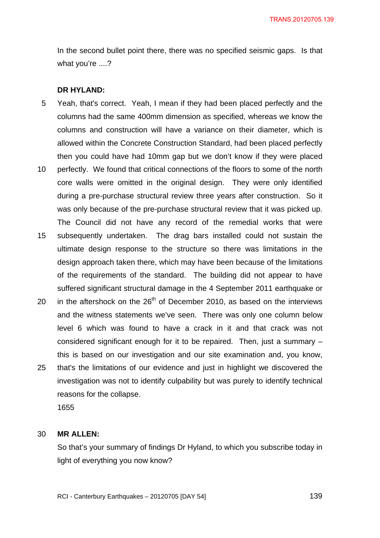In the second bullet point there, there was no specified seismic gaps. Is that what you're ....?

## **DR HYLAND:**

- 5 Yeah, that's correct. Yeah, I mean if they had been placed perfectly and the columns had the same 400mm dimension as specified, whereas we know the columns and construction will have a variance on their diameter, which is allowed within the Concrete Construction Standard, had been placed perfectly then you could have had 10mm gap but we don't know if they were placed
- 10 perfectly. We found that critical connections of the floors to some of the north core walls were omitted in the original design. They were only identified during a pre-purchase structural review three years after construction. So it was only because of the pre-purchase structural review that it was picked up. The Council did not have any record of the remedial works that were
- 15 subsequently undertaken. The drag bars installed could not sustain the ultimate design response to the structure so there was limitations in the design approach taken there, which may have been because of the limitations of the requirements of the standard. The building did not appear to have suffered significant structural damage in the 4 September 2011 earthquake or
- 20 in the aftershock on the  $26<sup>th</sup>$  of December 2010, as based on the interviews and the witness statements we've seen. There was only one column below level 6 which was found to have a crack in it and that crack was not considered significant enough for it to be repaired. Then, just a summary – this is based on our investigation and our site examination and, you know,
- 25 that's the limitations of our evidence and just in highlight we discovered the investigation was not to identify culpability but was purely to identify technical reasons for the collapse.

1655

#### 30 **MR ALLEN:**

So that's your summary of findings Dr Hyland, to which you subscribe today in light of everything you now know?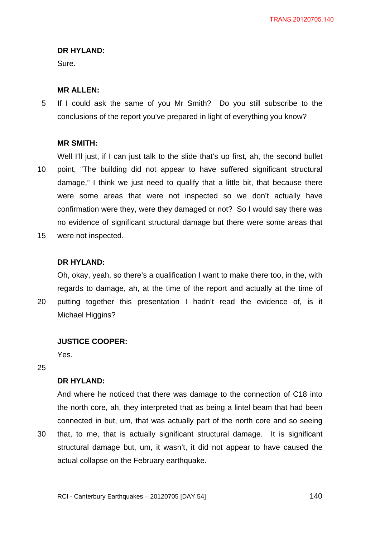#### **DR HYLAND:**

Sure.

### **MR ALLEN:**

5 If I could ask the same of you Mr Smith? Do you still subscribe to the conclusions of the report you've prepared in light of everything you know?

### **MR SMITH:**

10 Well I'll just, if I can just talk to the slide that's up first, ah, the second bullet point, "The building did not appear to have suffered significant structural damage," I think we just need to qualify that a little bit, that because there were some areas that were not inspected so we don't actually have confirmation were they, were they damaged or not? So I would say there was no evidence of significant structural damage but there were some areas that

15 were not inspected.

## **DR HYLAND:**

Oh, okay, yeah, so there's a qualification I want to make there too, in the, with regards to damage, ah, at the time of the report and actually at the time of putting together this presentation I hadn't read the evidence of, is it

20 Michael Higgins?

## **JUSTICE COOPER:**

Yes.

# 25

30

## **DR HYLAND:**

And where he noticed that there was damage to the connection of C18 into the north core, ah, they interpreted that as being a lintel beam that had been connected in but, um, that was actually part of the north core and so seeing that, to me, that is actually significant structural damage. It is significant structural damage but, um, it wasn't, it did not appear to have caused the

actual collapse on the February earthquake.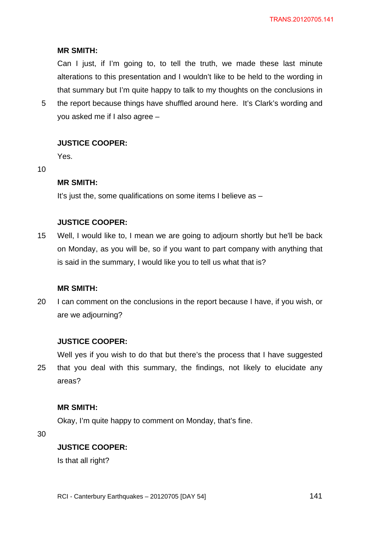## **MR SMITH:**

Can I just, if I'm going to, to tell the truth, we made these last minute alterations to this presentation and I wouldn't like to be held to the wording in that summary but I'm quite happy to talk to my thoughts on the conclusions in

5 the report because things have shuffled around here. It's Clark's wording and you asked me if I also agree –

## **JUSTICE COOPER:**

Yes.

10

# **MR SMITH:**

It's just the, some qualifications on some items I believe as –

# **JUSTICE COOPER:**

15 Well, I would like to, I mean we are going to adjourn shortly but he'll be back on Monday, as you will be, so if you want to part company with anything that is said in the summary, I would like you to tell us what that is?

### **MR SMITH:**

20 I can comment on the conclusions in the report because I have, if you wish, or are we adjourning?

## **JUSTICE COOPER:**

25 Well yes if you wish to do that but there's the process that I have suggested that you deal with this summary, the findings, not likely to elucidate any areas?

## **MR SMITH:**

Okay, I'm quite happy to comment on Monday, that's fine.

30

## **JUSTICE COOPER:**

Is that all right?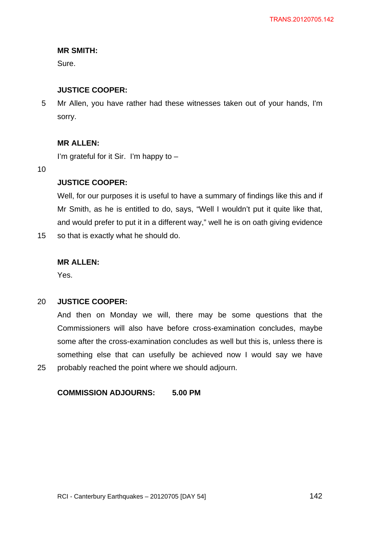# **MR SMITH:**

Sure.

# **JUSTICE COOPER:**

5 Mr Allen, you have rather had these witnesses taken out of your hands, I'm sorry.

# **MR ALLEN:**

I'm grateful for it Sir. I'm happy to –

10

25

# **JUSTICE COOPER:**

Well, for our purposes it is useful to have a summary of findings like this and if Mr Smith, as he is entitled to do, says, "Well I wouldn't put it quite like that, and would prefer to put it in a different way," well he is on oath giving evidence

15 so that is exactly what he should do.

# **MR ALLEN:**

Yes.

#### 20 **JUSTICE COOPER:**

And then on Monday we will, there may be some questions that the Commissioners will also have before cross-examination concludes, maybe some after the cross-examination concludes as well but this is, unless there is something else that can usefully be achieved now I would say we have probably reached the point where we should adjourn.

# **COMMISSION ADJOURNS: 5.00 PM**